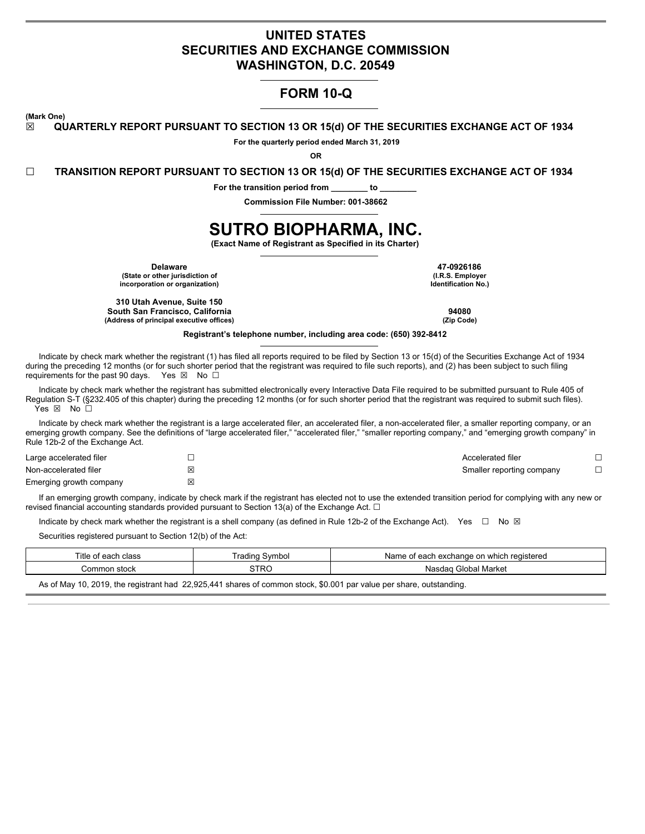# **UNITED STATES SECURITIES AND EXCHANGE COMMISSION WASHINGTON, D.C. 20549**

# **FORM 10-Q**

**(Mark One)**

**☒ QUARTERLY REPORT PURSUANT TO SECTION 13 OR 15(d) OF THE SECURITIES EXCHANGE ACT OF 1934**

**For the quarterly period ended March 31, 2019**

**OR**

**☐ TRANSITION REPORT PURSUANT TO SECTION 13 OR 15(d) OF THE SECURITIES EXCHANGE ACT OF 1934**

**For the transition period from \_\_\_\_\_\_\_\_ to \_\_\_\_\_\_\_\_**

**Commission File Number: 001-38662**

# **SUTRO BIOPHARMA, INC.**

**(Exact Name of Registrant as Specified in its Charter)**

**Delaware 47-0926186 (State or other jurisdiction of incorporation or organization)**

**310 Utah Avenue, Suite 150 South San Francisco, California 94080 (Address of principal executive offices) (Zip Code)**

**(I.R.S. Employer Identification No.)**

**Registrant's telephone number, including area code: (650) 392-8412**

Indicate by check mark whether the registrant (1) has filed all reports required to be filed by Section 13 or 15(d) of the Securities Exchange Act of 1934 during the preceding 12 months (or for such shorter period that the registrant was required to file such reports), and (2) has been subject to such filing requirements for the past 90 days. Yes  $\boxtimes$  No  $\Box$ 

Indicate by check mark whether the registrant has submitted electronically every Interactive Data File required to be submitted pursuant to Rule 405 of Regulation S-T (§232.405 of this chapter) during the preceding 12 months (or for such shorter period that the registrant was required to submit such files). Yes ⊠ No □

Indicate by check mark whether the registrant is a large accelerated filer, an accelerated filer, a non-accelerated filer, a smaller reporting company, or an emerging growth company. See the definitions of "large accelerated filer," "accelerated filer," "smaller reporting company," and "emerging growth company" in Rule 12b-2 of the Exchange Act.

| Large accelerated filer |   | Accelerated filer         |  |
|-------------------------|---|---------------------------|--|
| Non-accelerated filer   | ⊠ | Smaller reporting company |  |
| Emerging growth company | × |                           |  |

If an emerging growth company, indicate by check mark if the registrant has elected not to use the extended transition period for complying with any new or revised financial accounting standards provided pursuant to Section 13(a) of the Exchange Act.  $\Box$ 

Indicate by check mark whether the registrant is a shell company (as defined in Rule 12b-2 of the Exchange Act). Yes  $\Box$  No  $\boxtimes$ 

Securities registered pursuant to Section 12(b) of the Act:

| Title<br>. of each<br>class | rading<br>Symbol | registered<br>Name of<br>i exchange on<br>. which<br>eaci * |
|-----------------------------|------------------|-------------------------------------------------------------|
| ommon<br>. stock            | <b>STRO</b>      | Global<br>l Market<br>Nasdar                                |
|                             |                  |                                                             |

As of May 10, 2019, the registrant had 22,925,441 shares of common stock, \$0.001 par value per share, outstanding.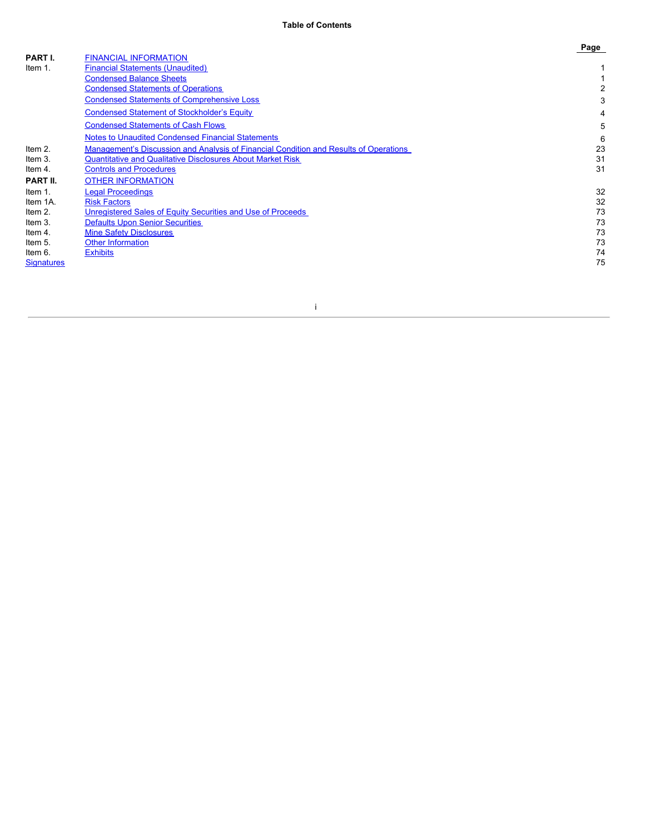| PART I.           | <b>FINANCIAL INFORMATION</b>                                                          |    |
|-------------------|---------------------------------------------------------------------------------------|----|
|                   |                                                                                       |    |
| Item 1.           | <b>Financial Statements (Unaudited)</b>                                               |    |
|                   | <b>Condensed Balance Sheets</b>                                                       |    |
|                   | <b>Condensed Statements of Operations</b>                                             | 2  |
|                   | <b>Condensed Statements of Comprehensive Loss</b>                                     | 3  |
|                   | <b>Condensed Statement of Stockholder's Equity</b>                                    | 4  |
|                   | <b>Condensed Statements of Cash Flows</b>                                             | 5  |
|                   | <b>Notes to Unaudited Condensed Financial Statements</b>                              | 6  |
| Item 2.           | Management's Discussion and Analysis of Financial Condition and Results of Operations | 23 |
| Item 3.           | <b>Quantitative and Qualitative Disclosures About Market Risk</b>                     | 31 |
| Item 4.           | <b>Controls and Procedures</b>                                                        | 31 |
| PART II.          | <b>OTHER INFORMATION</b>                                                              |    |
| Item 1.           | <b>Legal Proceedings</b>                                                              | 32 |
| Item 1A.          | <b>Risk Factors</b>                                                                   | 32 |
| Item 2.           | Unregistered Sales of Equity Securities and Use of Proceeds                           | 73 |
| Item 3.           | <b>Defaults Upon Senior Securities</b>                                                | 73 |
| Item 4.           | <b>Mine Safety Disclosures</b>                                                        | 73 |
| Item 5.           | <b>Other Information</b>                                                              | 73 |
| Item 6.           | <b>Exhibits</b>                                                                       | 74 |
| <b>Signatures</b> |                                                                                       | 75 |
|                   |                                                                                       |    |

# i

**Page**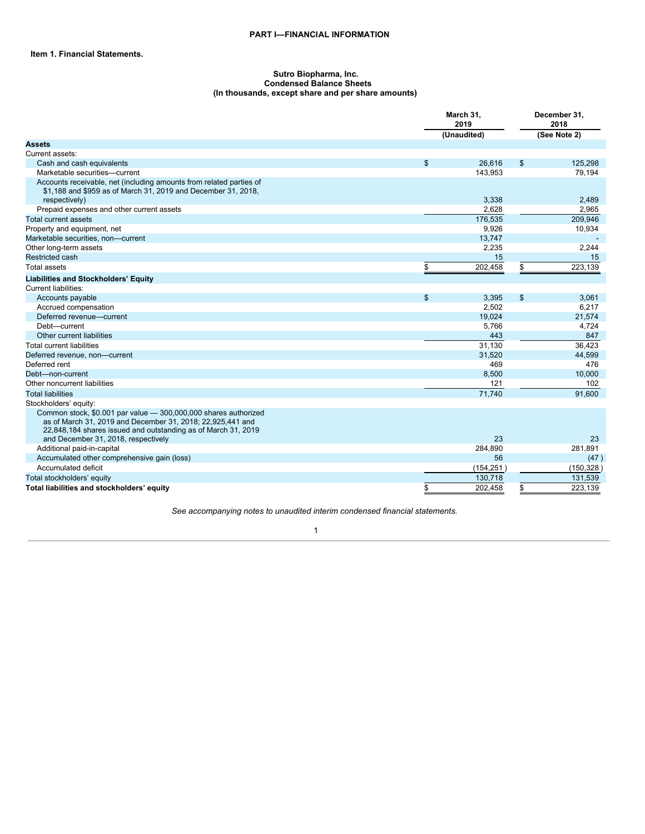#### <span id="page-2-2"></span><span id="page-2-0"></span>**Sutro Biopharma, Inc. Condensed Balance Sheets (In thousands, except share and per share amounts)**

<span id="page-2-1"></span>

|                                                                                                                                                                                                                                       |                | March 31,<br>2019 |    | December 31,<br>2018 |
|---------------------------------------------------------------------------------------------------------------------------------------------------------------------------------------------------------------------------------------|----------------|-------------------|----|----------------------|
|                                                                                                                                                                                                                                       |                | (Unaudited)       |    | (See Note 2)         |
| <b>Assets</b>                                                                                                                                                                                                                         |                |                   |    |                      |
| Current assets:                                                                                                                                                                                                                       |                |                   |    |                      |
| Cash and cash equivalents                                                                                                                                                                                                             | $\mathfrak{S}$ | 26,616            | \$ | 125,298              |
| Marketable securities-current                                                                                                                                                                                                         |                | 143,953           |    | 79,194               |
| Accounts receivable, net (including amounts from related parties of<br>\$1,188 and \$959 as of March 31, 2019 and December 31, 2018,                                                                                                  |                | 3,338             |    | 2,489                |
| respectively)<br>Prepaid expenses and other current assets                                                                                                                                                                            |                | 2,628             |    | 2,965                |
| Total current assets                                                                                                                                                                                                                  |                |                   |    |                      |
|                                                                                                                                                                                                                                       |                | 176,535<br>9.926  |    | 209,946              |
| Property and equipment, net                                                                                                                                                                                                           |                |                   |    | 10,934               |
| Marketable securities, non-current                                                                                                                                                                                                    |                | 13,747            |    | 2,244                |
| Other long-term assets<br><b>Restricted cash</b>                                                                                                                                                                                      |                | 2,235<br>15       |    |                      |
|                                                                                                                                                                                                                                       |                |                   |    | 15                   |
| <b>Total assets</b>                                                                                                                                                                                                                   | \$             | 202,458           | \$ | 223,139              |
| <b>Liabilities and Stockholders' Equity</b>                                                                                                                                                                                           |                |                   |    |                      |
| <b>Current liabilities:</b>                                                                                                                                                                                                           |                |                   |    |                      |
| Accounts payable                                                                                                                                                                                                                      | \$             | 3,395             | \$ | 3,061                |
| Accrued compensation                                                                                                                                                                                                                  |                | 2.502             |    | 6,217                |
| Deferred revenue-current                                                                                                                                                                                                              |                | 19,024            |    | 21,574               |
| Debt-current                                                                                                                                                                                                                          |                | 5,766             |    | 4,724                |
| Other current liabilities                                                                                                                                                                                                             |                | 443               |    | 847                  |
| <b>Total current liabilities</b>                                                                                                                                                                                                      |                | 31,130            |    | 36,423               |
| Deferred revenue, non-current                                                                                                                                                                                                         |                | 31,520            |    | 44,599               |
| Deferred rent                                                                                                                                                                                                                         |                | 469               |    | 476                  |
| Debt-non-current                                                                                                                                                                                                                      |                | 8,500             |    | 10,000               |
| Other noncurrent liabilities                                                                                                                                                                                                          |                | 121               |    | 102                  |
| <b>Total liabilities</b>                                                                                                                                                                                                              |                | 71.740            |    | 91.600               |
| Stockholders' equity:                                                                                                                                                                                                                 |                |                   |    |                      |
| Common stock, \$0.001 par value - 300,000,000 shares authorized<br>as of March 31, 2019 and December 31, 2018; 22,925,441 and<br>22,848,184 shares issued and outstanding as of March 31, 2019<br>and December 31, 2018, respectively |                | 23                |    | 23                   |
| Additional paid-in-capital                                                                                                                                                                                                            |                | 284,890           |    | 281,891              |
| Accumulated other comprehensive gain (loss)                                                                                                                                                                                           |                | 56                |    | (47)                 |
| Accumulated deficit                                                                                                                                                                                                                   |                | (154, 251)        |    | (150, 328)           |
| Total stockholders' equity                                                                                                                                                                                                            |                | 130,718           |    | 131,539              |
| Total liabilities and stockholders' equity                                                                                                                                                                                            | \$             | 202.458           | \$ | 223,139              |

*See accompanying notes to unaudited interim condensed financial statements.*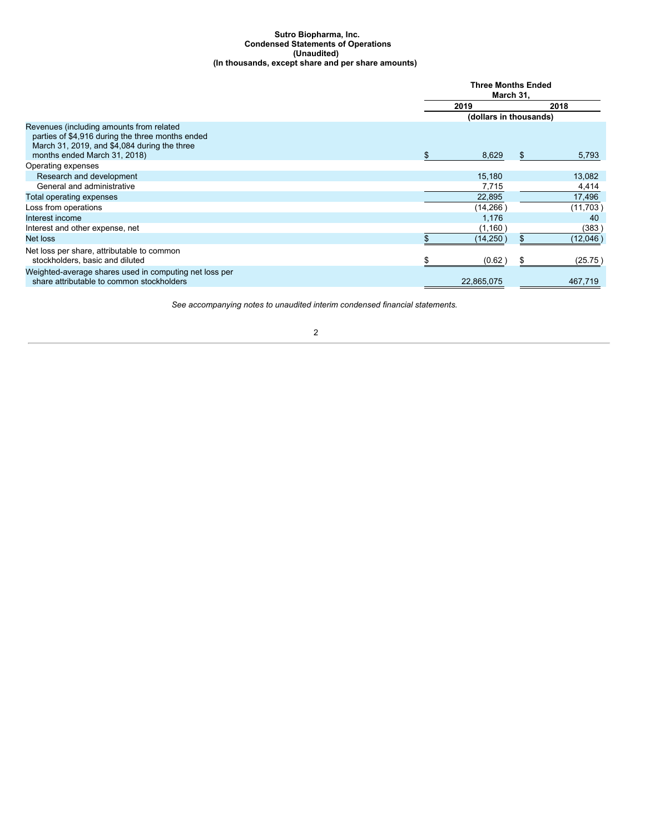#### <span id="page-3-0"></span>**Sutro Biopharma, Inc. Condensed Statements of Operations (Unaudited) (In thousands, except share and per share amounts)**

|                                                                                                                                                                              |      | <b>Three Months Ended</b><br>March 31. |     |           |  |
|------------------------------------------------------------------------------------------------------------------------------------------------------------------------------|------|----------------------------------------|-----|-----------|--|
|                                                                                                                                                                              | 2019 |                                        |     | 2018      |  |
|                                                                                                                                                                              |      | (dollars in thousands)                 |     |           |  |
| Revenues (including amounts from related<br>parties of \$4,916 during the three months ended<br>March 31, 2019, and \$4,084 during the three<br>months ended March 31, 2018) |      | 8,629                                  | \$. | 5,793     |  |
| Operating expenses                                                                                                                                                           |      |                                        |     |           |  |
| Research and development                                                                                                                                                     |      | 15,180                                 |     | 13,082    |  |
| General and administrative                                                                                                                                                   |      | 7,715                                  |     | 4,414     |  |
| Total operating expenses                                                                                                                                                     |      | 22,895                                 |     | 17,496    |  |
| Loss from operations                                                                                                                                                         |      | (14, 266)                              |     | (11,703)  |  |
| Interest income                                                                                                                                                              |      | 1,176                                  |     | 40        |  |
| Interest and other expense, net                                                                                                                                              |      | (1,160)                                |     | (383)     |  |
| Net loss                                                                                                                                                                     |      | (14, 250)                              |     | (12,046 ) |  |
| Net loss per share, attributable to common<br>stockholders, basic and diluted                                                                                                |      | (0.62)                                 |     | (25.75)   |  |
| Weighted-average shares used in computing net loss per<br>share attributable to common stockholders                                                                          |      | 22,865,075                             |     | 467,719   |  |

*See accompanying notes to unaudited interim condensed financial statements.*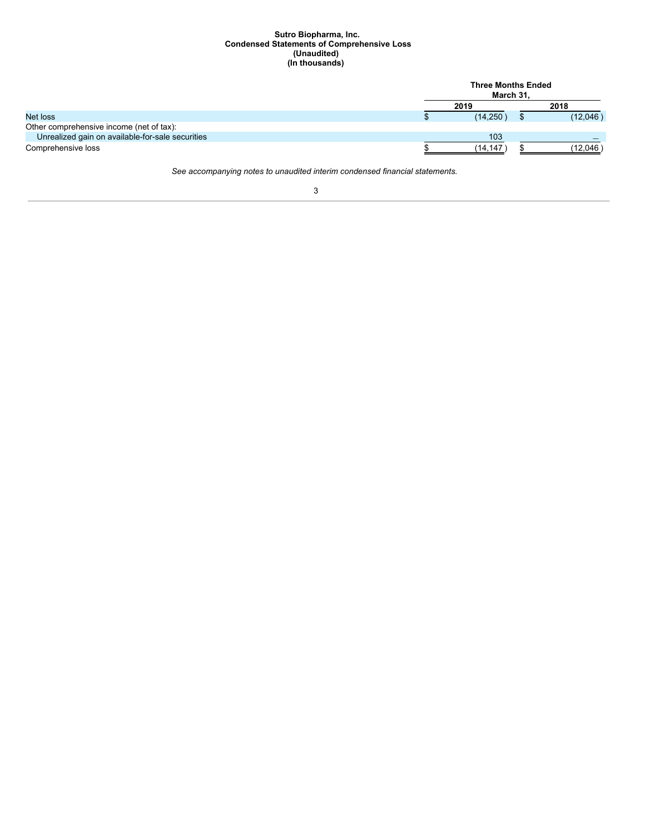#### <span id="page-4-0"></span>**Sutro Biopharma, Inc. Condensed Statements of Comprehensive Loss (Unaudited) (In thousands)**

|                                                  | <b>Three Months Ended</b><br>March 31. |  |          |  |  |
|--------------------------------------------------|----------------------------------------|--|----------|--|--|
|                                                  | 2019                                   |  | 2018     |  |  |
| Net loss                                         | (14, 250)                              |  | (12,046) |  |  |
| Other comprehensive income (net of tax):         |                                        |  |          |  |  |
| Unrealized gain on available-for-sale securities | 103                                    |  |          |  |  |
| Comprehensive loss                               | (14.147                                |  | (12,046  |  |  |

*See accompanying notes to unaudited interim condensed financial statements.*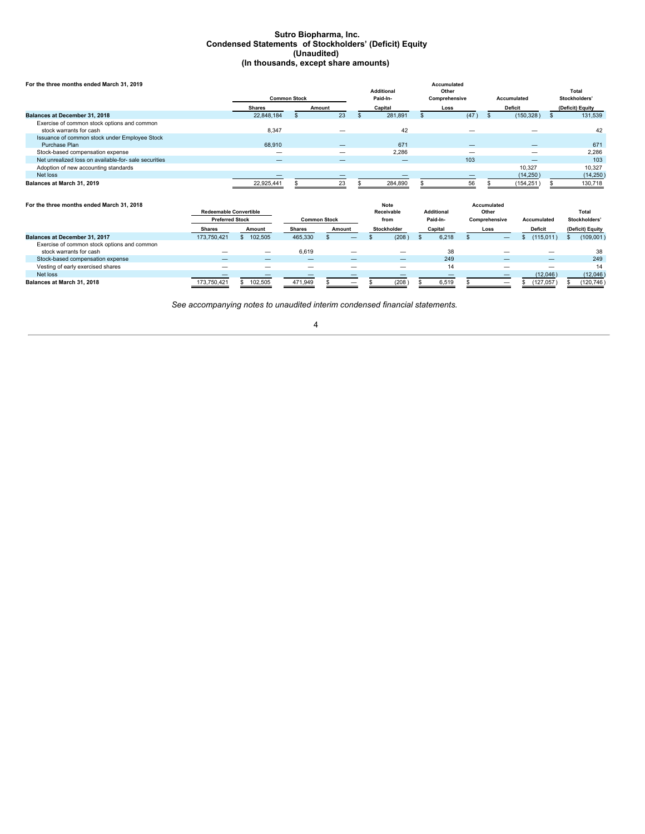#### <span id="page-5-0"></span>**Sutro Biopharma, Inc. Condensed Statements of Stockholders' (Deficit) Equity (Unaudited) (In thousands, except share amounts)**

| For the three months ended March 31, 2019                              |                     |        |                               | Accumulated            |                |                        |
|------------------------------------------------------------------------|---------------------|--------|-------------------------------|------------------------|----------------|------------------------|
|                                                                        | <b>Common Stock</b> |        | <b>Additional</b><br>Paid-In- | Other<br>Comprehensive | Accumulated    | Total<br>Stockholders' |
|                                                                        | Shares              | Amount | Capital                       | Loss                   | <b>Deficit</b> | (Deficit) Equity       |
| Balances at December 31, 2018                                          | 22.848.184          | 23     | 281,891                       | (47)                   | (150, 328)     | 131,539                |
| Exercise of common stock options and common<br>stock warrants for cash | 8,347               |        | 42                            |                        |                | 42                     |
| Issuance of common stock under Employee Stock                          |                     |        |                               |                        |                |                        |
| Purchase Plan                                                          | 68,910              |        | 671                           |                        |                | 671                    |
| Stock-based compensation expense                                       |                     |        | 2.286                         |                        |                | 2.286                  |
| Net unrealized loss on available-for- sale securities                  |                     |        |                               | 103                    |                | 103                    |
| Adoption of new accounting standards                                   |                     |        |                               |                        | 10.327         | 10.327                 |
| Net loss                                                               |                     |        |                               |                        | (14, 250)      | (14, 250)              |
| Balances at March 31, 2019                                             | 22.925.441          | 23     | 284,890                       | 56                     | (154,251       | 130,718                |

| For the three months ended March 31, 2018                              |                               |                          |                     |                 | <b>Note</b> |                   |       | Accumulated          |                |                  |
|------------------------------------------------------------------------|-------------------------------|--------------------------|---------------------|-----------------|-------------|-------------------|-------|----------------------|----------------|------------------|
|                                                                        | <b>Redeemable Convertible</b> |                          |                     |                 | Receivable  | <b>Additional</b> |       | Other                |                | Total            |
|                                                                        | <b>Preferred Stock</b>        |                          | <b>Common Stock</b> |                 | from        | Paid-In-          |       | <b>Comprehensive</b> | Accumulated    | Stockholders'    |
|                                                                        | <b>Shares</b>                 | Amount                   | <b>Shares</b>       | Amount          | Stockholder | Capital           |       | Loss                 | <b>Deficit</b> | (Deficit) Equity |
| <b>Balances at December 31, 2017</b>                                   | 173.750.421                   | 102,505                  | 465.330             |                 | (208)       |                   | 6.218 |                      | (115, 011)     | (109, 001)       |
| Exercise of common stock options and common<br>stock warrants for cash |                               | $\overline{\phantom{m}}$ | 6.619               | $\qquad \qquad$ |             |                   | 38    |                      |                | 38               |
| Stock-based compensation expense                                       |                               |                          |                     |                 |             |                   | 249   |                      |                | 249              |
| Vesting of early exercised shares                                      |                               |                          |                     |                 |             |                   | 14    |                      |                | 14               |
| Net loss                                                               |                               |                          |                     |                 |             |                   |       |                      | (12,046)       | (12,046)         |
| Balances at March 31, 2018                                             | 173.750.421                   | 102,505                  | 471.949             | –               | (208)       |                   | 6.519 |                      | 127,057        | (120,746)        |

*See accompanying notes to unaudited interim condensed financial statements.*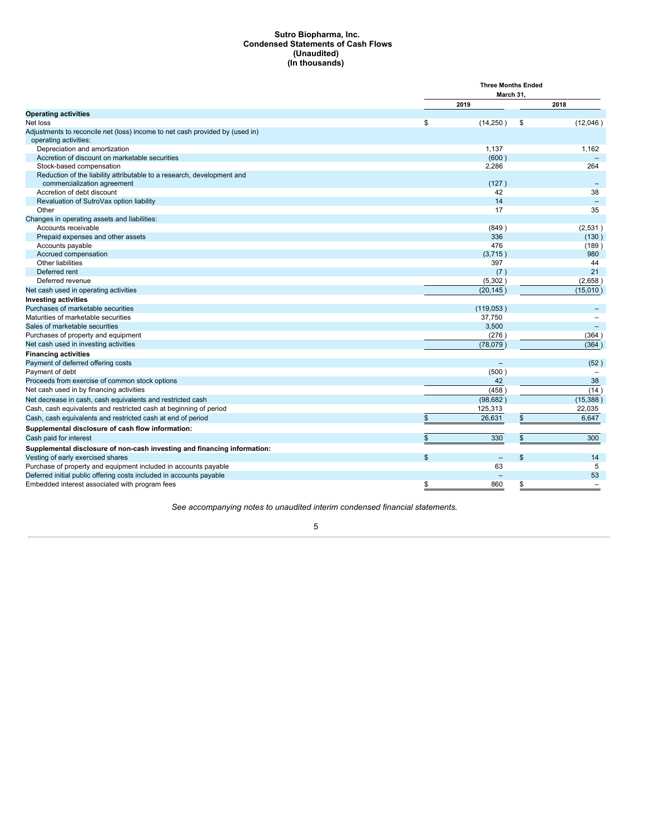## <span id="page-6-0"></span>**Sutro Biopharma, Inc. Condensed Statements of Cash Flows (Unaudited) (In thousands)**

|                                                                                                    | <b>Three Months Ended</b>      |                |
|----------------------------------------------------------------------------------------------------|--------------------------------|----------------|
|                                                                                                    | March 31.                      |                |
|                                                                                                    | 2019                           | 2018           |
| <b>Operating activities</b>                                                                        |                                |                |
| Net loss                                                                                           | \$<br>(14, 250)                | \$<br>(12,046) |
| Adjustments to reconcile net (loss) income to net cash provided by (used in)                       |                                |                |
| operating activities:                                                                              |                                |                |
| Depreciation and amortization                                                                      | 1,137                          | 1,162          |
| Accretion of discount on marketable securities                                                     | (600)                          |                |
| Stock-based compensation<br>Reduction of the liability attributable to a research, development and | 2,286                          | 264            |
| commercialization agreement                                                                        | (127)                          |                |
| Accretion of debt discount                                                                         | 42                             | 38             |
| Revaluation of SutroVax option liability                                                           | 14                             |                |
| Other                                                                                              | 17                             | 35             |
| Changes in operating assets and liabilities:                                                       |                                |                |
| Accounts receivable                                                                                | (849)                          | (2,531)        |
| Prepaid expenses and other assets                                                                  | 336                            | (130)          |
| Accounts payable                                                                                   | 476                            | (189)          |
| Accrued compensation                                                                               | (3,715)                        | 980            |
| Other liabilities                                                                                  | 397                            | 44             |
| Deferred rent                                                                                      | (7)                            | 21             |
| Deferred revenue                                                                                   | (5,302)                        | (2,658)        |
| Net cash used in operating activities                                                              | (20, 145)                      | (15,010)       |
| <b>Investing activities</b>                                                                        |                                |                |
| Purchases of marketable securities                                                                 | (119,053)                      |                |
| Maturities of marketable securities                                                                | 37,750                         |                |
| Sales of marketable securities                                                                     | 3,500                          |                |
| Purchases of property and equipment                                                                | (276)                          | (364)          |
| Net cash used in investing activities                                                              | (78,079)                       | (364)          |
| <b>Financing activities</b>                                                                        |                                |                |
| Payment of deferred offering costs                                                                 |                                | (52)           |
| Payment of debt                                                                                    | (500)                          |                |
| Proceeds from exercise of common stock options                                                     | 42                             | 38             |
| Net cash used in by financing activities                                                           | (458)                          | (14)           |
| Net decrease in cash, cash equivalents and restricted cash                                         | (98, 682)                      | (15, 388)      |
| Cash, cash equivalents and restricted cash at beginning of period                                  | 125,313                        | 22,035         |
| Cash, cash equivalents and restricted cash at end of period                                        | \$<br>26,631                   | \$<br>6,647    |
| Supplemental disclosure of cash flow information:                                                  |                                |                |
| Cash paid for interest                                                                             | \$<br>330                      | \$<br>300      |
| Supplemental disclosure of non-cash investing and financing information:                           |                                |                |
| Vesting of early exercised shares                                                                  | \$<br>$\overline{\phantom{m}}$ | \$<br>14       |
| Purchase of property and equipment included in accounts payable                                    | 63                             | 5              |
| Deferred initial public offering costs included in accounts payable                                |                                | 53             |
| Embedded interest associated with program fees                                                     | \$<br>860                      | \$             |

*See accompanying notes to unaudited interim condensed financial statements.*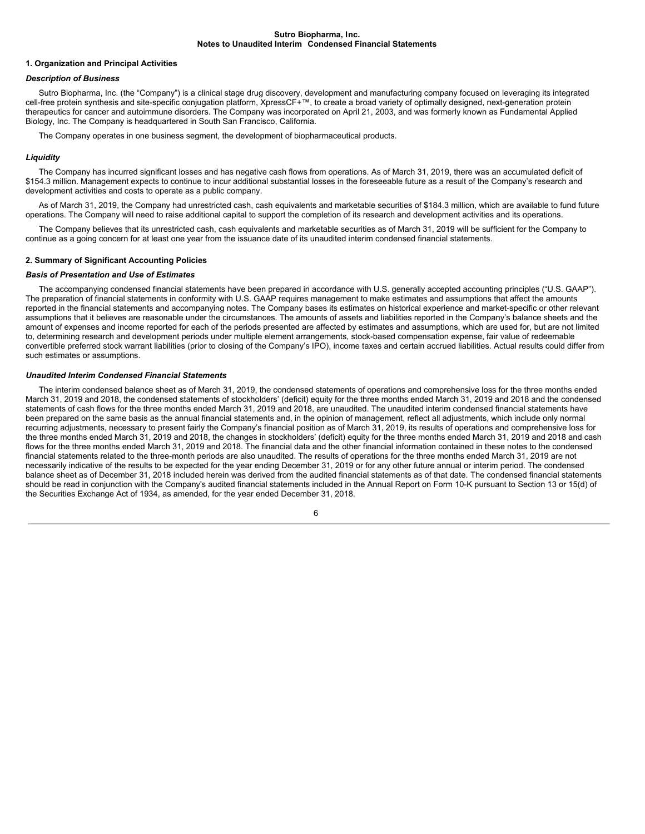#### <span id="page-7-0"></span>**Sutro Biopharma, Inc. Notes to Unaudited Interim Condensed Financial Statements**

#### **1. Organization and Principal Activities**

# *Description of Business*

Sutro Biopharma, Inc. (the "Company") is a clinical stage drug discovery, development and manufacturing company focused on leveraging its integrated cell-free protein synthesis and site-specific conjugation platform, XpressCF+™, to create a broad variety of optimally designed, next-generation protein therapeutics for cancer and autoimmune disorders. The Company was incorporated on April 21, 2003, and was formerly known as Fundamental Applied Biology, Inc. The Company is headquartered in South San Francisco, California.

The Company operates in one business segment, the development of biopharmaceutical products.

#### *Liquidity*

The Company has incurred significant losses and has negative cash flows from operations. As of March 31, 2019, there was an accumulated deficit of \$154.3 million. Management expects to continue to incur additional substantial losses in the foreseeable future as a result of the Company's research and development activities and costs to operate as a public company.

As of March 31, 2019, the Company had unrestricted cash, cash equivalents and marketable securities of \$184.3 million, which are available to fund future operations. The Company will need to raise additional capital to support the completion of its research and development activities and its operations.

The Company believes that its unrestricted cash, cash equivalents and marketable securities as of March 31, 2019 will be sufficient for the Company to continue as a going concern for at least one year from the issuance date of its unaudited interim condensed financial statements.

# **2. Summary of Significant Accounting Policies**

#### *Basis of Presentation and Use of Estimates*

The accompanying condensed financial statements have been prepared in accordance with U.S. generally accepted accounting principles ("U.S. GAAP"). The preparation of financial statements in conformity with U.S. GAAP requires management to make estimates and assumptions that affect the amounts reported in the financial statements and accompanying notes. The Company bases its estimates on historical experience and market-specific or other relevant assumptions that it believes are reasonable under the circumstances. The amounts of assets and liabilities reported in the Company's balance sheets and the amount of expenses and income reported for each of the periods presented are affected by estimates and assumptions, which are used for, but are not limited to, determining research and development periods under multiple element arrangements, stock-based compensation expense, fair value of redeemable convertible preferred stock warrant liabilities (prior to closing of the Company's IPO), income taxes and certain accrued liabilities. Actual results could differ from such estimates or assumptions.

# *Unaudited Interim Condensed Financial Statements*

The interim condensed balance sheet as of March 31, 2019, the condensed statements of operations and comprehensive loss for the three months ended March 31, 2019 and 2018, the condensed statements of stockholders' (deficit) equity for the three months ended March 31, 2019 and 2018 and the condensed statements of cash flows for the three months ended March 31, 2019 and 2018, are unaudited. The unaudited interim condensed financial statements have been prepared on the same basis as the annual financial statements and, in the opinion of management, reflect all adjustments, which include only normal recurring adjustments, necessary to present fairly the Company's financial position as of March 31, 2019, its results of operations and comprehensive loss for the three months ended March 31, 2019 and 2018, the changes in stockholders' (deficit) equity for the three months ended March 31, 2019 and 2018 and cash flows for the three months ended March 31, 2019 and 2018. The financial data and the other financial information contained in these notes to the condensed financial statements related to the three-month periods are also unaudited. The results of operations for the three months ended March 31, 2019 are not necessarily indicative of the results to be expected for the year ending December 31, 2019 or for any other future annual or interim period. The condensed balance sheet as of December 31, 2018 included herein was derived from the audited financial statements as of that date. The condensed financial statements should be read in conjunction with the Company's audited financial statements included in the Annual Report on Form 10-K pursuant to Section 13 or 15(d) of the Securities Exchange Act of 1934, as amended, for the year ended December 31, 2018.

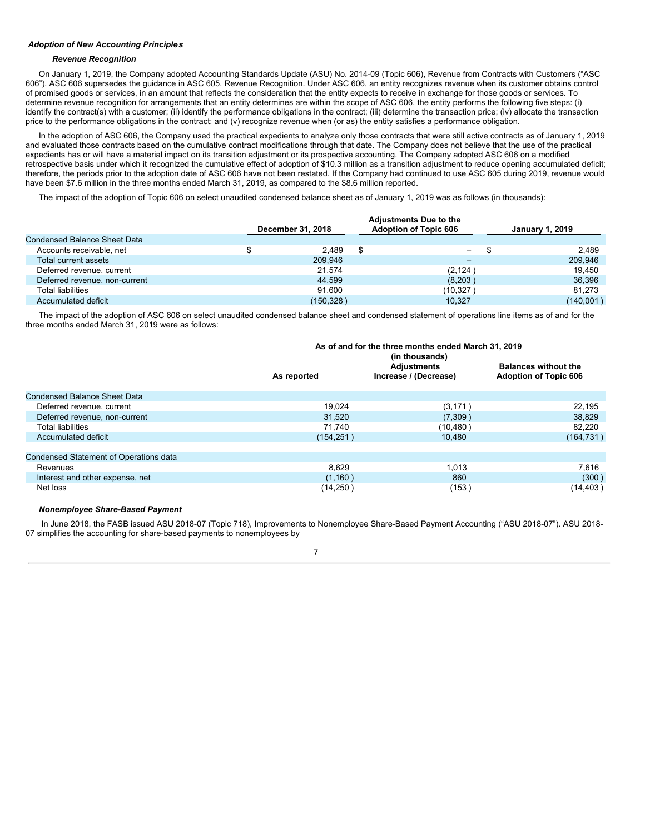# *Adoption of New Accounting Principles*

# *Revenue Recognition*

On January 1, 2019, the Company adopted Accounting Standards Update (ASU) No. 2014-09 (Topic 606), Revenue from Contracts with Customers ("ASC 606"). ASC 606 supersedes the guidance in ASC 605, Revenue Recognition. Under ASC 606, an entity recognizes revenue when its customer obtains control of promised goods or services, in an amount that reflects the consideration that the entity expects to receive in exchange for those goods or services. To determine revenue recognition for arrangements that an entity determines are within the scope of ASC 606, the entity performs the following five steps: (i) identify the contract(s) with a customer; (ii) identify the performance obligations in the contract; (iii) determine the transaction price; (iv) allocate the transaction price to the performance obligations in the contract; and (v) recognize revenue when (or as) the entity satisfies a performance obligation.

In the adoption of ASC 606, the Company used the practical expedients to analyze only those contracts that were still active contracts as of January 1, 2019 and evaluated those contracts based on the cumulative contract modifications through that date. The Company does not believe that the use of the practical expedients has or will have a material impact on its transition adjustment or its prospective accounting. The Company adopted ASC 606 on a modified retrospective basis under which it recognized the cumulative effect of adoption of \$10.3 million as a transition adjustment to reduce opening accumulated deficit; therefore, the periods prior to the adoption date of ASC 606 have not been restated. If the Company had continued to use ASC 605 during 2019, revenue would have been \$7.6 million in the three months ended March 31, 2019, as compared to the \$8.6 million reported.

The impact of the adoption of Topic 606 on select unaudited condensed balance sheet as of January 1, 2019 was as follows (in thousands):

|                               | December 31, 2018 | <b>Adjustments Due to the</b><br><b>Adoption of Topic 606</b> | <b>January 1, 2019</b> |
|-------------------------------|-------------------|---------------------------------------------------------------|------------------------|
| Condensed Balance Sheet Data  |                   |                                                               |                        |
| Accounts receivable, net      | 2.489             | \$<br>—                                                       | -\$<br>2.489           |
| Total current assets          | 209.946           | -                                                             | 209.946                |
| Deferred revenue, current     | 21.574            | (2, 124)                                                      | 19.450                 |
| Deferred revenue, non-current | 44.599            | (8,203)                                                       | 36.396                 |
| <b>Total liabilities</b>      | 91.600            | (10,327 )                                                     | 81.273                 |
| Accumulated deficit           | (150, 328)        | 10.327                                                        | (140,001)              |

The impact of the adoption of ASC 606 on select unaudited condensed balance sheet and condensed statement of operations line items as of and for the three months ended March 31, 2019 were as follows:

|                                               | As of and for the three months ended March 31, 2019<br>(in thousands) |                                             |                                                             |  |  |  |  |
|-----------------------------------------------|-----------------------------------------------------------------------|---------------------------------------------|-------------------------------------------------------------|--|--|--|--|
|                                               | As reported                                                           | <b>Adjustments</b><br>Increase / (Decrease) | <b>Balances without the</b><br><b>Adoption of Topic 606</b> |  |  |  |  |
| Condensed Balance Sheet Data                  |                                                                       |                                             |                                                             |  |  |  |  |
| Deferred revenue, current                     | 19.024                                                                | (3, 171)                                    | 22,195                                                      |  |  |  |  |
| Deferred revenue, non-current                 | 31.520                                                                | (7,309)                                     | 38.829                                                      |  |  |  |  |
| <b>Total liabilities</b>                      | 71.740                                                                | (10,480)                                    | 82,220                                                      |  |  |  |  |
| Accumulated deficit                           | (154, 251)                                                            | 10.480                                      | (164, 731)                                                  |  |  |  |  |
|                                               |                                                                       |                                             |                                                             |  |  |  |  |
| <b>Condensed Statement of Operations data</b> |                                                                       |                                             |                                                             |  |  |  |  |
| Revenues                                      | 8.629                                                                 | 1.013                                       | 7,616                                                       |  |  |  |  |
| Interest and other expense, net               | (1,160)                                                               | 860                                         | (300)                                                       |  |  |  |  |
| Net loss                                      | (14, 250)                                                             | (153)                                       | (14,403 )                                                   |  |  |  |  |

# *Nonemployee Share-Based Payment*

In June 2018, the FASB issued ASU 2018-07 (Topic 718), Improvements to Nonemployee Share-Based Payment Accounting ("ASU 2018-07"). ASU 2018- 07 simplifies the accounting for share-based payments to nonemployees by

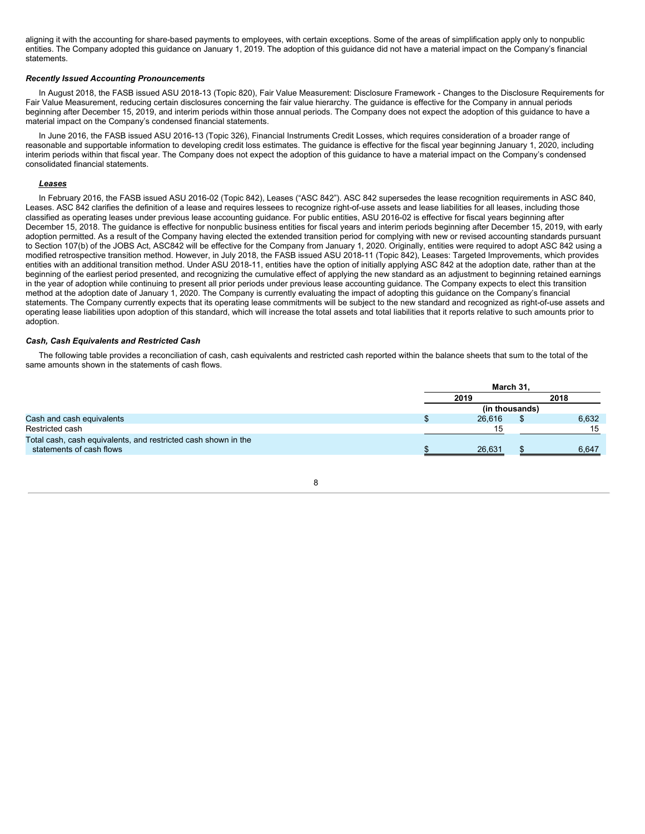aligning it with the accounting for share-based payments to employees, with certain exceptions. Some of the areas of simplification apply only to nonpublic entities. The Company adopted this guidance on January 1, 2019. The adoption of this guidance did not have a material impact on the Company's financial statements.

# *Recently Issued Accounting Pronouncements*

In August 2018, the FASB issued ASU 2018-13 (Topic 820), Fair Value Measurement: Disclosure Framework - Changes to the Disclosure Requirements for Fair Value Measurement, reducing certain disclosures concerning the fair value hierarchy. The guidance is effective for the Company in annual periods beginning after December 15, 2019, and interim periods within those annual periods. The Company does not expect the adoption of this guidance to have a material impact on the Company's condensed financial statements.

In June 2016, the FASB issued ASU 2016-13 (Topic 326), Financial Instruments Credit Losses, which requires consideration of a broader range of reasonable and supportable information to developing credit loss estimates. The guidance is effective for the fiscal year beginning January 1, 2020, including interim periods within that fiscal year. The Company does not expect the adoption of this guidance to have a material impact on the Company's condensed consolidated financial statements.

# *Leases*

In February 2016, the FASB issued ASU 2016-02 (Topic 842), Leases ("ASC 842"). ASC 842 supersedes the lease recognition requirements in ASC 840, Leases. ASC 842 clarifies the definition of a lease and requires lessees to recognize right-of-use assets and lease liabilities for all leases, including those classified as operating leases under previous lease accounting guidance. For public entities, ASU 2016-02 is effective for fiscal years beginning after December 15, 2018. The guidance is effective for nonpublic business entities for fiscal years and interim periods beginning after December 15, 2019, with early adoption permitted. As a result of the Company having elected the extended transition period for complying with new or revised accounting standards pursuant to Section 107(b) of the JOBS Act, ASC842 will be effective for the Company from January 1, 2020. Originally, entities were required to adopt ASC 842 using a modified retrospective transition method. However, in July 2018, the FASB issued ASU 2018-11 (Topic 842), Leases: Targeted Improvements, which provides entities with an additional transition method. Under ASU 2018-11, entities have the option of initially applying ASC 842 at the adoption date, rather than at the beginning of the earliest period presented, and recognizing the cumulative effect of applying the new standard as an adjustment to beginning retained earnings in the year of adoption while continuing to present all prior periods under previous lease accounting guidance. The Company expects to elect this transition method at the adoption date of January 1, 2020. The Company is currently evaluating the impact of adopting this guidance on the Company's financial statements. The Company currently expects that its operating lease commitments will be subject to the new standard and recognized as right-of-use assets and operating lease liabilities upon adoption of this standard, which will increase the total assets and total liabilities that it reports relative to such amounts prior to adoption.

# *Cash, Cash Equivalents and Restricted Cash*

The following table provides a reconciliation of cash, cash equivalents and restricted cash reported within the balance sheets that sum to the total of the same amounts shown in the statements of cash flows.

|                                                                | March 31. |        |                |       |  |
|----------------------------------------------------------------|-----------|--------|----------------|-------|--|
|                                                                | 2019      |        | 2018           |       |  |
|                                                                |           |        | (in thousands) |       |  |
| Cash and cash equivalents                                      |           | 26.616 |                | 6,632 |  |
| Restricted cash                                                |           | 15     |                | 15    |  |
| Total cash, cash equivalents, and restricted cash shown in the |           |        |                |       |  |
| statements of cash flows                                       |           | 26.631 |                | 6.647 |  |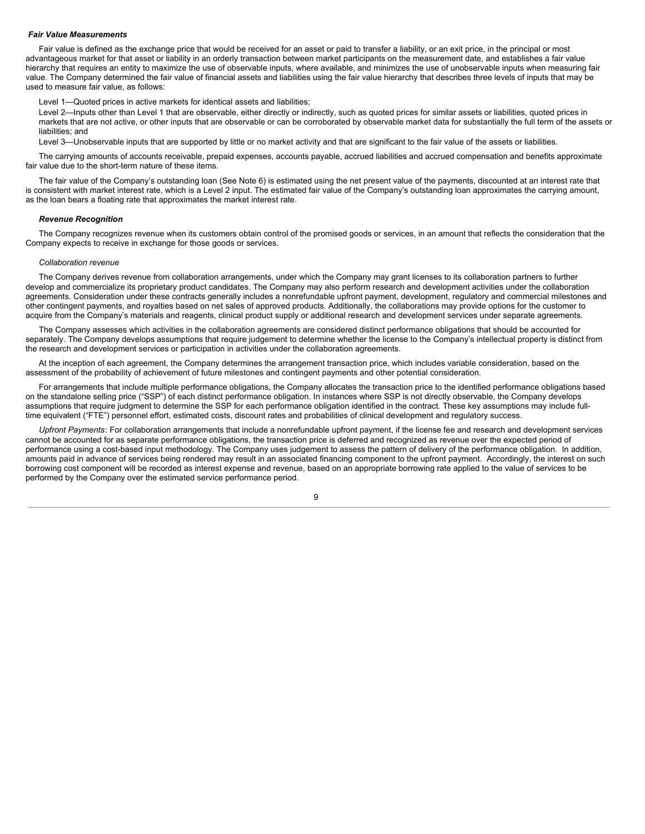#### *Fair Value Measurements*

Fair value is defined as the exchange price that would be received for an asset or paid to transfer a liability, or an exit price, in the principal or most advantageous market for that asset or liability in an orderly transaction between market participants on the measurement date, and establishes a fair value hierarchy that requires an entity to maximize the use of observable inputs, where available, and minimizes the use of unobservable inputs when measuring fair value. The Company determined the fair value of financial assets and liabilities using the fair value hierarchy that describes three levels of inputs that may be used to measure fair value, as follows:

Level 1—Quoted prices in active markets for identical assets and liabilities;

Level 2-Inputs other than Level 1 that are observable, either directly or indirectly, such as quoted prices for similar assets or liabilities, quoted prices in markets that are not active, or other inputs that are observable or can be corroborated by observable market data for substantially the full term of the assets or liabilities; and

Level 3—Unobservable inputs that are supported by little or no market activity and that are significant to the fair value of the assets or liabilities.

The carrying amounts of accounts receivable, prepaid expenses, accounts payable, accrued liabilities and accrued compensation and benefits approximate fair value due to the short-term nature of these items.

The fair value of the Company's outstanding loan (See Note 6) is estimated using the net present value of the payments, discounted at an interest rate that is consistent with market interest rate, which is a Level 2 input. The estimated fair value of the Company's outstanding loan approximates the carrying amount, as the loan bears a floating rate that approximates the market interest rate.

#### *Revenue Recognition*

The Company recognizes revenue when its customers obtain control of the promised goods or services, in an amount that reflects the consideration that the Company expects to receive in exchange for those goods or services.

#### *Collaboration revenue*

The Company derives revenue from collaboration arrangements, under which the Company may grant licenses to its collaboration partners to further develop and commercialize its proprietary product candidates. The Company may also perform research and development activities under the collaboration agreements. Consideration under these contracts generally includes a nonrefundable upfront payment, development, regulatory and commercial milestones and other contingent payments, and royalties based on net sales of approved products. Additionally, the collaborations may provide options for the customer to acquire from the Company's materials and reagents, clinical product supply or additional research and development services under separate agreements.

The Company assesses which activities in the collaboration agreements are considered distinct performance obligations that should be accounted for separately. The Company develops assumptions that require judgement to determine whether the license to the Company's intellectual property is distinct from the research and development services or participation in activities under the collaboration agreements.

At the inception of each agreement, the Company determines the arrangement transaction price, which includes variable consideration, based on the assessment of the probability of achievement of future milestones and contingent payments and other potential consideration.

For arrangements that include multiple performance obligations, the Company allocates the transaction price to the identified performance obligations based on the standalone selling price ("SSP") of each distinct performance obligation. In instances where SSP is not directly observable, the Company develops assumptions that require judgment to determine the SSP for each performance obligation identified in the contract. These key assumptions may include fulltime equivalent ("FTE") personnel effort, estimated costs, discount rates and probabilities of clinical development and regulatory success.

*Upfront Payments*: For collaboration arrangements that include a nonrefundable upfront payment, if the license fee and research and development services cannot be accounted for as separate performance obligations, the transaction price is deferred and recognized as revenue over the expected period of performance using a cost-based input methodology. The Company uses judgement to assess the pattern of delivery of the performance obligation. In addition, amounts paid in advance of services being rendered may result in an associated financing component to the upfront payment. Accordingly, the interest on such borrowing cost component will be recorded as interest expense and revenue, based on an appropriate borrowing rate applied to the value of services to be performed by the Company over the estimated service performance period.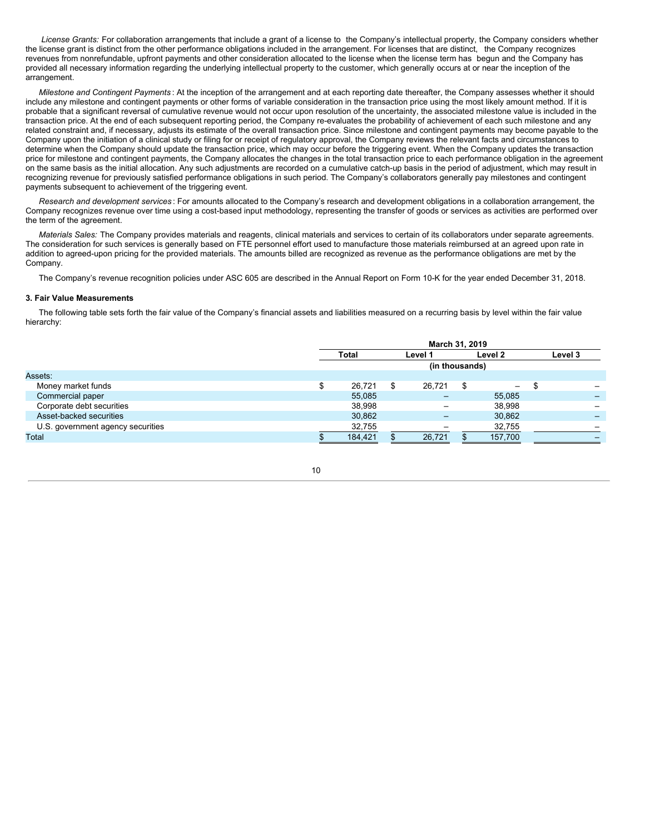*License Grants:* For collaboration arrangements that include a grant of a license to the Company's intellectual property, the Company considers whether the license grant is distinct from the other performance obligations included in the arrangement. For licenses that are distinct, the Company recognizes revenues from nonrefundable, upfront payments and other consideration allocated to the license when the license term has begun and the Company has provided all necessary information regarding the underlying intellectual property to the customer, which generally occurs at or near the inception of the arrangement.

*Milestone and Contingent Payments* : At the inception of the arrangement and at each reporting date thereafter, the Company assesses whether it should include any milestone and contingent payments or other forms of variable consideration in the transaction price using the most likely amount method. If it is probable that a significant reversal of cumulative revenue would not occur upon resolution of the uncertainty, the associated milestone value is included in the transaction price. At the end of each subsequent reporting period, the Company re-evaluates the probability of achievement of each such milestone and any related constraint and, if necessary, adjusts its estimate of the overall transaction price. Since milestone and contingent payments may become payable to the Company upon the initiation of a clinical study or filing for or receipt of regulatory approval, the Company reviews the relevant facts and circumstances to determine when the Company should update the transaction price, which may occur before the triggering event. When the Company updates the transaction price for milestone and contingent payments, the Company allocates the changes in the total transaction price to each performance obligation in the agreement on the same basis as the initial allocation. Any such adjustments are recorded on a cumulative catch-up basis in the period of adjustment, which may result in recognizing revenue for previously satisfied performance obligations in such period. The Company's collaborators generally pay milestones and contingent payments subsequent to achievement of the triggering event.

*Research and development services* : For amounts allocated to the Company's research and development obligations in a collaboration arrangement, the Company recognizes revenue over time using a cost-based input methodology, representing the transfer of goods or services as activities are performed over the term of the agreement.

*Materials Sales:* The Company provides materials and reagents, clinical materials and services to certain of its collaborators under separate agreements. The consideration for such services is generally based on FTE personnel effort used to manufacture those materials reimbursed at an agreed upon rate in addition to agreed-upon pricing for the provided materials. The amounts billed are recognized as revenue as the performance obligations are met by the Company.

The Company's revenue recognition policies under ASC 605 are described in the Annual Report on Form 10-K for the year ended December 31, 2018.

# **3. Fair Value Measurements**

The following table sets forth the fair value of the Company's financial assets and liabilities measured on a recurring basis by level within the fair value hierarchy:

| March 31, 2019 |         |    |                          |         |                          |         |         |
|----------------|---------|----|--------------------------|---------|--------------------------|---------|---------|
|                | Total   |    |                          |         |                          |         | Level 3 |
| (in thousands) |         |    |                          |         |                          |         |         |
|                |         |    |                          |         |                          |         |         |
| \$             | 26,721  | \$ | 26,721                   |         | $\overline{\phantom{0}}$ | -\$     |         |
|                | 55,085  |    | $\overline{\phantom{m}}$ |         | 55,085                   |         |         |
|                | 38,998  |    | $\qquad \qquad$          |         | 38,998                   |         |         |
|                | 30,862  |    |                          |         | 30,862                   |         |         |
|                | 32,755  |    |                          |         | 32,755                   |         |         |
|                | 184.421 |    | 26.721                   |         | 157.700                  |         |         |
|                |         |    |                          | Level 1 |                          | Level 2 |         |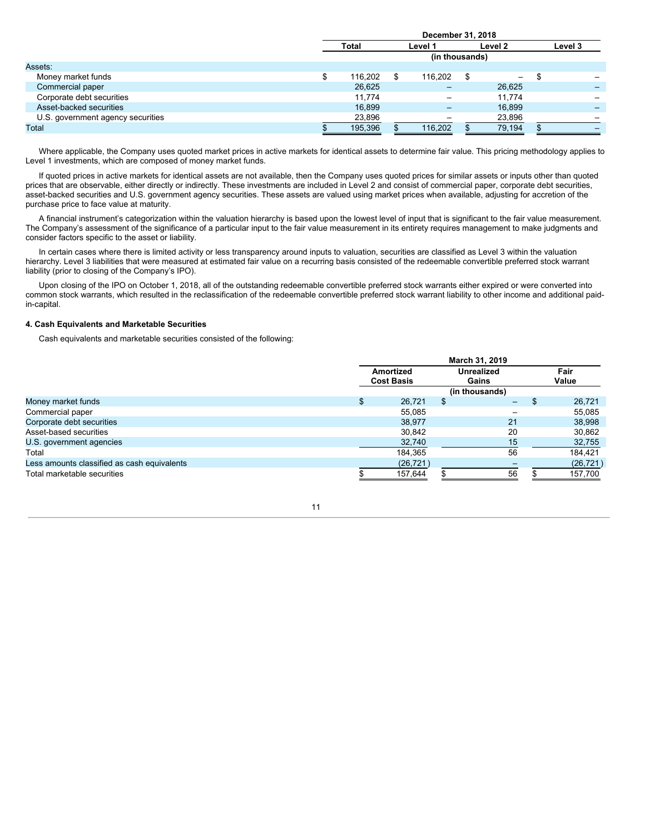|                                   | December 31, 2018 |  |                          |  |                          |    |         |  |
|-----------------------------------|-------------------|--|--------------------------|--|--------------------------|----|---------|--|
|                                   | <b>Total</b>      |  | Level 1                  |  | Level 2                  |    | Level 3 |  |
|                                   |                   |  | (in thousands)           |  |                          |    |         |  |
| Assets:                           |                   |  |                          |  |                          |    |         |  |
| Money market funds                | 116,202           |  | 116,202                  |  | $\overline{\phantom{0}}$ | \$ |         |  |
| Commercial paper                  | 26,625            |  |                          |  | 26,625                   |    |         |  |
| Corporate debt securities         | 11.774            |  | $\overline{\phantom{0}}$ |  | 11.774                   |    |         |  |
| Asset-backed securities           | 16.899            |  | $\overline{\phantom{0}}$ |  | 16.899                   |    |         |  |
| U.S. government agency securities | 23,896            |  |                          |  | 23,896                   |    |         |  |
| Total                             | 195,396           |  | 116,202                  |  | 79,194                   |    |         |  |
|                                   |                   |  |                          |  |                          |    |         |  |

**December 31, 2018**

Where applicable, the Company uses quoted market prices in active markets for identical assets to determine fair value. This pricing methodology applies to Level 1 investments, which are composed of money market funds.

If quoted prices in active markets for identical assets are not available, then the Company uses quoted prices for similar assets or inputs other than quoted prices that are observable, either directly or indirectly. These investments are included in Level 2 and consist of commercial paper, corporate debt securities, asset-backed securities and U.S. government agency securities. These assets are valued using market prices when available, adjusting for accretion of the purchase price to face value at maturity.

A financial instrument's categorization within the valuation hierarchy is based upon the lowest level of input that is significant to the fair value measurement. The Company's assessment of the significance of a particular input to the fair value measurement in its entirety requires management to make judgments and consider factors specific to the asset or liability.

In certain cases where there is limited activity or less transparency around inputs to valuation, securities are classified as Level 3 within the valuation hierarchy. Level 3 liabilities that were measured at estimated fair value on a recurring basis consisted of the redeemable convertible preferred stock warrant liability (prior to closing of the Company's IPO).

Upon closing of the IPO on October 1, 2018, all of the outstanding redeemable convertible preferred stock warrants either expired or were converted into common stock warrants, which resulted in the reclassification of the redeemable convertible preferred stock warrant liability to other income and additional paidin-capital.

# **4. Cash Equivalents and Marketable Securities**

Cash equivalents and marketable securities consisted of the following:

|                                             | March 31, 2019                 |           |                            |                |  |               |
|---------------------------------------------|--------------------------------|-----------|----------------------------|----------------|--|---------------|
|                                             | Amortized<br><b>Cost Basis</b> |           | <b>Unrealized</b><br>Gains |                |  | Fair<br>Value |
|                                             |                                |           |                            | (in thousands) |  |               |
| Money market funds                          |                                | 26.721    |                            | -              |  | 26.721        |
| Commercial paper                            |                                | 55,085    |                            |                |  | 55,085        |
| Corporate debt securities                   |                                | 38,977    |                            | 21             |  | 38,998        |
| Asset-based securities                      |                                | 30,842    |                            | 20             |  | 30,862        |
| U.S. government agencies                    |                                | 32,740    |                            | 15             |  | 32,755        |
| Total                                       |                                | 184,365   |                            | 56             |  | 184,421       |
| Less amounts classified as cash equivalents |                                | (26, 721) |                            |                |  | (26, 721)     |
| Total marketable securities                 |                                | 157,644   |                            | 56             |  | 157,700       |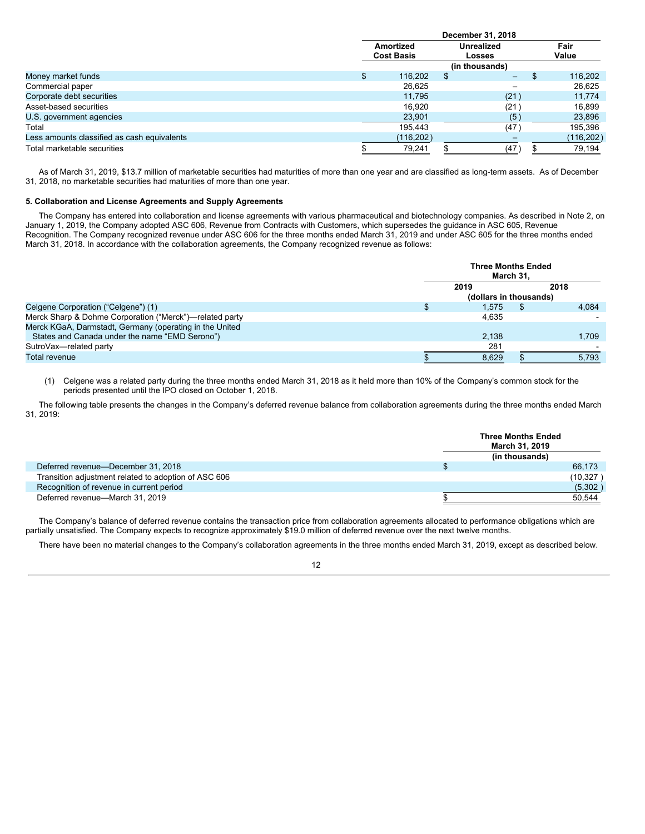|                                             | December 31, 2018                     |                             |  |               |  |  |
|---------------------------------------------|---------------------------------------|-----------------------------|--|---------------|--|--|
|                                             | <b>Amortized</b><br><b>Cost Basis</b> | <b>Unrealized</b><br>Losses |  | Fair<br>Value |  |  |
|                                             |                                       | (in thousands)              |  |               |  |  |
| Money market funds                          | 116,202                               | \$<br>-                     |  | 116,202       |  |  |
| Commercial paper                            | 26,625                                |                             |  | 26,625        |  |  |
| Corporate debt securities                   | 11.795                                | (21)                        |  | 11.774        |  |  |
| Asset-based securities                      | 16.920                                | (21)                        |  | 16,899        |  |  |
| U.S. government agencies                    | 23,901                                | (5)                         |  | 23,896        |  |  |
| Total                                       | 195,443                               | (47)                        |  | 195,396       |  |  |
| Less amounts classified as cash equivalents | (116, 202)                            |                             |  | (116, 202)    |  |  |
| Total marketable securities                 | 79,241                                | (47)                        |  | 79,194        |  |  |

As of March 31, 2019, \$13.7 million of marketable securities had maturities of more than one year and are classified as long-term assets. As of December 31, 2018, no marketable securities had maturities of more than one year.

# **5. Collaboration and License Agreements and Supply Agreements**

The Company has entered into collaboration and license agreements with various pharmaceutical and biotechnology companies. As described in Note 2, on January 1, 2019, the Company adopted ASC 606, Revenue from Contracts with Customers, which supersedes the guidance in ASC 605, Revenue Recognition. The Company recognized revenue under ASC 606 for the three months ended March 31, 2019 and under ASC 605 for the three months ended March 31, 2018. In accordance with the collaboration agreements, the Company recognized revenue as follows:

|                                                         | <b>Three Months Ended</b><br>March 31. |  |       |  |  |
|---------------------------------------------------------|----------------------------------------|--|-------|--|--|
|                                                         | 2018<br>2019                           |  |       |  |  |
|                                                         | (dollars in thousands)                 |  |       |  |  |
| Celgene Corporation ("Celgene") (1)                     | 1.575                                  |  | 4.084 |  |  |
| Merck Sharp & Dohme Corporation ("Merck")—related party | 4.635                                  |  |       |  |  |
| Merck KGaA, Darmstadt, Germany (operating in the United |                                        |  |       |  |  |
| States and Canada under the name "EMD Serono")          | 2.138                                  |  | 1.709 |  |  |
| SutroVax-related party                                  | 281                                    |  |       |  |  |
| <b>Total revenue</b>                                    | 8,629                                  |  | 5,793 |  |  |

(1) Celgene was a related party during the three months ended March 31, 2018 as it held more than 10% of the Company's common stock for the periods presented until the IPO closed on October 1, 2018.

The following table presents the changes in the Company's deferred revenue balance from collaboration agreements during the three months ended March 31, 2019:

|                                                      | <b>Three Months Ended</b><br>March 31, 2019 |
|------------------------------------------------------|---------------------------------------------|
|                                                      | (in thousands)                              |
| Deferred revenue-December 31, 2018                   | 66,173                                      |
| Transition adjustment related to adoption of ASC 606 | (10, 327)                                   |
| Recognition of revenue in current period             | (5,302)                                     |
| Deferred revenue-March 31, 2019                      | 50.544                                      |

The Company's balance of deferred revenue contains the transaction price from collaboration agreements allocated to performance obligations which are partially unsatisfied. The Company expects to recognize approximately \$19.0 million of deferred revenue over the next twelve months.

There have been no material changes to the Company's collaboration agreements in the three months ended March 31, 2019, except as described below.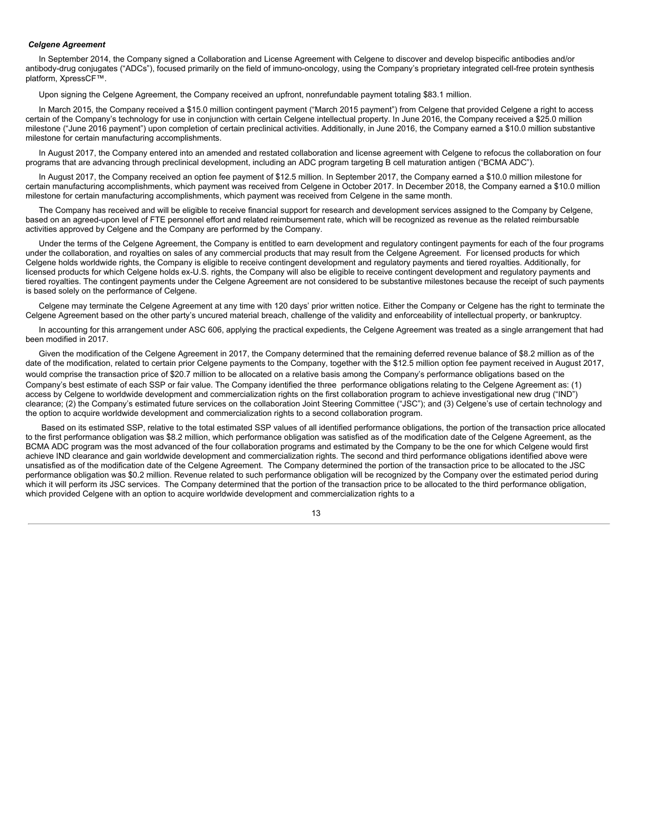# *Celgene Agreement*

In September 2014, the Company signed a Collaboration and License Agreement with Celgene to discover and develop bispecific antibodies and/or antibody-drug conjugates ("ADCs"), focused primarily on the field of immuno-oncology, using the Company's proprietary integrated cell-free protein synthesis platform, XpressCF™.

Upon signing the Celgene Agreement, the Company received an upfront, nonrefundable payment totaling \$83.1 million.

In March 2015, the Company received a \$15.0 million contingent payment ("March 2015 payment") from Celgene that provided Celgene a right to access certain of the Company's technology for use in conjunction with certain Celgene intellectual property. In June 2016, the Company received a \$25.0 million milestone ("June 2016 payment") upon completion of certain preclinical activities. Additionally, in June 2016, the Company earned a \$10.0 million substantive milestone for certain manufacturing accomplishments.

In August 2017, the Company entered into an amended and restated collaboration and license agreement with Celgene to refocus the collaboration on four programs that are advancing through preclinical development, including an ADC program targeting B cell maturation antigen ("BCMA ADC").

In August 2017, the Company received an option fee payment of \$12.5 million. In September 2017, the Company earned a \$10.0 million milestone for certain manufacturing accomplishments, which payment was received from Celgene in October 2017. In December 2018, the Company earned a \$10.0 million milestone for certain manufacturing accomplishments, which payment was received from Celgene in the same month.

The Company has received and will be eligible to receive financial support for research and development services assigned to the Company by Celgene, based on an agreed-upon level of FTE personnel effort and related reimbursement rate, which will be recognized as revenue as the related reimbursable activities approved by Celgene and the Company are performed by the Company.

Under the terms of the Celgene Agreement, the Company is entitled to earn development and regulatory contingent payments for each of the four programs under the collaboration, and royalties on sales of any commercial products that may result from the Celgene Agreement. For licensed products for which Celgene holds worldwide rights, the Company is eligible to receive contingent development and regulatory payments and tiered royalties. Additionally, for licensed products for which Celgene holds ex-U.S. rights, the Company will also be eligible to receive contingent development and regulatory payments and tiered royalties. The contingent payments under the Celgene Agreement are not considered to be substantive milestones because the receipt of such payments is based solely on the performance of Celgene.

Celgene may terminate the Celgene Agreement at any time with 120 days' prior written notice. Either the Company or Celgene has the right to terminate the Celgene Agreement based on the other party's uncured material breach, challenge of the validity and enforceability of intellectual property, or bankruptcy.

In accounting for this arrangement under ASC 606, applying the practical expedients, the Celgene Agreement was treated as a single arrangement that had been modified in 2017.

Given the modification of the Celgene Agreement in 2017, the Company determined that the remaining deferred revenue balance of \$8.2 million as of the date of the modification, related to certain prior Celgene payments to the Company, together with the \$12.5 million option fee payment received in August 2017, would comprise the transaction price of \$20.7 million to be allocated on a relative basis among the Company's performance obligations based on the Company's best estimate of each SSP or fair value. The Company identified the three performance obligations relating to the Celgene Agreement as: (1) access by Celgene to worldwide development and commercialization rights on the first collaboration program to achieve investigational new drug ("IND") clearance; (2) the Company's estimated future services on the collaboration Joint Steering Committee ("JSC"); and (3) Celgene's use of certain technology and the option to acquire worldwide development and commercialization rights to a second collaboration program.

Based on its estimated SSP, relative to the total estimated SSP values of all identified performance obligations, the portion of the transaction price allocated to the first performance obligation was \$8.2 million, which performance obligation was satisfied as of the modification date of the Celgene Agreement, as the BCMA ADC program was the most advanced of the four collaboration programs and estimated by the Company to be the one for which Celgene would first achieve IND clearance and gain worldwide development and commercialization rights. The second and third performance obligations identified above were unsatisfied as of the modification date of the Celgene Agreement. The Company determined the portion of the transaction price to be allocated to the JSC performance obligation was \$0.2 million. Revenue related to such performance obligation will be recognized by the Company over the estimated period during which it will perform its JSC services. The Company determined that the portion of the transaction price to be allocated to the third performance obligation. which provided Celgene with an option to acquire worldwide development and commercialization rights to a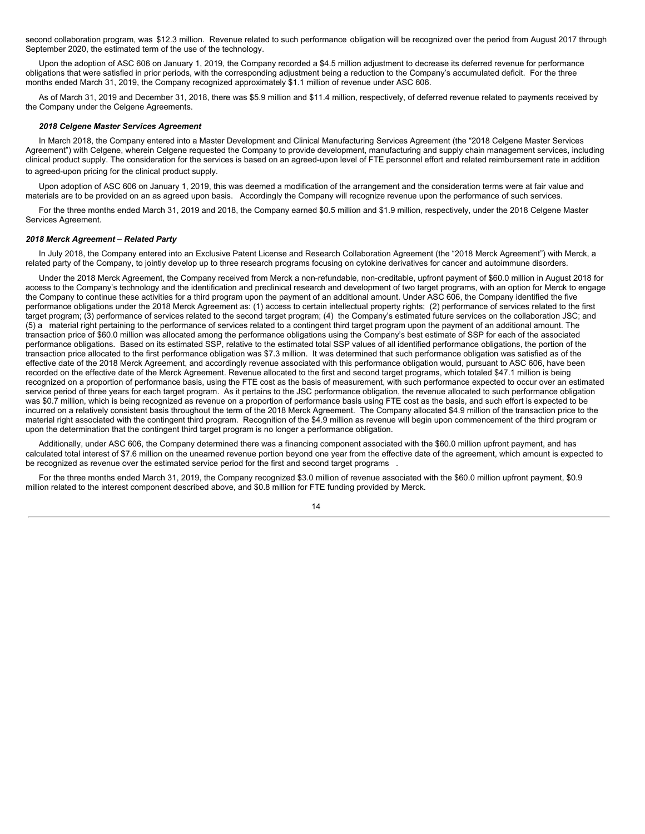second collaboration program, was \$12.3 million. Revenue related to such performance obligation will be recognized over the period from August 2017 through September 2020, the estimated term of the use of the technology.

Upon the adoption of ASC 606 on January 1, 2019, the Company recorded a \$4.5 million adjustment to decrease its deferred revenue for performance obligations that were satisfied in prior periods, with the corresponding adjustment being a reduction to the Company's accumulated deficit. For the three months ended March 31, 2019, the Company recognized approximately \$1.1 million of revenue under ASC 606.

As of March 31, 2019 and December 31, 2018, there was \$5.9 million and \$11.4 million, respectively, of deferred revenue related to payments received by the Company under the Celgene Agreements.

#### *2018 Celgene Master Services Agreement*

In March 2018, the Company entered into a Master Development and Clinical Manufacturing Services Agreement (the "2018 Celgene Master Services Agreement") with Celgene, wherein Celgene requested the Company to provide development, manufacturing and supply chain management services, including clinical product supply. The consideration for the services is based on an agreed-upon level of FTE personnel effort and related reimbursement rate in addition to agreed-upon pricing for the clinical product supply.

Upon adoption of ASC 606 on January 1, 2019, this was deemed a modification of the arrangement and the consideration terms were at fair value and materials are to be provided on an as agreed upon basis. Accordingly the Company will recognize revenue upon the performance of such services.

For the three months ended March 31, 2019 and 2018, the Company earned \$0.5 million and \$1.9 million, respectively, under the 2018 Celgene Master Services Agreement.

#### *2018 Merck Agreement – Related Party*

In July 2018, the Company entered into an Exclusive Patent License and Research Collaboration Agreement (the "2018 Merck Agreement") with Merck, a related party of the Company, to jointly develop up to three research programs focusing on cytokine derivatives for cancer and autoimmune disorders.

Under the 2018 Merck Agreement, the Company received from Merck a non-refundable, non-creditable, upfront payment of \$60.0 million in August 2018 for access to the Company's technology and the identification and preclinical research and development of two target programs, with an option for Merck to engage the Company to continue these activities for a third program upon the payment of an additional amount. Under ASC 606, the Company identified the five performance obligations under the 2018 Merck Agreement as: (1) access to certain intellectual property rights; (2) performance of services related to the first target program; (3) performance of services related to the second target program; (4) the Company's estimated future services on the collaboration JSC; and (5) a material right pertaining to the performance of services related to a contingent third target program upon the payment of an additional amount. The transaction price of \$60.0 million was allocated among the performance obligations using the Company's best estimate of SSP for each of the associated performance obligations. Based on its estimated SSP, relative to the estimated total SSP values of all identified performance obligations, the portion of the transaction price allocated to the first performance obligation was \$7.3 million. It was determined that such performance obligation was satisfied as of the effective date of the 2018 Merck Agreement, and accordingly revenue associated with this performance obligation would, pursuant to ASC 606, have been recorded on the effective date of the Merck Agreement. Revenue allocated to the first and second target programs, which totaled \$47.1 million is being recognized on a proportion of performance basis, using the FTE cost as the basis of measurement, with such performance expected to occur over an estimated service period of three years for each target program. As it pertains to the JSC performance obligation, the revenue allocated to such performance obligation was \$0.7 million, which is being recognized as revenue on a proportion of performance basis using FTE cost as the basis, and such effort is expected to be incurred on a relatively consistent basis throughout the term of the 2018 Merck Agreement. The Company allocated \$4.9 million of the transaction price to the material right associated with the contingent third program. Recognition of the \$4.9 million as revenue will begin upon commencement of the third program or upon the determination that the contingent third target program is no longer a performance obligation.

Additionally, under ASC 606, the Company determined there was a financing component associated with the \$60.0 million upfront payment, and has calculated total interest of \$7.6 million on the unearned revenue portion beyond one year from the effective date of the agreement, which amount is expected to be recognized as revenue over the estimated service period for the first and second target programs .

For the three months ended March 31, 2019, the Company recognized \$3.0 million of revenue associated with the \$60.0 million upfront payment, \$0.9 million related to the interest component described above, and \$0.8 million for FTE funding provided by Merck.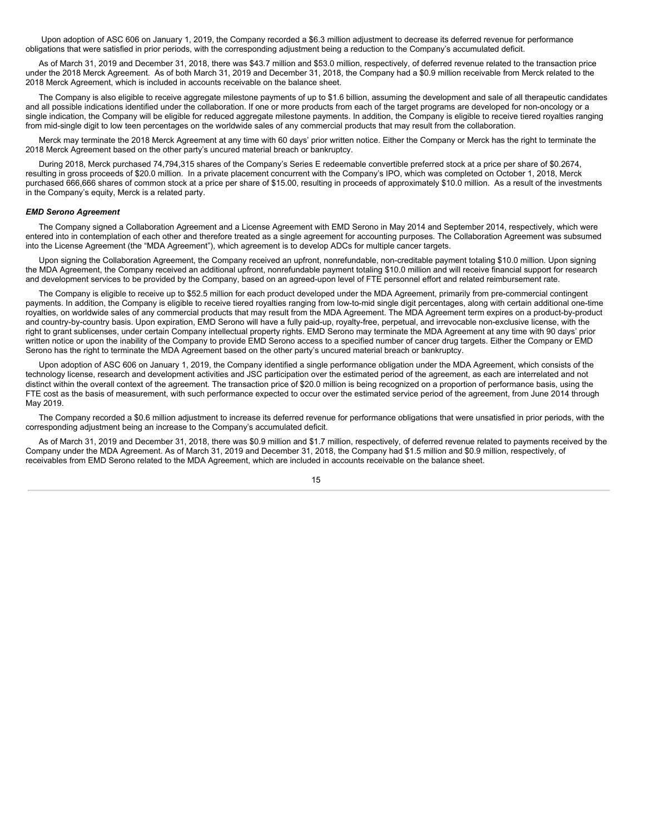Upon adoption of ASC 606 on January 1, 2019, the Company recorded a \$6.3 million adjustment to decrease its deferred revenue for performance obligations that were satisfied in prior periods, with the corresponding adjustment being a reduction to the Company's accumulated deficit.

As of March 31, 2019 and December 31, 2018, there was \$43.7 million and \$53.0 million, respectively, of deferred revenue related to the transaction price under the 2018 Merck Agreement. As of both March 31, 2019 and December 31, 2018, the Company had a \$0.9 million receivable from Merck related to the 2018 Merck Agreement, which is included in accounts receivable on the balance sheet.

The Company is also eligible to receive aggregate milestone payments of up to \$1.6 billion, assuming the development and sale of all therapeutic candidates and all possible indications identified under the collaboration. If one or more products from each of the target programs are developed for non-oncology or a single indication, the Company will be eligible for reduced aggregate milestone payments. In addition, the Company is eligible to receive tiered royalties ranging from mid-single digit to low teen percentages on the worldwide sales of any commercial products that may result from the collaboration.

Merck may terminate the 2018 Merck Agreement at any time with 60 days' prior written notice. Either the Company or Merck has the right to terminate the 2018 Merck Agreement based on the other party's uncured material breach or bankruptcy.

During 2018, Merck purchased 74,794,315 shares of the Company's Series E redeemable convertible preferred stock at a price per share of \$0.2674, resulting in gross proceeds of \$20.0 million. In a private placement concurrent with the Company's IPO, which was completed on October 1, 2018, Merck purchased 666,666 shares of common stock at a price per share of \$15.00, resulting in proceeds of approximately \$10.0 million. As a result of the investments in the Company's equity, Merck is a related party.

#### *EMD Serono Agreement*

The Company signed a Collaboration Agreement and a License Agreement with EMD Serono in May 2014 and September 2014, respectively, which were entered into in contemplation of each other and therefore treated as a single agreement for accounting purposes. The Collaboration Agreement was subsumed into the License Agreement (the "MDA Agreement"), which agreement is to develop ADCs for multiple cancer targets.

Upon signing the Collaboration Agreement, the Company received an upfront, nonrefundable, non-creditable payment totaling \$10.0 million. Upon signing the MDA Agreement, the Company received an additional upfront, nonrefundable payment totaling \$10.0 million and will receive financial support for research and development services to be provided by the Company, based on an agreed-upon level of FTE personnel effort and related reimbursement rate.

The Company is eligible to receive up to \$52.5 million for each product developed under the MDA Agreement, primarily from pre-commercial contingent payments. In addition, the Company is eligible to receive tiered royalties ranging from low-to-mid single digit percentages, along with certain additional one-time royalties, on worldwide sales of any commercial products that may result from the MDA Agreement. The MDA Agreement term expires on a product-by-product and country-by-country basis. Upon expiration, EMD Serono will have a fully paid-up, royalty-free, perpetual, and irrevocable non-exclusive license, with the right to grant sublicenses, under certain Company intellectual property rights. EMD Serono may terminate the MDA Agreement at any time with 90 days' prior written notice or upon the inability of the Company to provide EMD Serono access to a specified number of cancer drug targets. Either the Company or EMD Serono has the right to terminate the MDA Agreement based on the other party's uncured material breach or bankruptcy.

Upon adoption of ASC 606 on January 1, 2019, the Company identified a single performance obligation under the MDA Agreement, which consists of the technology license, research and development activities and JSC participation over the estimated period of the agreement, as each are interrelated and not distinct within the overall context of the agreement. The transaction price of \$20.0 million is being recognized on a proportion of performance basis, using the FTE cost as the basis of measurement, with such performance expected to occur over the estimated service period of the agreement, from June 2014 through May 2019.

The Company recorded a \$0.6 million adjustment to increase its deferred revenue for performance obligations that were unsatisfied in prior periods, with the corresponding adjustment being an increase to the Company's accumulated deficit.

As of March 31, 2019 and December 31, 2018, there was \$0.9 million and \$1.7 million, respectively, of deferred revenue related to payments received by the Company under the MDA Agreement. As of March 31, 2019 and December 31, 2018, the Company had \$1.5 million and \$0.9 million, respectively, of receivables from EMD Serono related to the MDA Agreement, which are included in accounts receivable on the balance sheet.

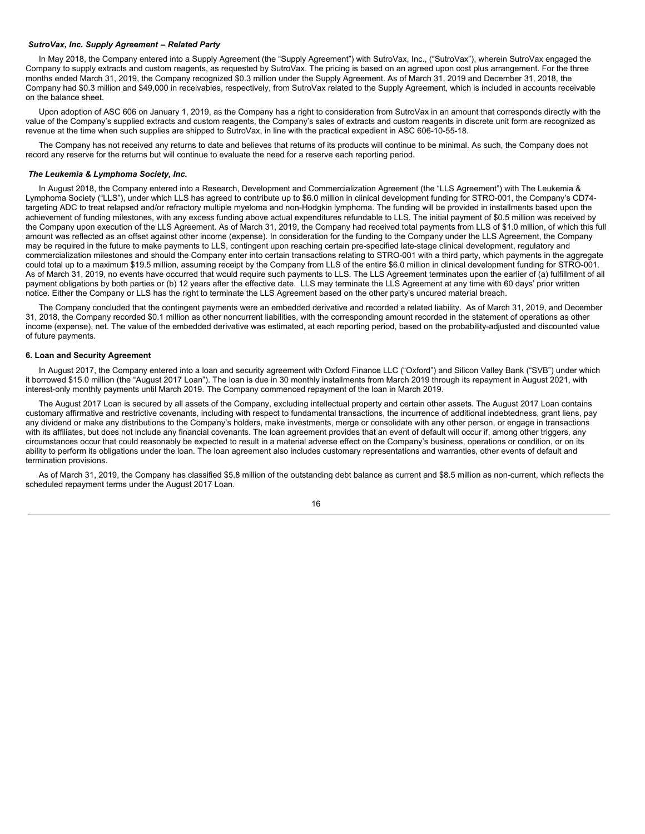# *SutroVax, Inc. Supply Agreement – Related Party*

In May 2018, the Company entered into a Supply Agreement (the "Supply Agreement") with SutroVax, Inc., ("SutroVax"), wherein SutroVax engaged the Company to supply extracts and custom reagents, as requested by SutroVax. The pricing is based on an agreed upon cost plus arrangement. For the three months ended March 31, 2019, the Company recognized \$0.3 million under the Supply Agreement. As of March 31, 2019 and December 31, 2018, the Company had \$0.3 million and \$49,000 in receivables, respectively, from SutroVax related to the Supply Agreement, which is included in accounts receivable on the balance sheet.

Upon adoption of ASC 606 on January 1, 2019, as the Company has a right to consideration from SutroVax in an amount that corresponds directly with the value of the Company's supplied extracts and custom reagents, the Company's sales of extracts and custom reagents in discrete unit form are recognized as revenue at the time when such supplies are shipped to SutroVax, in line with the practical expedient in ASC 606-10-55-18.

The Company has not received any returns to date and believes that returns of its products will continue to be minimal. As such, the Company does not record any reserve for the returns but will continue to evaluate the need for a reserve each reporting period.

#### *The Leukemia & Lymphoma Society, Inc.*

In August 2018, the Company entered into a Research, Development and Commercialization Agreement (the "LLS Agreement") with The Leukemia & Lymphoma Society ("LLS"), under which LLS has agreed to contribute up to \$6.0 million in clinical development funding for STRO-001, the Company's CD74 targeting ADC to treat relapsed and/or refractory multiple myeloma and non-Hodgkin lymphoma. The funding will be provided in installments based upon the achievement of funding milestones, with any excess funding above actual expenditures refundable to LLS. The initial payment of \$0.5 million was received by the Company upon execution of the LLS Agreement. As of March 31, 2019, the Company had received total payments from LLS of \$1.0 million, of which this full amount was reflected as an offset against other income (expense). In consideration for the funding to the Company under the LLS Agreement, the Company may be required in the future to make payments to LLS, contingent upon reaching certain pre-specified late-stage clinical development, regulatory and commercialization milestones and should the Company enter into certain transactions relating to STRO-001 with a third party, which payments in the aggregate could total up to a maximum \$19.5 million, assuming receipt by the Company from LLS of the entire \$6.0 million in clinical development funding for STRO-001. As of March 31, 2019, no events have occurred that would require such payments to LLS. The LLS Agreement terminates upon the earlier of (a) fulfillment of all payment obligations by both parties or (b) 12 years after the effective date. LLS may terminate the LLS Agreement at any time with 60 days' prior written notice. Either the Company or LLS has the right to terminate the LLS Agreement based on the other party's uncured material breach.

The Company concluded that the contingent payments were an embedded derivative and recorded a related liability. As of March 31, 2019, and December 31, 2018, the Company recorded \$0.1 million as other noncurrent liabilities, with the corresponding amount recorded in the statement of operations as other income (expense), net. The value of the embedded derivative was estimated, at each reporting period, based on the probability-adjusted and discounted value of future payments.

#### **6. Loan and Security Agreement**

In August 2017, the Company entered into a loan and security agreement with Oxford Finance LLC ("Oxford") and Silicon Valley Bank ("SVB") under which it borrowed \$15.0 million (the "August 2017 Loan"). The loan is due in 30 monthly installments from March 2019 through its repayment in August 2021, with interest-only monthly payments until March 2019. The Company commenced repayment of the loan in March 2019.

The August 2017 Loan is secured by all assets of the Company, excluding intellectual property and certain other assets. The August 2017 Loan contains customary affirmative and restrictive covenants, including with respect to fundamental transactions, the incurrence of additional indebtedness, grant liens, pay any dividend or make any distributions to the Company's holders, make investments, merge or consolidate with any other person, or engage in transactions with its affiliates, but does not include any financial covenants. The loan agreement provides that an event of default will occur if, among other triggers, any circumstances occur that could reasonably be expected to result in a material adverse effect on the Company's business, operations or condition, or on its ability to perform its obligations under the loan. The loan agreement also includes customary representations and warranties, other events of default and termination provisions.

As of March 31, 2019, the Company has classified \$5.8 million of the outstanding debt balance as current and \$8.5 million as non-current, which reflects the scheduled repayment terms under the August 2017 Loan.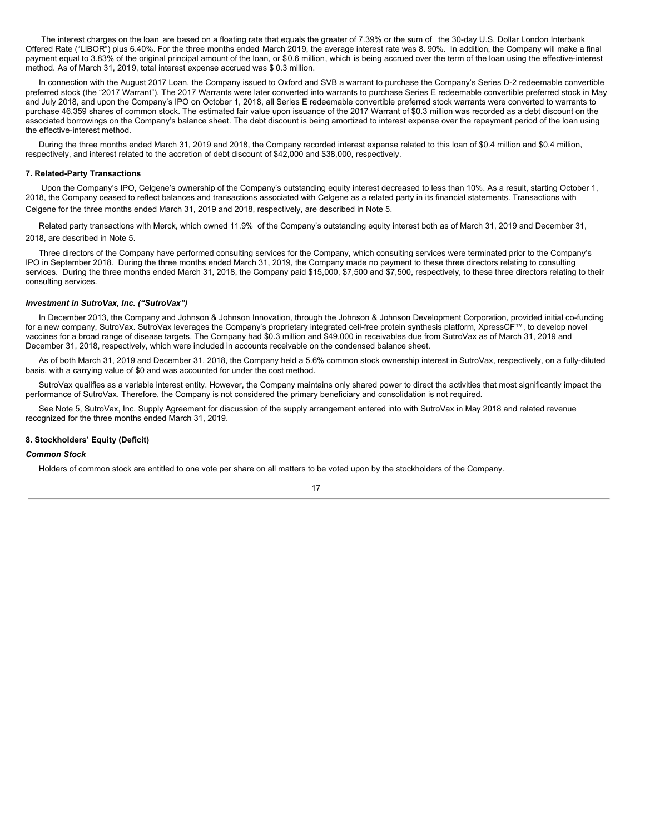The interest charges on the loan are based on a floating rate that equals the greater of 7.39% or the sum of the 30-day U.S. Dollar London Interbank Offered Rate ("LIBOR") plus 6.40%. For the three months ended March 2019, the average interest rate was 8. 90%. In addition, the Company will make a final payment equal to 3.83% of the original principal amount of the loan, or \$0.6 million, which is being accrued over the term of the loan using the effective-interest method. As of March 31, 2019, total interest expense accrued was \$ 0.3 million.

In connection with the August 2017 Loan, the Company issued to Oxford and SVB a warrant to purchase the Company's Series D-2 redeemable convertible preferred stock (the "2017 Warrant"). The 2017 Warrants were later converted into warrants to purchase Series E redeemable convertible preferred stock in May and July 2018, and upon the Company's IPO on October 1, 2018, all Series E redeemable convertible preferred stock warrants were converted to warrants to purchase 46,359 shares of common stock. The estimated fair value upon issuance of the 2017 Warrant of \$0.3 million was recorded as a debt discount on the associated borrowings on the Company's balance sheet. The debt discount is being amortized to interest expense over the repayment period of the loan using the effective-interest method.

During the three months ended March 31, 2019 and 2018, the Company recorded interest expense related to this loan of \$0.4 million and \$0.4 million, respectively, and interest related to the accretion of debt discount of \$42,000 and \$38,000, respectively.

#### **7. Related-Party Transactions**

Upon the Company's IPO, Celgene's ownership of the Company's outstanding equity interest decreased to less than 10%. As a result, starting October 1, 2018, the Company ceased to reflect balances and transactions associated with Celgene as a related party in its financial statements. Transactions with Celgene for the three months ended March 31, 2019 and 2018, respectively, are described in Note 5.

Related party transactions with Merck, which owned 11.9% of the Company's outstanding equity interest both as of March 31, 2019 and December 31, 2018, are described in Note 5.

Three directors of the Company have performed consulting services for the Company, which consulting services were terminated prior to the Company's IPO in September 2018. During the three months ended March 31, 2019, the Company made no payment to these three directors relating to consulting services. During the three months ended March 31, 2018, the Company paid \$15,000, \$7,500 and \$7,500, respectively, to these three directors relating to their consulting services.

#### *Investment in SutroVax, Inc. ("SutroVax")*

In December 2013, the Company and Johnson & Johnson Innovation, through the Johnson & Johnson Development Corporation, provided initial co-funding for a new company, SutroVax. SutroVax leverages the Company's proprietary integrated cell-free protein synthesis platform, XpressCF™, to develop novel vaccines for a broad range of disease targets. The Company had \$0.3 million and \$49,000 in receivables due from SutroVax as of March 31, 2019 and December 31, 2018, respectively, which were included in accounts receivable on the condensed balance sheet.

As of both March 31, 2019 and December 31, 2018, the Company held a 5.6% common stock ownership interest in SutroVax, respectively, on a fully-diluted basis, with a carrying value of \$0 and was accounted for under the cost method.

SutroVax qualifies as a variable interest entity. However, the Company maintains only shared power to direct the activities that most significantly impact the performance of SutroVax. Therefore, the Company is not considered the primary beneficiary and consolidation is not required.

See Note 5, SutroVax, Inc. Supply Agreement for discussion of the supply arrangement entered into with SutroVax in May 2018 and related revenue recognized for the three months ended March 31, 2019.

#### **8. Stockholders' Equity (Deficit)**

#### *Common Stock*

Holders of common stock are entitled to one vote per share on all matters to be voted upon by the stockholders of the Company.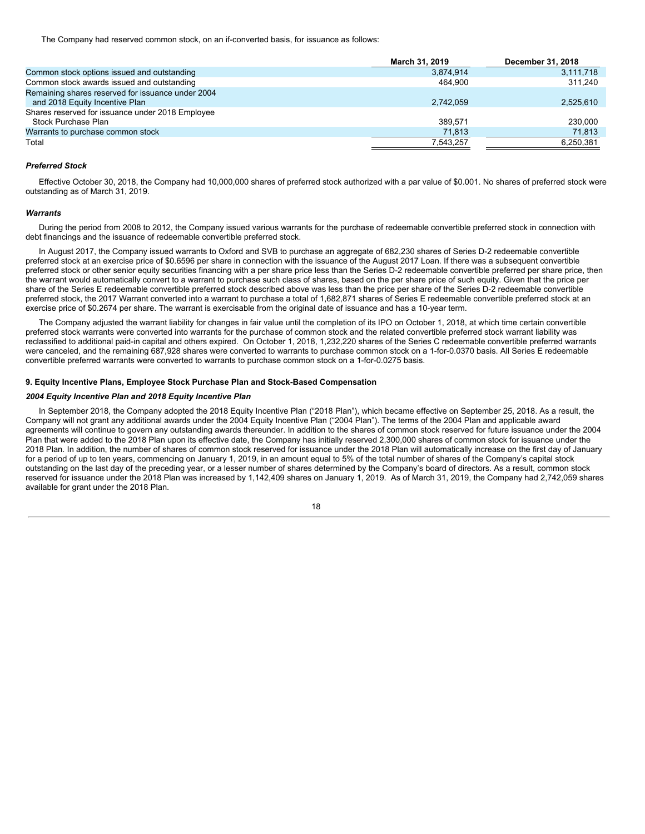The Company had reserved common stock, on an if-converted basis, for issuance as follows:

|                                                                                     | March 31, 2019 | December 31, 2018 |
|-------------------------------------------------------------------------------------|----------------|-------------------|
| Common stock options issued and outstanding                                         | 3,874,914      | 3,111,718         |
| Common stock awards issued and outstanding                                          | 464.900        | 311.240           |
| Remaining shares reserved for issuance under 2004<br>and 2018 Equity Incentive Plan | 2.742.059      | 2.525.610         |
| Shares reserved for issuance under 2018 Employee<br>Stock Purchase Plan             | 389.571        | 230,000           |
| Warrants to purchase common stock                                                   | 71,813         | 71,813            |
| Total                                                                               | 7,543,257      | 6,250,381         |

# *Preferred Stock*

Effective October 30, 2018, the Company had 10,000,000 shares of preferred stock authorized with a par value of \$0.001. No shares of preferred stock were outstanding as of March 31, 2019.

#### *Warrants*

During the period from 2008 to 2012, the Company issued various warrants for the purchase of redeemable convertible preferred stock in connection with debt financings and the issuance of redeemable convertible preferred stock.

In August 2017, the Company issued warrants to Oxford and SVB to purchase an aggregate of 682,230 shares of Series D-2 redeemable convertible preferred stock at an exercise price of \$0.6596 per share in connection with the issuance of the August 2017 Loan. If there was a subsequent convertible preferred stock or other senior equity securities financing with a per share price less than the Series D-2 redeemable convertible preferred per share price, then the warrant would automatically convert to a warrant to purchase such class of shares, based on the per share price of such equity. Given that the price per share of the Series E redeemable convertible preferred stock described above was less than the price per share of the Series D-2 redeemable convertible preferred stock, the 2017 Warrant converted into a warrant to purchase a total of 1,682,871 shares of Series E redeemable convertible preferred stock at an exercise price of \$0.2674 per share. The warrant is exercisable from the original date of issuance and has a 10-year term.

The Company adjusted the warrant liability for changes in fair value until the completion of its IPO on October 1, 2018, at which time certain convertible preferred stock warrants were converted into warrants for the purchase of common stock and the related convertible preferred stock warrant liability was reclassified to additional paid-in capital and others expired. On October 1, 2018, 1,232,220 shares of the Series C redeemable convertible preferred warrants were canceled, and the remaining 687,928 shares were converted to warrants to purchase common stock on a 1-for-0.0370 basis. All Series E redeemable convertible preferred warrants were converted to warrants to purchase common stock on a 1-for-0.0275 basis.

#### **9. Equity Incentive Plans, Employee Stock Purchase Plan and Stock-Based Compensation**

#### *2004 Equity Incentive Plan and 2018 Equity Incentive Plan*

In September 2018, the Company adopted the 2018 Equity Incentive Plan ("2018 Plan"), which became effective on September 25, 2018. As a result, the Company will not grant any additional awards under the 2004 Equity Incentive Plan ("2004 Plan"). The terms of the 2004 Plan and applicable award agreements will continue to govern any outstanding awards thereunder. In addition to the shares of common stock reserved for future issuance under the 2004 Plan that were added to the 2018 Plan upon its effective date, the Company has initially reserved 2,300,000 shares of common stock for issuance under the 2018 Plan. In addition, the number of shares of common stock reserved for issuance under the 2018 Plan will automatically increase on the first day of January for a period of up to ten years, commencing on January 1, 2019, in an amount equal to 5% of the total number of shares of the Company's capital stock outstanding on the last day of the preceding year, or a lesser number of shares determined by the Company's board of directors. As a result, common stock reserved for issuance under the 2018 Plan was increased by 1,142,409 shares on January 1, 2019. As of March 31, 2019, the Company had 2,742,059 shares available for grant under the 2018 Plan.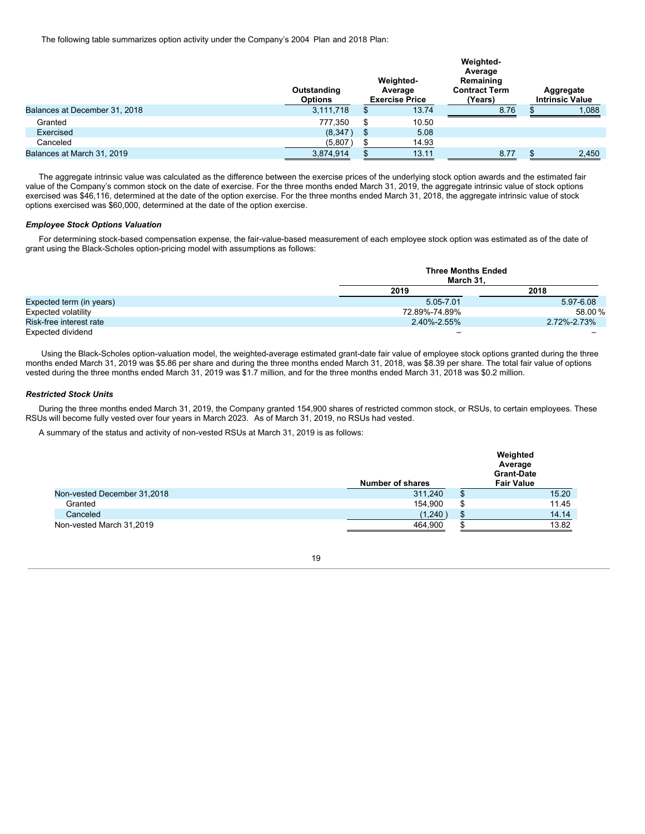The following table summarizes option activity under the Company's 2004 Plan and 2018 Plan:

|                               | Outstanding<br><b>Options</b> | Weighted-<br>Average<br><b>Exercise Price</b> |       | Weighted-<br>Average<br>Remaining<br><b>Contract Term</b><br>(Years) |  | Aggregate<br><b>Intrinsic Value</b> |  |
|-------------------------------|-------------------------------|-----------------------------------------------|-------|----------------------------------------------------------------------|--|-------------------------------------|--|
| Balances at December 31, 2018 | 3,111,718                     | \$                                            | 13.74 | 8.76                                                                 |  | 1,088                               |  |
| Granted                       | 777,350                       | \$                                            | 10.50 |                                                                      |  |                                     |  |
| Exercised                     | (8,347)                       | \$                                            | 5.08  |                                                                      |  |                                     |  |
| Canceled                      | (5,807)                       |                                               | 14.93 |                                                                      |  |                                     |  |
| Balances at March 31, 2019    | 3,874,914                     |                                               | 13.11 | 8.77                                                                 |  | 2,450                               |  |

The aggregate intrinsic value was calculated as the difference between the exercise prices of the underlying stock option awards and the estimated fair value of the Company's common stock on the date of exercise. For the three months ended March 31, 2019, the aggregate intrinsic value of stock options exercised was \$46,116, determined at the date of the option exercise. For the three months ended March 31, 2018, the aggregate intrinsic value of stock options exercised was \$60,000, determined at the date of the option exercise.

### *Employee Stock Options Valuation*

For determining stock-based compensation expense, the fair-value-based measurement of each employee stock option was estimated as of the date of grant using the Black-Scholes option-pricing model with assumptions as follows:

|                          | <b>Three Months Ended</b><br>March 31. |             |
|--------------------------|----------------------------------------|-------------|
|                          | 2019                                   | 2018        |
| Expected term (in years) | 5.05-7.01                              | 5.97-6.08   |
| Expected volatility      | 72.89%-74.89%                          | 58.00%      |
| Risk-free interest rate  | 2.40%-2.55%                            | 2.72%-2.73% |
| Expected dividend        | -                                      |             |

Using the Black-Scholes option-valuation model, the weighted-average estimated grant-date fair value of employee stock options granted during the three months ended March 31, 2019 was \$5.86 per share and during the three months ended March 31, 2018, was \$8.39 per share. The total fair value of options vested during the three months ended March 31, 2019 was \$1.7 million, and for the three months ended March 31, 2018 was \$0.2 million.

# *Restricted Stock Units*

During the three months ended March 31, 2019, the Company granted 154,900 shares of restricted common stock, or RSUs, to certain employees. These RSUs will become fully vested over four years in March 2023. As of March 31, 2019, no RSUs had vested.

A summary of the status and activity of non-vested RSUs at March 31, 2019 is as follows:

|                             | <b>Number of shares</b> | Weighted<br>Average<br><b>Grant-Date</b><br><b>Fair Value</b> |
|-----------------------------|-------------------------|---------------------------------------------------------------|
| Non-vested December 31,2018 | 311,240                 | 15.20                                                         |
| Granted                     | 154.900                 | \$<br>11.45                                                   |
| Canceled                    | (1,240)                 | 14.14                                                         |
| Non-vested March 31,2019    | 464,900                 | 13.82                                                         |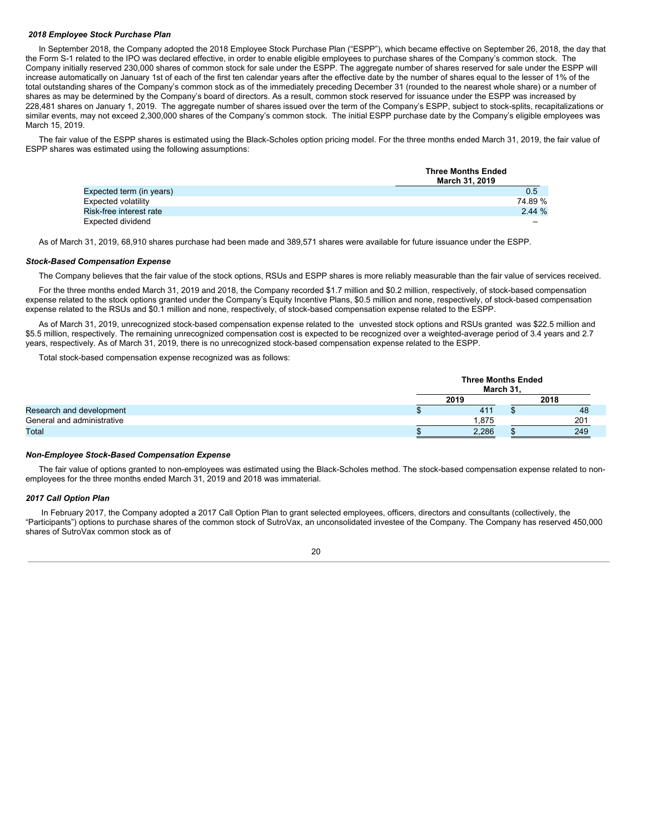#### *2018 Employee Stock Purchase Plan*

In September 2018, the Company adopted the 2018 Employee Stock Purchase Plan ("ESPP"), which became effective on September 26, 2018, the day that the Form S-1 related to the IPO was declared effective, in order to enable eligible employees to purchase shares of the Company's common stock. The Company initially reserved 230,000 shares of common stock for sale under the ESPP. The aggregate number of shares reserved for sale under the ESPP will increase automatically on January 1st of each of the first ten calendar years after the effective date by the number of shares equal to the lesser of 1% of the total outstanding shares of the Company's common stock as of the immediately preceding December 31 (rounded to the nearest whole share) or a number of shares as may be determined by the Company's board of directors. As a result, common stock reserved for issuance under the ESPP was increased by 228,481 shares on January 1, 2019. The aggregate number of shares issued over the term of the Company's ESPP, subject to stock-splits, recapitalizations or similar events, may not exceed 2,300,000 shares of the Company's common stock. The initial ESPP purchase date by the Company's eligible employees was March 15, 2019.

The fair value of the ESPP shares is estimated using the Black-Scholes option pricing model. For the three months ended March 31, 2019, the fair value of ESPP shares was estimated using the following assumptions:

|                          | <b>Three Months Ended</b><br>March 31, 2019 |
|--------------------------|---------------------------------------------|
| Expected term (in years) | 0.5                                         |
| Expected volatility      | 74.89%                                      |
| Risk-free interest rate  | 2.44%                                       |
| Expected dividend        |                                             |

As of March 31, 2019, 68,910 shares purchase had been made and 389,571 shares were available for future issuance under the ESPP.

#### *Stock-Based Compensation Expense*

The Company believes that the fair value of the stock options, RSUs and ESPP shares is more reliably measurable than the fair value of services received.

For the three months ended March 31, 2019 and 2018, the Company recorded \$1.7 million and \$0.2 million, respectively, of stock-based compensation expense related to the stock options granted under the Company's Equity Incentive Plans, \$0.5 million and none, respectively, of stock-based compensation expense related to the RSUs and \$0.1 million and none, respectively, of stock-based compensation expense related to the ESPP.

As of March 31, 2019, unrecognized stock-based compensation expense related to the unvested stock options and RSUs granted was \$22.5 million and \$5.5 million, respectively. The remaining unrecognized compensation cost is expected to be recognized over a weighted-average period of 3.4 years and 2.7 years, respectively. As of March 31, 2019, there is no unrecognized stock-based compensation expense related to the ESPP.

Total stock-based compensation expense recognized was as follows:

|                            | <b>Three Months Ended</b><br>March 31. |      |
|----------------------------|----------------------------------------|------|
|                            | 2019                                   | 2018 |
| Research and development   | 411                                    | 48   |
| General and administrative | .875                                   | 201  |
| Total                      | 2,286                                  | 249  |

#### *Non-Employee Stock-Based Compensation Expense*

The fair value of options granted to non-employees was estimated using the Black-Scholes method. The stock-based compensation expense related to nonemployees for the three months ended March 31, 2019 and 2018 was immaterial.

# *2017 Call Option Plan*

In February 2017, the Company adopted a 2017 Call Option Plan to grant selected employees, officers, directors and consultants (collectively, the "Participants") options to purchase shares of the common stock of SutroVax, an unconsolidated investee of the Company. The Company has reserved 450,000 shares of SutroVax common stock as of

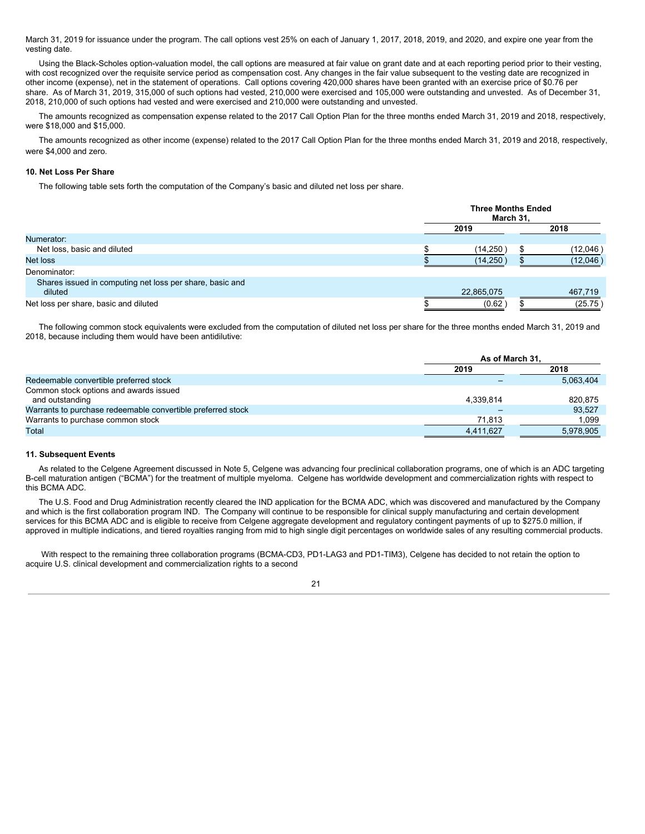March 31, 2019 for issuance under the program. The call options vest 25% on each of January 1, 2017, 2018, 2019, and 2020, and expire one year from the vesting date.

Using the Black-Scholes option-valuation model, the call options are measured at fair value on grant date and at each reporting period prior to their vesting, with cost recognized over the requisite service period as compensation cost. Any changes in the fair value subsequent to the vesting date are recognized in other income (expense), net in the statement of operations. Call options covering 420,000 shares have been granted with an exercise price of \$0.76 per share. As of March 31, 2019, 315,000 of such options had vested, 210,000 were exercised and 105,000 were outstanding and unvested. As of December 31, 2018, 210,000 of such options had vested and were exercised and 210,000 were outstanding and unvested.

The amounts recognized as compensation expense related to the 2017 Call Option Plan for the three months ended March 31, 2019 and 2018, respectively, were \$18,000 and \$15,000.

The amounts recognized as other income (expense) related to the 2017 Call Option Plan for the three months ended March 31, 2019 and 2018, respectively, were \$4,000 and zero.

# **10. Net Loss Per Share**

The following table sets forth the computation of the Company's basic and diluted net loss per share.

|                                                                     |  | <b>Three Months Ended</b><br>March 31, |      |          |  |
|---------------------------------------------------------------------|--|----------------------------------------|------|----------|--|
|                                                                     |  | 2019                                   | 2018 |          |  |
| Numerator:                                                          |  |                                        |      |          |  |
| Net loss, basic and diluted                                         |  | (14, 250)                              |      | (12,046) |  |
| Net loss                                                            |  | (14, 250)                              |      | (12,046) |  |
| Denominator:                                                        |  |                                        |      |          |  |
| Shares issued in computing net loss per share, basic and<br>diluted |  | 22,865,075                             |      | 467.719  |  |
| Net loss per share, basic and diluted                               |  | (0.62)                                 |      | (25.75)  |  |

The following common stock equivalents were excluded from the computation of diluted net loss per share for the three months ended March 31, 2019 and 2018, because including them would have been antidilutive:

|                                                             | As of March 31, |           |  |  |
|-------------------------------------------------------------|-----------------|-----------|--|--|
|                                                             | 2019            | 2018      |  |  |
| Redeemable convertible preferred stock                      |                 | 5.063.404 |  |  |
| Common stock options and awards issued                      |                 |           |  |  |
| and outstanding                                             | 4.339.814       | 820.875   |  |  |
| Warrants to purchase redeemable convertible preferred stock |                 | 93.527    |  |  |
| Warrants to purchase common stock                           | 71,813          | 1.099     |  |  |
| Total                                                       | 4.411.627       | 5.978.905 |  |  |

# **11. Subsequent Events**

As related to the Celgene Agreement discussed in Note 5, Celgene was advancing four preclinical collaboration programs, one of which is an ADC targeting B-cell maturation antigen ("BCMA") for the treatment of multiple myeloma. Celgene has worldwide development and commercialization rights with respect to this BCMA ADC.

The U.S. Food and Drug Administration recently cleared the IND application for the BCMA ADC, which was discovered and manufactured by the Company and which is the first collaboration program IND. The Company will continue to be responsible for clinical supply manufacturing and certain development services for this BCMA ADC and is eligible to receive from Celgene aggregate development and regulatory contingent payments of up to \$275.0 million, if approved in multiple indications, and tiered royalties ranging from mid to high single digit percentages on worldwide sales of any resulting commercial products.

With respect to the remaining three collaboration programs (BCMA-CD3, PD1-LAG3 and PD1-TIM3), Celgene has decided to not retain the option to acquire U.S. clinical development and commercialization rights to a second

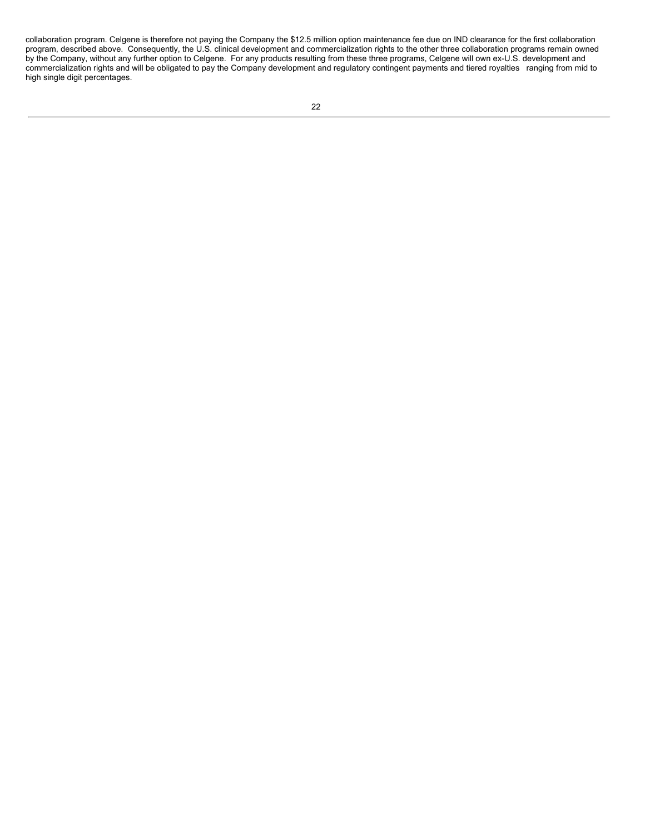collaboration program. Celgene is therefore not paying the Company the \$12.5 million option maintenance fee due on IND clearance for the first collaboration program, described above. Consequently, the U.S. clinical development and commercialization rights to the other three collaboration programs remain owned by the Company, without any further option to Celgene. For any products resulting from these three programs, Celgene will own ex-U.S. development and commercialization rights and will be obligated to pay the Company development and regulatory contingent payments and tiered royalties ranging from mid to high single digit percentages.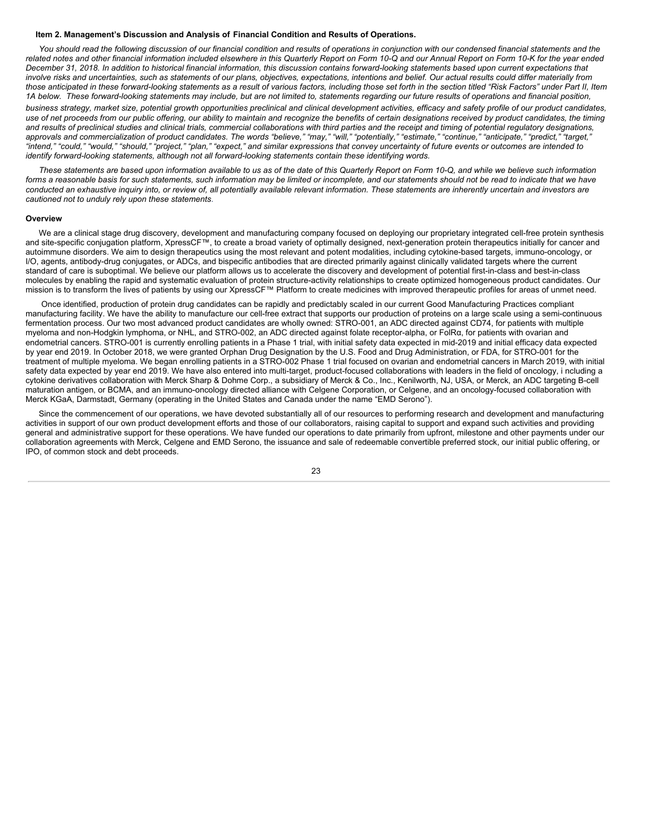#### <span id="page-24-0"></span>**Item 2. Management's Discussion and Analysis of Financial Condition and Results of Operations.**

You should read the following discussion of our financial condition and results of operations in conjunction with our condensed financial statements and the related notes and other financial information included elsewhere in this Quarterly Report on Form 10-Q and our Annual Report on Form 10-K for the year ended December 31, 2018. In addition to historical financial information, this discussion contains forward-looking statements based upon current expectations that involve risks and uncertainties, such as statements of our plans, objectives, expectations, intentions and belief. Our actual results could differ materially from those anticipated in these forward-looking statements as a result of various factors, including those set forth in the section titled "Risk Factors" under Part II, Item 1A below. These forward-looking statements may include, but are not limited to, statements regarding our future results of operations and financial position, business strategy, market size, potential growth opportunities preclinical and clinical development activities, efficacy and safety profile of our product candidates, use of net proceeds from our public offering, our ability to maintain and recognize the benefits of certain designations received by product candidates, the timing and results of preclinical studies and clinical trials, commercial collaborations with third parties and the receipt and timing of potential regulatory designations, approvals and commercialization of product candidates. The words "believe," "may," "will," "potentially," "estimate," "continue," "anticipate," "predict," "target," "intend," "could," "would," "should," "project," "plan," "expect," and similar expressions that convey uncertainty of future events or outcomes are intended to *identify forward-looking statements, although not all forward-looking statements contain these identifying words.*

These statements are based upon information available to us as of the date of this Quarterly Report on Form 10-Q, and while we believe such information forms a reasonable basis for such statements, such information may be limited or incomplete, and our statements should not be read to indicate that we have conducted an exhaustive inquiry into, or review of, all potentially available relevant information. These statements are inherently uncertain and investors are *cautioned not to unduly rely upon these statements.*

#### **Overview**

We are a clinical stage drug discovery, development and manufacturing company focused on deploying our proprietary integrated cell-free protein synthesis and site-specific conjugation platform, XpressCF™, to create a broad variety of optimally designed, next-generation protein therapeutics initially for cancer and autoimmune disorders. We aim to design therapeutics using the most relevant and potent modalities, including cytokine-based targets, immuno-oncology, or I/O, agents, antibody-drug conjugates, or ADCs, and bispecific antibodies that are directed primarily against clinically validated targets where the current standard of care is suboptimal. We believe our platform allows us to accelerate the discovery and development of potential first-in-class and best-in-class molecules by enabling the rapid and systematic evaluation of protein structure-activity relationships to create optimized homogeneous product candidates. Our mission is to transform the lives of patients by using our XpressCF™ Platform to create medicines with improved therapeutic profiles for areas of unmet need.

Once identified, production of protein drug candidates can be rapidly and predictably scaled in our current Good Manufacturing Practices compliant manufacturing facility. We have the ability to manufacture our cell-free extract that supports our production of proteins on a large scale using a semi-continuous fermentation process. Our two most advanced product candidates are wholly owned: STRO-001, an ADC directed against CD74, for patients with multiple myeloma and non-Hodgkin lymphoma, or NHL, and STRO-002, an ADC directed against folate receptor-alpha, or FolRα, for patients with ovarian and endometrial cancers. STRO-001 is currently enrolling patients in a Phase 1 trial, with initial safety data expected in mid-2019 and initial efficacy data expected by year end 2019. In October 2018, we were granted Orphan Drug Designation by the U.S. Food and Drug Administration, or FDA, for STRO-001 for the treatment of multiple myeloma. We began enrolling patients in a STRO-002 Phase 1 trial focused on ovarian and endometrial cancers in March 2019, with initial safety data expected by year end 2019. We have also entered into multi-target, product-focused collaborations with leaders in the field of oncology, i ncluding a cytokine derivatives collaboration with Merck Sharp & Dohme Corp., a subsidiary of Merck & Co., Inc., Kenilworth, NJ, USA, or Merck, an ADC targeting B-cell maturation antigen, or BCMA, and an immuno-oncology directed alliance with Celgene Corporation, or Celgene, and an oncology-focused collaboration with Merck KGaA, Darmstadt, Germany (operating in the United States and Canada under the name "EMD Serono").

Since the commencement of our operations, we have devoted substantially all of our resources to performing research and development and manufacturing activities in support of our own product development efforts and those of our collaborators, raising capital to support and expand such activities and providing general and administrative support for these operations. We have funded our operations to date primarily from upfront, milestone and other payments under our collaboration agreements with Merck, Celgene and EMD Serono, the issuance and sale of redeemable convertible preferred stock, our initial public offering, or IPO, of common stock and debt proceeds.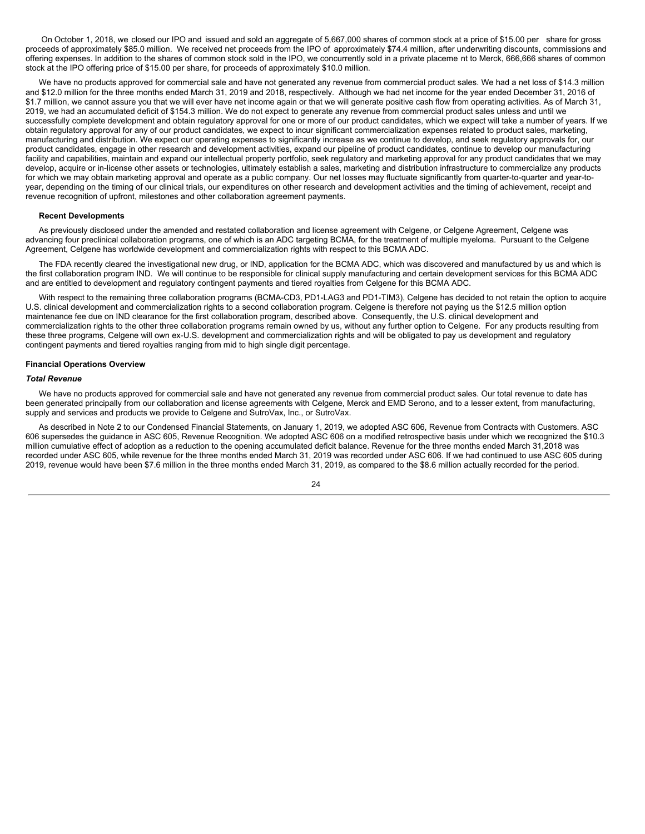On October 1, 2018, we closed our IPO and issued and sold an aggregate of 5,667,000 shares of common stock at a price of \$15.00 per share for gross proceeds of approximately \$85.0 million. We received net proceeds from the IPO of approximately \$74.4 million, after underwriting discounts, commissions and offering expenses. In addition to the shares of common stock sold in the IPO, we concurrently sold in a private placeme nt to Merck, 666,666 shares of common stock at the IPO offering price of \$15.00 per share, for proceeds of approximately \$10.0 million.

We have no products approved for commercial sale and have not generated any revenue from commercial product sales. We had a net loss of \$14.3 million and \$12.0 million for the three months ended March 31, 2019 and 2018, respectively. Although we had net income for the year ended December 31, 2016 of \$1.7 million, we cannot assure you that we will ever have net income again or that we will generate positive cash flow from operating activities. As of March 31, 2019, we had an accumulated deficit of \$154.3 million. We do not expect to generate any revenue from commercial product sales unless and until we successfully complete development and obtain regulatory approval for one or more of our product candidates, which we expect will take a number of years. If we obtain regulatory approval for any of our product candidates, we expect to incur significant commercialization expenses related to product sales, marketing, manufacturing and distribution. We expect our operating expenses to significantly increase as we continue to develop, and seek regulatory approvals for, our product candidates, engage in other research and development activities, expand our pipeline of product candidates, continue to develop our manufacturing facility and capabilities, maintain and expand our intellectual property portfolio, seek regulatory and marketing approval for any product candidates that we may develop, acquire or in-license other assets or technologies, ultimately establish a sales, marketing and distribution infrastructure to commercialize any products for which we may obtain marketing approval and operate as a public company. Our net losses may fluctuate significantly from quarter-to-quarter and year-toyear, depending on the timing of our clinical trials, our expenditures on other research and development activities and the timing of achievement, receipt and revenue recognition of upfront, milestones and other collaboration agreement payments.

#### **Recent Developments**

As previously disclosed under the amended and restated collaboration and license agreement with Celgene, or Celgene Agreement, Celgene was advancing four preclinical collaboration programs, one of which is an ADC targeting BCMA, for the treatment of multiple myeloma. Pursuant to the Celgene Agreement, Celgene has worldwide development and commercialization rights with respect to this BCMA ADC.

The FDA recently cleared the investigational new drug, or IND, application for the BCMA ADC, which was discovered and manufactured by us and which is the first collaboration program IND. We will continue to be responsible for clinical supply manufacturing and certain development services for this BCMA ADC and are entitled to development and regulatory contingent payments and tiered royalties from Celgene for this BCMA ADC.

With respect to the remaining three collaboration programs (BCMA-CD3, PD1-LAG3 and PD1-TIM3), Celgene has decided to not retain the option to acquire U.S. clinical development and commercialization rights to a second collaboration program. Celgene is therefore not paying us the \$12.5 million option maintenance fee due on IND clearance for the first collaboration program, described above. Consequently, the U.S. clinical development and commercialization rights to the other three collaboration programs remain owned by us, without any further option to Celgene. For any products resulting from these three programs, Celgene will own ex-U.S. development and commercialization rights and will be obligated to pay us development and regulatory contingent payments and tiered royalties ranging from mid to high single digit percentage.

#### **Financial Operations Overview**

#### *Total Revenue*

We have no products approved for commercial sale and have not generated any revenue from commercial product sales. Our total revenue to date has been generated principally from our collaboration and license agreements with Celgene, Merck and EMD Serono, and to a lesser extent, from manufacturing, supply and services and products we provide to Celgene and SutroVax, Inc., or SutroVax.

As described in Note 2 to our Condensed Financial Statements, on January 1, 2019, we adopted ASC 606, Revenue from Contracts with Customers. ASC 606 supersedes the guidance in ASC 605, Revenue Recognition. We adopted ASC 606 on a modified retrospective basis under which we recognized the \$10.3 million cumulative effect of adoption as a reduction to the opening accumulated deficit balance. Revenue for the three months ended March 31,2018 was recorded under ASC 605, while revenue for the three months ended March 31, 2019 was recorded under ASC 606. If we had continued to use ASC 605 during 2019, revenue would have been \$7.6 million in the three months ended March 31, 2019, as compared to the \$8.6 million actually recorded for the period.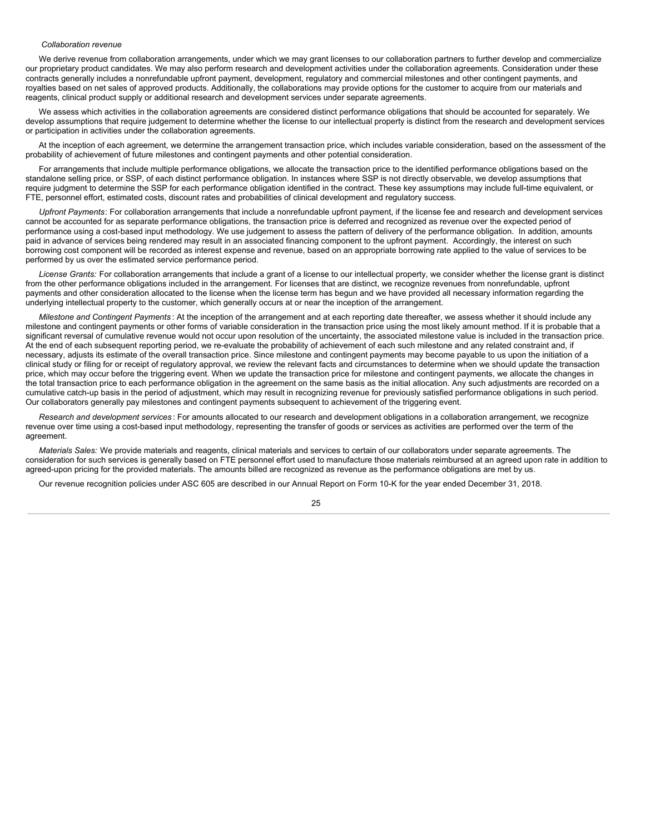# *Collaboration revenue*

We derive revenue from collaboration arrangements, under which we may grant licenses to our collaboration partners to further develop and commercialize our proprietary product candidates. We may also perform research and development activities under the collaboration agreements. Consideration under these contracts generally includes a nonrefundable upfront payment, development, regulatory and commercial milestones and other contingent payments, and royalties based on net sales of approved products. Additionally, the collaborations may provide options for the customer to acquire from our materials and reagents, clinical product supply or additional research and development services under separate agreements.

We assess which activities in the collaboration agreements are considered distinct performance obligations that should be accounted for separately. We develop assumptions that require judgement to determine whether the license to our intellectual property is distinct from the research and development services or participation in activities under the collaboration agreements.

At the inception of each agreement, we determine the arrangement transaction price, which includes variable consideration, based on the assessment of the probability of achievement of future milestones and contingent payments and other potential consideration.

For arrangements that include multiple performance obligations, we allocate the transaction price to the identified performance obligations based on the standalone selling price, or SSP, of each distinct performance obligation. In instances where SSP is not directly observable, we develop assumptions that require judgment to determine the SSP for each performance obligation identified in the contract. These key assumptions may include full-time equivalent, or FTE, personnel effort, estimated costs, discount rates and probabilities of clinical development and regulatory success.

*Upfront Payments*: For collaboration arrangements that include a nonrefundable upfront payment, if the license fee and research and development services cannot be accounted for as separate performance obligations, the transaction price is deferred and recognized as revenue over the expected period of performance using a cost-based input methodology. We use judgement to assess the pattern of delivery of the performance obligation. In addition, amounts paid in advance of services being rendered may result in an associated financing component to the upfront payment. Accordingly, the interest on such borrowing cost component will be recorded as interest expense and revenue, based on an appropriate borrowing rate applied to the value of services to be performed by us over the estimated service performance period.

*License Grants:* For collaboration arrangements that include a grant of a license to our intellectual property, we consider whether the license grant is distinct from the other performance obligations included in the arrangement. For licenses that are distinct, we recognize revenues from nonrefundable, upfront payments and other consideration allocated to the license when the license term has begun and we have provided all necessary information regarding the underlying intellectual property to the customer, which generally occurs at or near the inception of the arrangement.

*Milestone and Contingent Payments* : At the inception of the arrangement and at each reporting date thereafter, we assess whether it should include any milestone and contingent payments or other forms of variable consideration in the transaction price using the most likely amount method. If it is probable that a significant reversal of cumulative revenue would not occur upon resolution of the uncertainty, the associated milestone value is included in the transaction price. At the end of each subsequent reporting period, we re-evaluate the probability of achievement of each such milestone and any related constraint and, if necessary, adjusts its estimate of the overall transaction price. Since milestone and contingent payments may become payable to us upon the initiation of a clinical study or filing for or receipt of regulatory approval, we review the relevant facts and circumstances to determine when we should update the transaction price, which may occur before the triggering event. When we update the transaction price for milestone and contingent payments, we allocate the changes in the total transaction price to each performance obligation in the agreement on the same basis as the initial allocation. Any such adjustments are recorded on a cumulative catch-up basis in the period of adjustment, which may result in recognizing revenue for previously satisfied performance obligations in such period. Our collaborators generally pay milestones and contingent payments subsequent to achievement of the triggering event.

*Research and development services* : For amounts allocated to our research and development obligations in a collaboration arrangement, we recognize revenue over time using a cost-based input methodology, representing the transfer of goods or services as activities are performed over the term of the agreement.

*Materials Sales:* We provide materials and reagents, clinical materials and services to certain of our collaborators under separate agreements. The consideration for such services is generally based on FTE personnel effort used to manufacture those materials reimbursed at an agreed upon rate in addition to agreed-upon pricing for the provided materials. The amounts billed are recognized as revenue as the performance obligations are met by us.

Our revenue recognition policies under ASC 605 are described in our Annual Report on Form 10-K for the year ended December 31, 2018.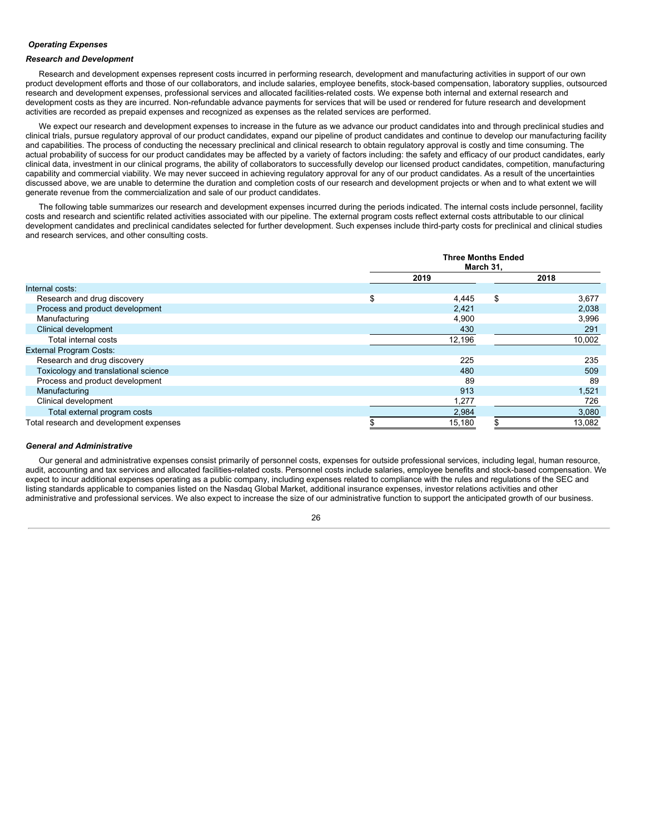# *Operating Expenses*

# *Research and Development*

Research and development expenses represent costs incurred in performing research, development and manufacturing activities in support of our own product development efforts and those of our collaborators, and include salaries, employee benefits, stock-based compensation, laboratory supplies, outsourced research and development expenses, professional services and allocated facilities-related costs. We expense both internal and external research and development costs as they are incurred. Non-refundable advance payments for services that will be used or rendered for future research and development activities are recorded as prepaid expenses and recognized as expenses as the related services are performed.

We expect our research and development expenses to increase in the future as we advance our product candidates into and through preclinical studies and clinical trials, pursue regulatory approval of our product candidates, expand our pipeline of product candidates and continue to develop our manufacturing facility and capabilities. The process of conducting the necessary preclinical and clinical research to obtain regulatory approval is costly and time consuming. The actual probability of success for our product candidates may be affected by a variety of factors including: the safety and efficacy of our product candidates, early clinical data, investment in our clinical programs, the ability of collaborators to successfully develop our licensed product candidates, competition, manufacturing capability and commercial viability. We may never succeed in achieving regulatory approval for any of our product candidates. As a result of the uncertainties discussed above, we are unable to determine the duration and completion costs of our research and development projects or when and to what extent we will generate revenue from the commercialization and sale of our product candidates.

The following table summarizes our research and development expenses incurred during the periods indicated. The internal costs include personnel, facility costs and research and scientific related activities associated with our pipeline. The external program costs reflect external costs attributable to our clinical development candidates and preclinical candidates selected for further development. Such expenses include third-party costs for preclinical and clinical studies and research services, and other consulting costs.

|                                         | <b>Three Months Ended</b><br>March 31, |    |        |  |  |
|-----------------------------------------|----------------------------------------|----|--------|--|--|
|                                         | 2019                                   |    |        |  |  |
| Internal costs:                         |                                        |    |        |  |  |
| Research and drug discovery             | \$<br>4,445                            | \$ | 3,677  |  |  |
| Process and product development         | 2,421                                  |    | 2,038  |  |  |
| Manufacturing                           | 4,900                                  |    | 3,996  |  |  |
| Clinical development                    | 430                                    |    | 291    |  |  |
| Total internal costs                    | 12,196                                 |    | 10,002 |  |  |
| <b>External Program Costs:</b>          |                                        |    |        |  |  |
| Research and drug discovery             | 225                                    |    | 235    |  |  |
| Toxicology and translational science    | 480                                    |    | 509    |  |  |
| Process and product development         | 89                                     |    | 89     |  |  |
| Manufacturing                           | 913                                    |    | 1,521  |  |  |
| Clinical development                    | 1,277                                  |    | 726    |  |  |
| Total external program costs            | 2,984                                  |    | 3,080  |  |  |
| Total research and development expenses | 15,180                                 |    | 13,082 |  |  |

# *General and Administrative*

Our general and administrative expenses consist primarily of personnel costs, expenses for outside professional services, including legal, human resource, audit, accounting and tax services and allocated facilities-related costs. Personnel costs include salaries, employee benefits and stock-based compensation. We expect to incur additional expenses operating as a public company, including expenses related to compliance with the rules and regulations of the SEC and listing standards applicable to companies listed on the Nasdaq Global Market, additional insurance expenses, investor relations activities and other administrative and professional services. We also expect to increase the size of our administrative function to support the anticipated growth of our business.

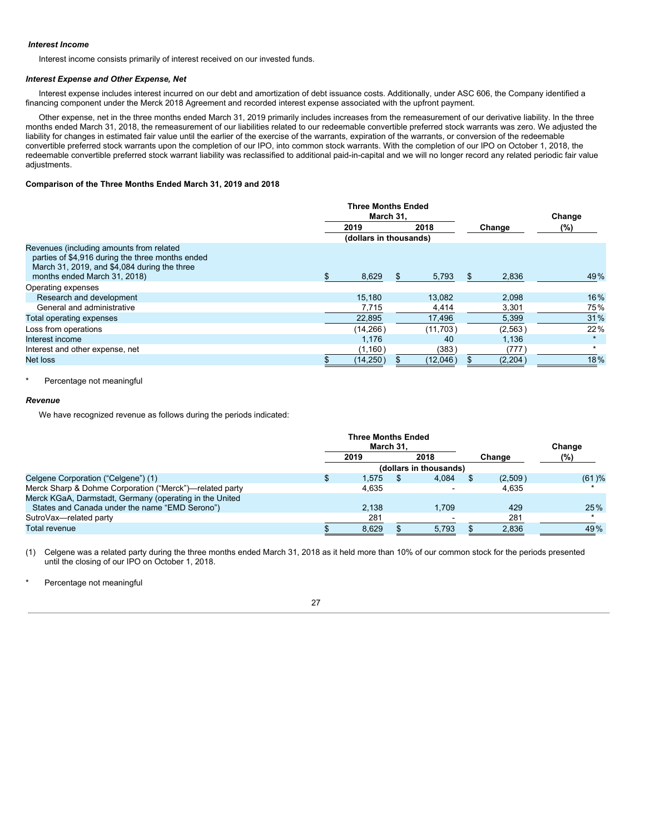# *Interest Income*

Interest income consists primarily of interest received on our invested funds.

# *Interest Expense and Other Expense, Net*

Interest expense includes interest incurred on our debt and amortization of debt issuance costs. Additionally, under ASC 606, the Company identified a financing component under the Merck 2018 Agreement and recorded interest expense associated with the upfront payment.

Other expense, net in the three months ended March 31, 2019 primarily includes increases from the remeasurement of our derivative liability. In the three months ended March 31, 2018, the remeasurement of our liabilities related to our redeemable convertible preferred stock warrants was zero. We adjusted the liability for changes in estimated fair value until the earlier of the exercise of the warrants, expiration of the warrants, or conversion of the redeemable convertible preferred stock warrants upon the completion of our IPO, into common stock warrants. With the completion of our IPO on October 1, 2018, the redeemable convertible preferred stock warrant liability was reclassified to additional paid-in-capital and we will no longer record any related periodic fair value adiustments.

# **Comparison of the Three Months Ended March 31, 2019 and 2018**

|                                                                                                                                                                              | <b>Three Months Ended</b><br>March 31. |                        |     |          |    |          | Change |
|------------------------------------------------------------------------------------------------------------------------------------------------------------------------------|----------------------------------------|------------------------|-----|----------|----|----------|--------|
|                                                                                                                                                                              |                                        | 2019                   |     | 2018     |    | Change   | (%)    |
|                                                                                                                                                                              |                                        | (dollars in thousands) |     |          |    |          |        |
| Revenues (including amounts from related<br>parties of \$4,916 during the three months ended<br>March 31, 2019, and \$4,084 during the three<br>months ended March 31, 2018) |                                        | 8,629                  | \$. | 5,793    | Ж, | 2,836    | 49%    |
| Operating expenses                                                                                                                                                           |                                        |                        |     |          |    |          |        |
| Research and development                                                                                                                                                     |                                        | 15.180                 |     | 13.082   |    | 2,098    | 16%    |
| General and administrative                                                                                                                                                   |                                        | 7,715                  |     | 4,414    |    | 3,301    | 75%    |
| Total operating expenses                                                                                                                                                     |                                        | 22,895                 |     | 17,496   |    | 5,399    | 31%    |
| Loss from operations                                                                                                                                                         |                                        | (14, 266)              |     | (11,703) |    | (2, 563) | 22%    |
| Interest income                                                                                                                                                              |                                        | 1,176                  |     | 40       |    | 1,136    |        |
| Interest and other expense, net                                                                                                                                              |                                        | (1,160)                |     | (383)    |    | (777)    |        |
| Net loss                                                                                                                                                                     |                                        | (14, 250)              |     | (12,046) |    | (2,204)  | 18%    |

Percentage not meaningful

# *Revenue*

We have recognized revenue as follows during the periods indicated:

|                                                         | <b>Three Months Ended</b><br>March 31, |       |  |       | Change |         |          |
|---------------------------------------------------------|----------------------------------------|-------|--|-------|--------|---------|----------|
|                                                         |                                        | 2019  |  | 2018  |        | Change  | (%)      |
|                                                         | (dollars in thousands)                 |       |  |       |        |         |          |
| Celgene Corporation ("Celgene") (1)                     |                                        | 1.575 |  | 4.084 |        | (2,509) | $(61)$ % |
| Merck Sharp & Dohme Corporation ("Merck")—related party |                                        | 4.635 |  |       |        | 4.635   |          |
| Merck KGaA, Darmstadt, Germany (operating in the United |                                        |       |  |       |        |         |          |
| States and Canada under the name "EMD Serono")          |                                        | 2.138 |  | 1.709 |        | 429     | 25%      |
| SutroVax-related party                                  |                                        | 281   |  |       |        | 281     |          |
| Total revenue                                           |                                        | 8.629 |  | 5,793 |        | 2.836   | 49%      |

(1) Celgene was a related party during the three months ended March 31, 2018 as it held more than 10% of our common stock for the periods presented until the closing of our IPO on October 1, 2018.

Percentage not meaningful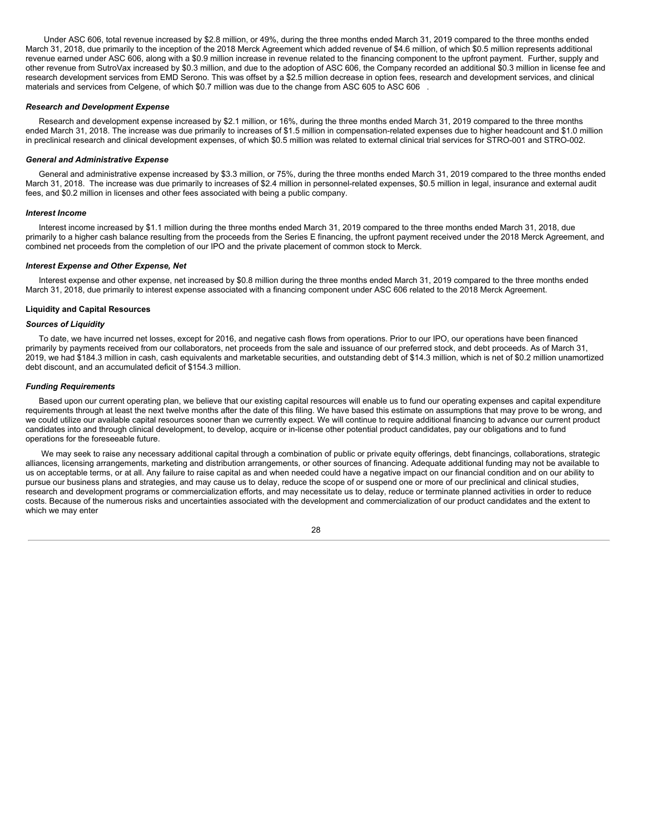Under ASC 606, total revenue increased by \$2.8 million, or 49%, during the three months ended March 31, 2019 compared to the three months ended March 31, 2018, due primarily to the inception of the 2018 Merck Agreement which added revenue of \$4.6 million, of which \$0.5 million represents additional revenue earned under ASC 606, along with a \$0.9 million increase in revenue related to the financing component to the upfront payment. Further, supply and other revenue from SutroVax increased by \$0.3 million, and due to the adoption of ASC 606, the Company recorded an additional \$0.3 million in license fee and research development services from EMD Serono. This was offset by a \$2.5 million decrease in option fees, research and development services, and clinical materials and services from Celgene, of which \$0.7 million was due to the change from ASC 605 to ASC 606 .

#### *Research and Development Expense*

Research and development expense increased by \$2.1 million, or 16%, during the three months ended March 31, 2019 compared to the three months ended March 31, 2018. The increase was due primarily to increases of \$1.5 million in compensation-related expenses due to higher headcount and \$1.0 million in preclinical research and clinical development expenses, of which \$0.5 million was related to external clinical trial services for STRO-001 and STRO-002.

#### *General and Administrative Expense*

General and administrative expense increased by \$3.3 million, or 75%, during the three months ended March 31, 2019 compared to the three months ended March 31, 2018. The increase was due primarily to increases of \$2.4 million in personnel-related expenses, \$0.5 million in legal, insurance and external audit fees, and \$0.2 million in licenses and other fees associated with being a public company.

#### *Interest Income*

Interest income increased by \$1.1 million during the three months ended March 31, 2019 compared to the three months ended March 31, 2018, due primarily to a higher cash balance resulting from the proceeds from the Series E financing, the upfront payment received under the 2018 Merck Agreement, and combined net proceeds from the completion of our IPO and the private placement of common stock to Merck.

#### *Interest Expense and Other Expense, Net*

Interest expense and other expense, net increased by \$0.8 million during the three months ended March 31, 2019 compared to the three months ended March 31, 2018, due primarily to interest expense associated with a financing component under ASC 606 related to the 2018 Merck Agreement.

#### **Liquidity and Capital Resources**

# *Sources of Liquidity*

To date, we have incurred net losses, except for 2016, and negative cash flows from operations. Prior to our IPO, our operations have been financed primarily by payments received from our collaborators, net proceeds from the sale and issuance of our preferred stock, and debt proceeds. As of March 31, 2019, we had \$184.3 million in cash, cash equivalents and marketable securities, and outstanding debt of \$14.3 million, which is net of \$0.2 million unamortized debt discount, and an accumulated deficit of \$154.3 million.

#### *Funding Requirements*

Based upon our current operating plan, we believe that our existing capital resources will enable us to fund our operating expenses and capital expenditure requirements through at least the next twelve months after the date of this filing. We have based this estimate on assumptions that may prove to be wrong, and we could utilize our available capital resources sooner than we currently expect. We will continue to require additional financing to advance our current product candidates into and through clinical development, to develop, acquire or in-license other potential product candidates, pay our obligations and to fund operations for the foreseeable future.

We may seek to raise any necessary additional capital through a combination of public or private equity offerings, debt financings, collaborations, strategic alliances, licensing arrangements, marketing and distribution arrangements, or other sources of financing. Adequate additional funding may not be available to us on acceptable terms, or at all. Any failure to raise capital as and when needed could have a negative impact on our financial condition and on our ability to pursue our business plans and strategies, and may cause us to delay, reduce the scope of or suspend one or more of our preclinical and clinical studies, research and development programs or commercialization efforts, and may necessitate us to delay, reduce or terminate planned activities in order to reduce costs. Because of the numerous risks and uncertainties associated with the development and commercialization of our product candidates and the extent to which we may enter

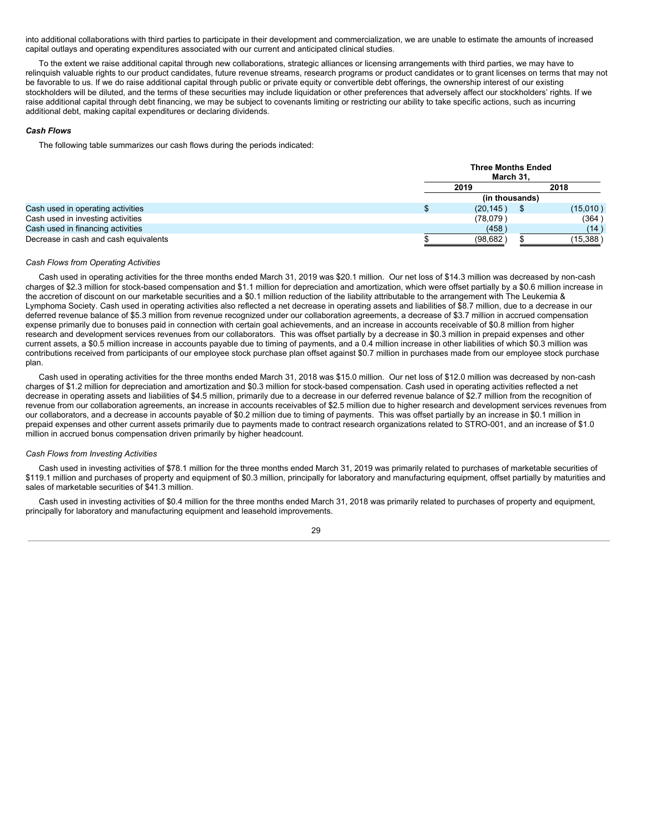into additional collaborations with third parties to participate in their development and commercialization, we are unable to estimate the amounts of increased capital outlays and operating expenditures associated with our current and anticipated clinical studies.

To the extent we raise additional capital through new collaborations, strategic alliances or licensing arrangements with third parties, we may have to relinquish valuable rights to our product candidates, future revenue streams, research programs or product candidates or to grant licenses on terms that may not be favorable to us. If we do raise additional capital through public or private equity or convertible debt offerings, the ownership interest of our existing stockholders will be diluted, and the terms of these securities may include liquidation or other preferences that adversely affect our stockholders' rights. If we raise additional capital through debt financing, we may be subject to covenants limiting or restricting our ability to take specific actions, such as incurring additional debt, making capital expenditures or declaring dividends.

#### *Cash Flows*

The following table summarizes our cash flows during the periods indicated:

|                                       | <b>Three Months Ended</b><br>March 31. |      |           |  |  |
|---------------------------------------|----------------------------------------|------|-----------|--|--|
|                                       | 2019                                   | 2018 |           |  |  |
|                                       | (in thousands)                         |      |           |  |  |
| Cash used in operating activities     | (20, 145)                              |      | (15,010)  |  |  |
| Cash used in investing activities     | (78,079)                               |      | (364      |  |  |
| Cash used in financing activities     | (458)                                  |      | (14)      |  |  |
| Decrease in cash and cash equivalents | (98, 682)                              |      | (15, 388) |  |  |

# *Cash Flows from Operating Activities*

Cash used in operating activities for the three months ended March 31, 2019 was \$20.1 million. Our net loss of \$14.3 million was decreased by non-cash charges of \$2.3 million for stock-based compensation and \$1.1 million for depreciation and amortization, which were offset partially by a \$0.6 million increase in the accretion of discount on our marketable securities and a \$0.1 million reduction of the liability attributable to the arrangement with The Leukemia & Lymphoma Society. Cash used in operating activities also reflected a net decrease in operating assets and liabilities of \$8.7 million, due to a decrease in our deferred revenue balance of \$5.3 million from revenue recognized under our collaboration agreements, a decrease of \$3.7 million in accrued compensation expense primarily due to bonuses paid in connection with certain goal achievements, and an increase in accounts receivable of \$0.8 million from higher research and development services revenues from our collaborators. This was offset partially by a decrease in \$0.3 million in prepaid expenses and other current assets, a \$0.5 million increase in accounts payable due to timing of payments, and a 0.4 million increase in other liabilities of which \$0.3 million was contributions received from participants of our employee stock purchase plan offset against \$0.7 million in purchases made from our employee stock purchase plan.

Cash used in operating activities for the three months ended March 31, 2018 was \$15.0 million. Our net loss of \$12.0 million was decreased by non-cash charges of \$1.2 million for depreciation and amortization and \$0.3 million for stock-based compensation. Cash used in operating activities reflected a net decrease in operating assets and liabilities of \$4.5 million, primarily due to a decrease in our deferred revenue balance of \$2.7 million from the recognition of revenue from our collaboration agreements, an increase in accounts receivables of \$2.5 million due to higher research and development services revenues from our collaborators, and a decrease in accounts payable of \$0.2 million due to timing of payments. This was offset partially by an increase in \$0.1 million in prepaid expenses and other current assets primarily due to payments made to contract research organizations related to STRO-001, and an increase of \$1.0 million in accrued bonus compensation driven primarily by higher headcount.

#### *Cash Flows from Investing Activities*

Cash used in investing activities of \$78.1 million for the three months ended March 31, 2019 was primarily related to purchases of marketable securities of \$119.1 million and purchases of property and equipment of \$0.3 million, principally for laboratory and manufacturing equipment, offset partially by maturities and sales of marketable securities of \$41.3 million.

Cash used in investing activities of \$0.4 million for the three months ended March 31, 2018 was primarily related to purchases of property and equipment, principally for laboratory and manufacturing equipment and leasehold improvements.

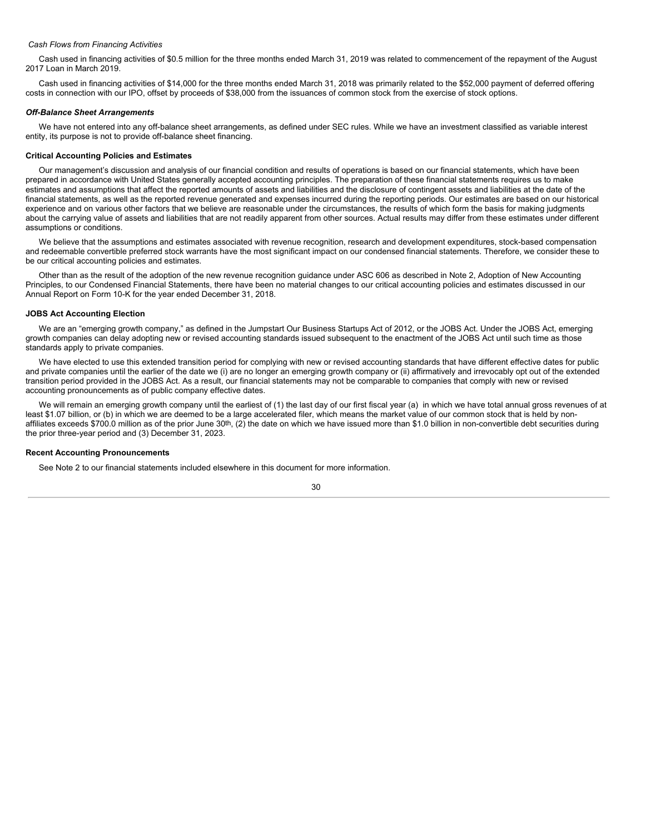# *Cash Flows from Financing Activities*

Cash used in financing activities of \$0.5 million for the three months ended March 31, 2019 was related to commencement of the repayment of the August 2017 Loan in March 2019.

Cash used in financing activities of \$14,000 for the three months ended March 31, 2018 was primarily related to the \$52,000 payment of deferred offering costs in connection with our IPO, offset by proceeds of \$38,000 from the issuances of common stock from the exercise of stock options.

#### *Off-Balance Sheet Arrangements*

We have not entered into any off-balance sheet arrangements, as defined under SEC rules. While we have an investment classified as variable interest entity, its purpose is not to provide off-balance sheet financing.

#### **Critical Accounting Policies and Estimates**

Our management's discussion and analysis of our financial condition and results of operations is based on our financial statements, which have been prepared in accordance with United States generally accepted accounting principles. The preparation of these financial statements requires us to make estimates and assumptions that affect the reported amounts of assets and liabilities and the disclosure of contingent assets and liabilities at the date of the financial statements, as well as the reported revenue generated and expenses incurred during the reporting periods. Our estimates are based on our historical experience and on various other factors that we believe are reasonable under the circumstances, the results of which form the basis for making judgments about the carrying value of assets and liabilities that are not readily apparent from other sources. Actual results may differ from these estimates under different assumptions or conditions.

We believe that the assumptions and estimates associated with revenue recognition, research and development expenditures, stock-based compensation and redeemable convertible preferred stock warrants have the most significant impact on our condensed financial statements. Therefore, we consider these to be our critical accounting policies and estimates.

Other than as the result of the adoption of the new revenue recognition guidance under ASC 606 as described in Note 2, Adoption of New Accounting Principles, to our Condensed Financial Statements, there have been no material changes to our critical accounting policies and estimates discussed in our Annual Report on Form 10-K for the year ended December 31, 2018.

# **JOBS Act Accounting Election**

We are an "emerging growth company," as defined in the Jumpstart Our Business Startups Act of 2012, or the JOBS Act. Under the JOBS Act, emerging growth companies can delay adopting new or revised accounting standards issued subsequent to the enactment of the JOBS Act until such time as those standards apply to private companies.

We have elected to use this extended transition period for complying with new or revised accounting standards that have different effective dates for public and private companies until the earlier of the date we (i) are no longer an emerging growth company or (ii) affirmatively and irrevocably opt out of the extended transition period provided in the JOBS Act. As a result, our financial statements may not be comparable to companies that comply with new or revised accounting pronouncements as of public company effective dates.

We will remain an emerging growth company until the earliest of (1) the last day of our first fiscal year (a) in which we have total annual gross revenues of at least \$1.07 billion, or (b) in which we are deemed to be a large accelerated filer, which means the market value of our common stock that is held by nonaffiliates exceeds \$700.0 million as of the prior June  $30<sup>th</sup>$ , (2) the date on which we have issued more than \$1.0 billion in non-convertible debt securities during the prior three-year period and (3) December 31, 2023.

## **Recent Accounting Pronouncements**

See Note 2 to our financial statements included elsewhere in this document for more information.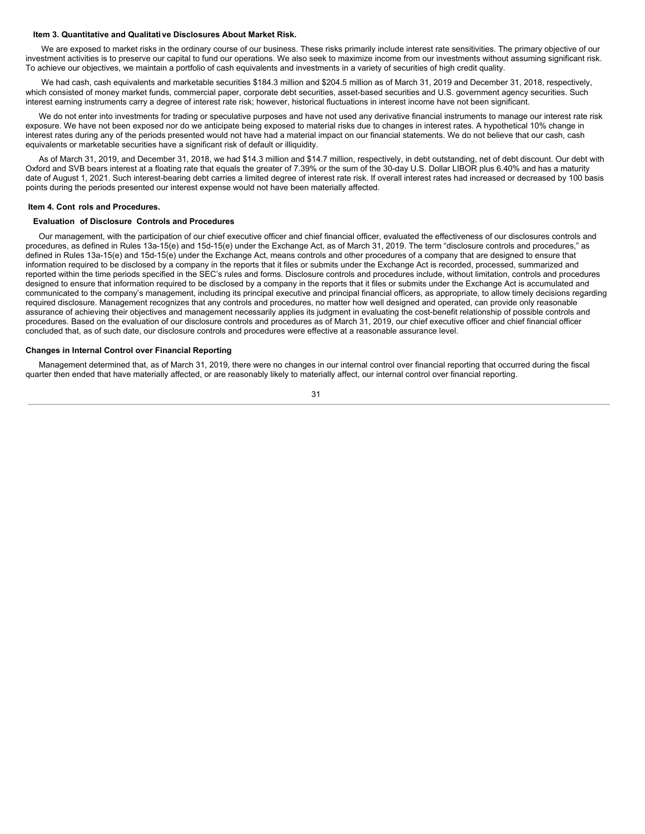# <span id="page-32-0"></span>**Item 3. Quantitative and Qualitati ve Disclosures About Market Risk.**

We are exposed to market risks in the ordinary course of our business. These risks primarily include interest rate sensitivities. The primary objective of our investment activities is to preserve our capital to fund our operations. We also seek to maximize income from our investments without assuming significant risk. To achieve our objectives, we maintain a portfolio of cash equivalents and investments in a variety of securities of high credit quality.

We had cash, cash equivalents and marketable securities \$184.3 million and \$204.5 million as of March 31, 2019 and December 31, 2018, respectively, which consisted of money market funds, commercial paper, corporate debt securities, asset-based securities and U.S. government agency securities. Such interest earning instruments carry a degree of interest rate risk; however, historical fluctuations in interest income have not been significant.

We do not enter into investments for trading or speculative purposes and have not used any derivative financial instruments to manage our interest rate risk exposure. We have not been exposed nor do we anticipate being exposed to material risks due to changes in interest rates. A hypothetical 10% change in interest rates during any of the periods presented would not have had a material impact on our financial statements. We do not believe that our cash, cash equivalents or marketable securities have a significant risk of default or illiquidity.

As of March 31, 2019, and December 31, 2018, we had \$14.3 million and \$14.7 million, respectively, in debt outstanding, net of debt discount. Our debt with Oxford and SVB bears interest at a floating rate that equals the greater of 7.39% or the sum of the 30-day U.S. Dollar LIBOR plus 6.40% and has a maturity date of August 1, 2021. Such interest-bearing debt carries a limited degree of interest rate risk. If overall interest rates had increased or decreased by 100 basis points during the periods presented our interest expense would not have been materially affected.

# <span id="page-32-1"></span>**Item 4. Cont rols and Procedures.**

# **Evaluation of Disclosure Controls and Procedures**

Our management, with the participation of our chief executive officer and chief financial officer, evaluated the effectiveness of our disclosures controls and procedures, as defined in Rules 13a-15(e) and 15d-15(e) under the Exchange Act, as of March 31, 2019. The term "disclosure controls and procedures," as defined in Rules 13a-15(e) and 15d-15(e) under the Exchange Act, means controls and other procedures of a company that are designed to ensure that information required to be disclosed by a company in the reports that it files or submits under the Exchange Act is recorded, processed, summarized and reported within the time periods specified in the SEC's rules and forms. Disclosure controls and procedures include, without limitation, controls and procedures designed to ensure that information required to be disclosed by a company in the reports that it files or submits under the Exchange Act is accumulated and communicated to the company's management, including its principal executive and principal financial officers, as appropriate, to allow timely decisions regarding required disclosure. Management recognizes that any controls and procedures, no matter how well designed and operated, can provide only reasonable assurance of achieving their objectives and management necessarily applies its judgment in evaluating the cost-benefit relationship of possible controls and procedures. Based on the evaluation of our disclosure controls and procedures as of March 31, 2019, our chief executive officer and chief financial officer concluded that, as of such date, our disclosure controls and procedures were effective at a reasonable assurance level.

# **Changes in Internal Control over Financial Reporting**

Management determined that, as of March 31, 2019, there were no changes in our internal control over financial reporting that occurred during the fiscal quarter then ended that have materially affected, or are reasonably likely to materially affect, our internal control over financial reporting.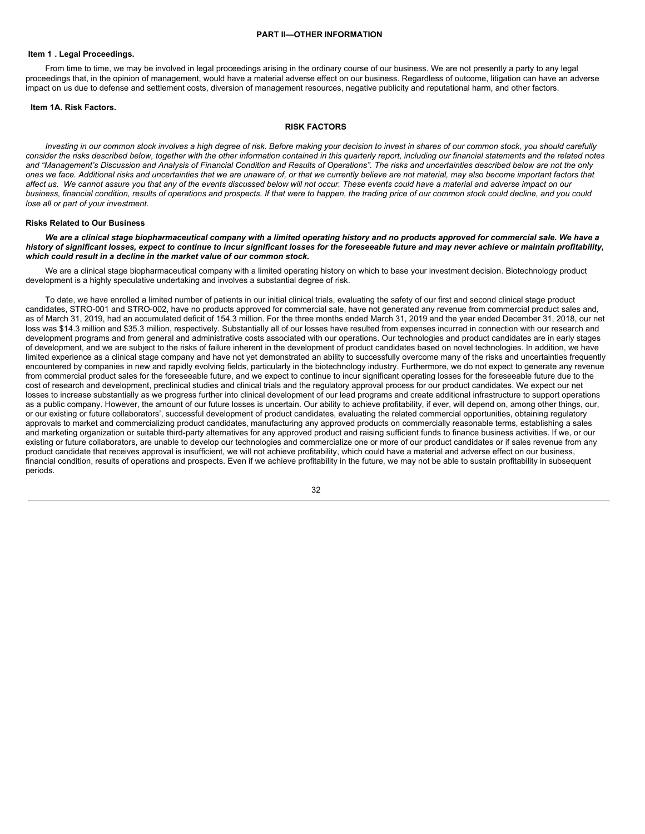## <span id="page-33-1"></span>**Item 1 . Legal Proceedings.**

From time to time, we may be involved in legal proceedings arising in the ordinary course of our business. We are not presently a party to any legal proceedings that, in the opinion of management, would have a material adverse effect on our business. Regardless of outcome, litigation can have an adverse impact on us due to defense and settlement costs, diversion of management resources, negative publicity and reputational harm, and other factors.

#### <span id="page-33-2"></span>**Item 1A. Risk Factors.**

#### <span id="page-33-0"></span>**RISK FACTORS**

Investing in our common stock involves a high degree of risk. Before making your decision to invest in shares of our common stock, you should carefully consider the risks described below, together with the other information contained in this quarterly report, including our financial statements and the related notes and "Management's Discussion and Analysis of Financial Condition and Results of Operations". The risks and uncertainties described below are not the only ones we face. Additional risks and uncertainties that we are unaware of, or that we currently believe are not material, may also become important factors that affect us. We cannot assure you that any of the events discussed below will not occur. These events could have a material and adverse impact on our business, financial condition, results of operations and prospects. If that were to happen, the trading price of our common stock could decline, and you could *lose all or part of your investment.*

#### **Risks Related to Our Business**

We are a clinical stage biopharmaceutical company with a limited operating history and no products approved for commercial sale. We have a history of significant losses, expect to continue to incur significant losses for the foreseeable future and may never achieve or maintain profitability, *which could result in a decline in the market value of our common stock.*

We are a clinical stage biopharmaceutical company with a limited operating history on which to base your investment decision. Biotechnology product development is a highly speculative undertaking and involves a substantial degree of risk.

To date, we have enrolled a limited number of patients in our initial clinical trials, evaluating the safety of our first and second clinical stage product candidates, STRO-001 and STRO-002, have no products approved for commercial sale, have not generated any revenue from commercial product sales and, as of March 31, 2019, had an accumulated deficit of 154.3 million. For the three months ended March 31, 2019 and the year ended December 31, 2018, our net loss was \$14.3 million and \$35.3 million, respectively. Substantially all of our losses have resulted from expenses incurred in connection with our research and development programs and from general and administrative costs associated with our operations. Our technologies and product candidates are in early stages of development, and we are subject to the risks of failure inherent in the development of product candidates based on novel technologies. In addition, we have limited experience as a clinical stage company and have not yet demonstrated an ability to successfully overcome many of the risks and uncertainties frequently encountered by companies in new and rapidly evolving fields, particularly in the biotechnology industry. Furthermore, we do not expect to generate any revenue from commercial product sales for the foreseeable future, and we expect to continue to incur significant operating losses for the foreseeable future due to the cost of research and development, preclinical studies and clinical trials and the regulatory approval process for our product candidates. We expect our net losses to increase substantially as we progress further into clinical development of our lead programs and create additional infrastructure to support operations as a public company. However, the amount of our future losses is uncertain. Our ability to achieve profitability, if ever, will depend on, among other things, our, or our existing or future collaborators', successful development of product candidates, evaluating the related commercial opportunities, obtaining regulatory approvals to market and commercializing product candidates, manufacturing any approved products on commercially reasonable terms, establishing a sales and marketing organization or suitable third-party alternatives for any approved product and raising sufficient funds to finance business activities. If we, or our existing or future collaborators, are unable to develop our technologies and commercialize one or more of our product candidates or if sales revenue from any product candidate that receives approval is insufficient, we will not achieve profitability, which could have a material and adverse effect on our business, financial condition, results of operations and prospects. Even if we achieve profitability in the future, we may not be able to sustain profitability in subsequent periods.

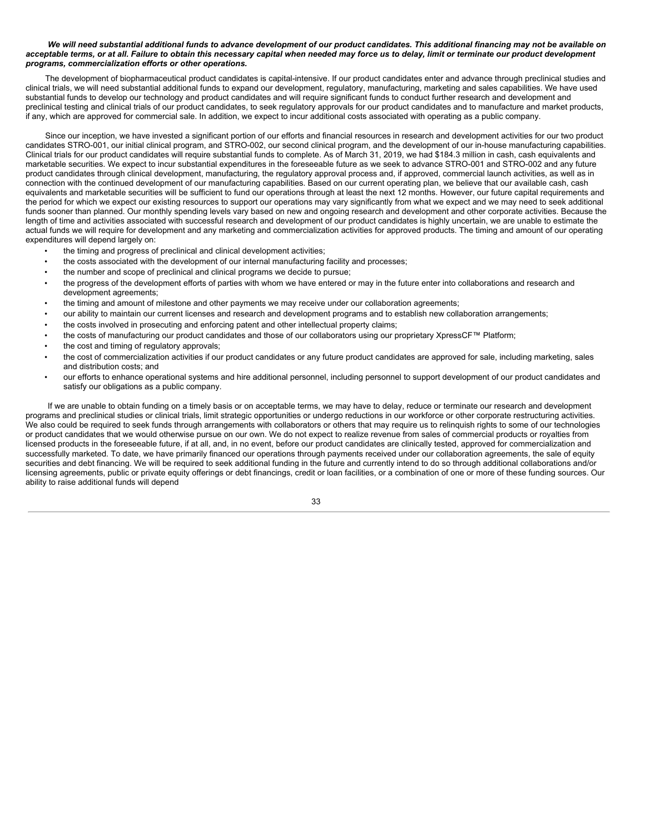# We will need substantial additional funds to advance development of our product candidates. This additional financing may not be available on acceptable terms, or at all. Failure to obtain this necessary capital when needed may force us to delay, limit or terminate our product development *programs, commercialization efforts or other operations.*

The development of biopharmaceutical product candidates is capital-intensive. If our product candidates enter and advance through preclinical studies and clinical trials, we will need substantial additional funds to expand our development, regulatory, manufacturing, marketing and sales capabilities. We have used substantial funds to develop our technology and product candidates and will require significant funds to conduct further research and development and preclinical testing and clinical trials of our product candidates, to seek regulatory approvals for our product candidates and to manufacture and market products, if any, which are approved for commercial sale. In addition, we expect to incur additional costs associated with operating as a public company.

Since our inception, we have invested a significant portion of our efforts and financial resources in research and development activities for our two product candidates STRO-001, our initial clinical program, and STRO-002, our second clinical program, and the development of our in-house manufacturing capabilities. Clinical trials for our product candidates will require substantial funds to complete. As of March 31, 2019, we had \$184.3 million in cash, cash equivalents and marketable securities. We expect to incur substantial expenditures in the foreseeable future as we seek to advance STRO-001 and STRO-002 and any future product candidates through clinical development, manufacturing, the regulatory approval process and, if approved, commercial launch activities, as well as in connection with the continued development of our manufacturing capabilities. Based on our current operating plan, we believe that our available cash, cash equivalents and marketable securities will be sufficient to fund our operations through at least the next 12 months. However, our future capital requirements and the period for which we expect our existing resources to support our operations may vary significantly from what we expect and we may need to seek additional funds sooner than planned. Our monthly spending levels vary based on new and ongoing research and development and other corporate activities. Because the length of time and activities associated with successful research and development of our product candidates is highly uncertain, we are unable to estimate the actual funds we will require for development and any marketing and commercialization activities for approved products. The timing and amount of our operating expenditures will depend largely on:

- the timing and progress of preclinical and clinical development activities;
- the costs associated with the development of our internal manufacturing facility and processes;
- the number and scope of preclinical and clinical programs we decide to pursue;
- the progress of the development efforts of parties with whom we have entered or may in the future enter into collaborations and research and development agreements;
- the timing and amount of milestone and other payments we may receive under our collaboration agreements;
- our ability to maintain our current licenses and research and development programs and to establish new collaboration arrangements;
- the costs involved in prosecuting and enforcing patent and other intellectual property claims;
- the costs of manufacturing our product candidates and those of our collaborators using our proprietary XpressCF™ Platform;
- the cost and timing of regulatory approvals;
- the cost of commercialization activities if our product candidates or any future product candidates are approved for sale, including marketing, sales and distribution costs; and
- our efforts to enhance operational systems and hire additional personnel, including personnel to support development of our product candidates and satisfy our obligations as a public company.

If we are unable to obtain funding on a timely basis or on acceptable terms, we may have to delay, reduce or terminate our research and development programs and preclinical studies or clinical trials, limit strategic opportunities or undergo reductions in our workforce or other corporate restructuring activities. We also could be required to seek funds through arrangements with collaborators or others that may require us to relinquish rights to some of our technologies or product candidates that we would otherwise pursue on our own. We do not expect to realize revenue from sales of commercial products or royalties from licensed products in the foreseeable future, if at all, and, in no event, before our product candidates are clinically tested, approved for commercialization and successfully marketed. To date, we have primarily financed our operations through payments received under our collaboration agreements, the sale of equity securities and debt financing. We will be required to seek additional funding in the future and currently intend to do so through additional collaborations and/or licensing agreements, public or private equity offerings or debt financings, credit or loan facilities, or a combination of one or more of these funding sources. Our ability to raise additional funds will depend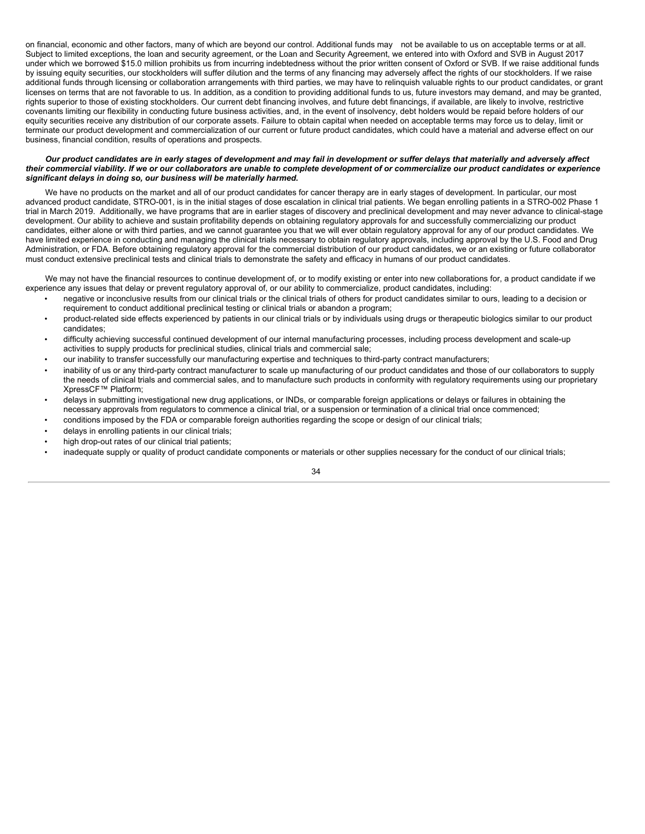on financial, economic and other factors, many of which are beyond our control. Additional funds may not be available to us on acceptable terms or at all. Subject to limited exceptions, the loan and security agreement, or the Loan and Security Agreement, we entered into with Oxford and SVB in August 2017 under which we borrowed \$15.0 million prohibits us from incurring indebtedness without the prior written consent of Oxford or SVB. If we raise additional funds by issuing equity securities, our stockholders will suffer dilution and the terms of any financing may adversely affect the rights of our stockholders. If we raise additional funds through licensing or collaboration arrangements with third parties, we may have to relinquish valuable rights to our product candidates, or grant licenses on terms that are not favorable to us. In addition, as a condition to providing additional funds to us, future investors may demand, and may be granted, rights superior to those of existing stockholders. Our current debt financing involves, and future debt financings, if available, are likely to involve, restrictive covenants limiting our flexibility in conducting future business activities, and, in the event of insolvency, debt holders would be repaid before holders of our equity securities receive any distribution of our corporate assets. Failure to obtain capital when needed on acceptable terms may force us to delay, limit or terminate our product development and commercialization of our current or future product candidates, which could have a material and adverse effect on our business, financial condition, results of operations and prospects.

# Our product candidates are in early stages of development and may fail in development or suffer delays that materially and adversely affect their commercial viability. If we or our collaborators are unable to complete development of or commercialize our product candidates or experience *significant delays in doing so, our business will be materially harmed.*

We have no products on the market and all of our product candidates for cancer therapy are in early stages of development. In particular, our most advanced product candidate, STRO-001, is in the initial stages of dose escalation in clinical trial patients. We began enrolling patients in a STRO-002 Phase 1 trial in March 2019. Additionally, we have programs that are in earlier stages of discovery and preclinical development and may never advance to clinical-stage development. Our ability to achieve and sustain profitability depends on obtaining regulatory approvals for and successfully commercializing our product candidates, either alone or with third parties, and we cannot guarantee you that we will ever obtain regulatory approval for any of our product candidates. We have limited experience in conducting and managing the clinical trials necessary to obtain regulatory approvals, including approval by the U.S. Food and Drug Administration, or FDA. Before obtaining regulatory approval for the commercial distribution of our product candidates, we or an existing or future collaborator must conduct extensive preclinical tests and clinical trials to demonstrate the safety and efficacy in humans of our product candidates.

We may not have the financial resources to continue development of, or to modify existing or enter into new collaborations for, a product candidate if we experience any issues that delay or prevent regulatory approval of, or our ability to commercialize, product candidates, including:

- negative or inconclusive results from our clinical trials or the clinical trials of others for product candidates similar to ours, leading to a decision or requirement to conduct additional preclinical testing or clinical trials or abandon a program;
- product-related side effects experienced by patients in our clinical trials or by individuals using drugs or therapeutic biologics similar to our product candidates;
- difficulty achieving successful continued development of our internal manufacturing processes, including process development and scale-up activities to supply products for preclinical studies, clinical trials and commercial sale;
- our inability to transfer successfully our manufacturing expertise and techniques to third-party contract manufacturers;
- inability of us or any third-party contract manufacturer to scale up manufacturing of our product candidates and those of our collaborators to supply the needs of clinical trials and commercial sales, and to manufacture such products in conformity with regulatory requirements using our proprietary XpressCF™ Platform;
- delays in submitting investigational new drug applications, or INDs, or comparable foreign applications or delays or failures in obtaining the necessary approvals from regulators to commence a clinical trial, or a suspension or termination of a clinical trial once commenced;
- conditions imposed by the FDA or comparable foreign authorities regarding the scope or design of our clinical trials;
- delays in enrolling patients in our clinical trials;
- high drop-out rates of our clinical trial patients;
- inadequate supply or quality of product candidate components or materials or other supplies necessary for the conduct of our clinical trials;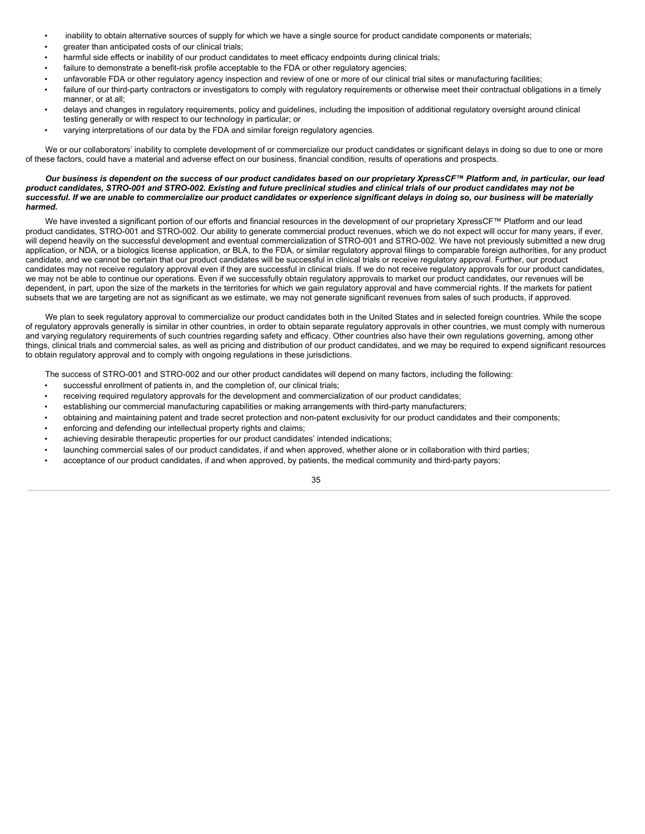- inability to obtain alternative sources of supply for which we have a single source for product candidate components or materials;
- greater than anticipated costs of our clinical trials;
- harmful side effects or inability of our product candidates to meet efficacy endpoints during clinical trials;
- failure to demonstrate a benefit-risk profile acceptable to the FDA or other regulatory agencies;
- unfavorable FDA or other regulatory agency inspection and review of one or more of our clinical trial sites or manufacturing facilities;
- failure of our third-party contractors or investigators to comply with regulatory requirements or otherwise meet their contractual obligations in a timely manner, or at all;
- delays and changes in regulatory requirements, policy and guidelines, including the imposition of additional regulatory oversight around clinical testing generally or with respect to our technology in particular; or
- varying interpretations of our data by the FDA and similar foreign regulatory agencies.

We or our collaborators' inability to complete development of or commercialize our product candidates or significant delays in doing so due to one or more of these factors, could have a material and adverse effect on our business, financial condition, results of operations and prospects.

### Our business is dependent on the success of our product candidates based on our proprietary XpressCF™ Platform and, in particular, our lead product candidates, STRO-001 and STRO-002. Existing and future preclinical studies and clinical trials of our product candidates may not be successful. If we are unable to commercialize our product candidates or experience significant delays in doing so, our business will be materially *harmed.*

We have invested a significant portion of our efforts and financial resources in the development of our proprietary XpressCF™ Platform and our lead product candidates, STRO-001 and STRO-002. Our ability to generate commercial product revenues, which we do not expect will occur for many years, if ever, will depend heavily on the successful development and eventual commercialization of STRO-001 and STRO-002. We have not previously submitted a new drug application, or NDA, or a biologics license application, or BLA, to the FDA, or similar regulatory approval filings to comparable foreign authorities, for any product candidate, and we cannot be certain that our product candidates will be successful in clinical trials or receive regulatory approval. Further, our product candidates may not receive regulatory approval even if they are successful in clinical trials. If we do not receive regulatory approvals for our product candidates, we may not be able to continue our operations. Even if we successfully obtain regulatory approvals to market our product candidates, our revenues will be dependent, in part, upon the size of the markets in the territories for which we gain regulatory approval and have commercial rights. If the markets for patient subsets that we are targeting are not as significant as we estimate, we may not generate significant revenues from sales of such products, if approved.

We plan to seek regulatory approval to commercialize our product candidates both in the United States and in selected foreign countries. While the scope of regulatory approvals generally is similar in other countries, in order to obtain separate regulatory approvals in other countries, we must comply with numerous and varying regulatory requirements of such countries regarding safety and efficacy. Other countries also have their own regulations governing, among other things, clinical trials and commercial sales, as well as pricing and distribution of our product candidates, and we may be required to expend significant resources to obtain regulatory approval and to comply with ongoing regulations in these jurisdictions.

The success of STRO-001 and STRO-002 and our other product candidates will depend on many factors, including the following:

- successful enrollment of patients in, and the completion of, our clinical trials;
- receiving required regulatory approvals for the development and commercialization of our product candidates;
- establishing our commercial manufacturing capabilities or making arrangements with third-party manufacturers;
- obtaining and maintaining patent and trade secret protection and non-patent exclusivity for our product candidates and their components;
- enforcing and defending our intellectual property rights and claims;
- achieving desirable therapeutic properties for our product candidates' intended indications;
- launching commercial sales of our product candidates, if and when approved, whether alone or in collaboration with third parties;
- acceptance of our product candidates, if and when approved, by patients, the medical community and third-party payors;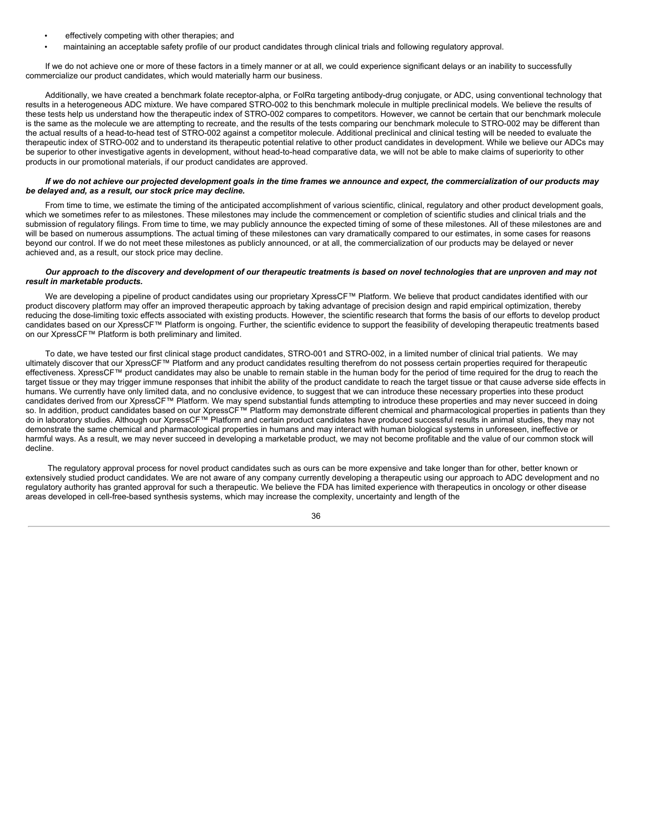- effectively competing with other therapies; and
- maintaining an acceptable safety profile of our product candidates through clinical trials and following regulatory approval.

If we do not achieve one or more of these factors in a timely manner or at all, we could experience significant delays or an inability to successfully commercialize our product candidates, which would materially harm our business.

Additionally, we have created a benchmark folate receptor-alpha, or FolRα targeting antibody-drug conjugate, or ADC, using conventional technology that results in a heterogeneous ADC mixture. We have compared STRO-002 to this benchmark molecule in multiple preclinical models. We believe the results of these tests help us understand how the therapeutic index of STRO-002 compares to competitors. However, we cannot be certain that our benchmark molecule is the same as the molecule we are attempting to recreate, and the results of the tests comparing our benchmark molecule to STRO-002 may be different than the actual results of a head-to-head test of STRO-002 against a competitor molecule. Additional preclinical and clinical testing will be needed to evaluate the therapeutic index of STRO-002 and to understand its therapeutic potential relative to other product candidates in development. While we believe our ADCs may be superior to other investigative agents in development, without head-to-head comparative data, we will not be able to make claims of superiority to other products in our promotional materials, if our product candidates are approved.

### If we do not achieve our projected development goals in the time frames we announce and expect, the commercialization of our products may *be delayed and, as a result, our stock price may decline.*

From time to time, we estimate the timing of the anticipated accomplishment of various scientific, clinical, regulatory and other product development goals, which we sometimes refer to as milestones. These milestones may include the commencement or completion of scientific studies and clinical trials and the submission of regulatory filings. From time to time, we may publicly announce the expected timing of some of these milestones. All of these milestones are and will be based on numerous assumptions. The actual timing of these milestones can vary dramatically compared to our estimates, in some cases for reasons beyond our control. If we do not meet these milestones as publicly announced, or at all, the commercialization of our products may be delayed or never achieved and, as a result, our stock price may decline.

### Our approach to the discovery and development of our therapeutic treatments is based on novel technologies that are unproven and may not *result in marketable products.*

We are developing a pipeline of product candidates using our proprietary XpressCF™ Platform. We believe that product candidates identified with our product discovery platform may offer an improved therapeutic approach by taking advantage of precision design and rapid empirical optimization, thereby reducing the dose-limiting toxic effects associated with existing products. However, the scientific research that forms the basis of our efforts to develop product candidates based on our XpressCF™ Platform is ongoing. Further, the scientific evidence to support the feasibility of developing therapeutic treatments based on our XpressCF™ Platform is both preliminary and limited.

To date, we have tested our first clinical stage product candidates, STRO-001 and STRO-002, in a limited number of clinical trial patients. We may ultimately discover that our XpressCF™ Platform and any product candidates resulting therefrom do not possess certain properties required for therapeutic effectiveness. XpressCF™ product candidates may also be unable to remain stable in the human body for the period of time required for the drug to reach the target tissue or they may trigger immune responses that inhibit the ability of the product candidate to reach the target tissue or that cause adverse side effects in humans. We currently have only limited data, and no conclusive evidence, to suggest that we can introduce these necessary properties into these product candidates derived from our XpressCF™ Platform. We may spend substantial funds attempting to introduce these properties and may never succeed in doing so. In addition, product candidates based on our XpressCF™ Platform may demonstrate different chemical and pharmacological properties in patients than they do in laboratory studies. Although our XpressCF™ Platform and certain product candidates have produced successful results in animal studies, they may not demonstrate the same chemical and pharmacological properties in humans and may interact with human biological systems in unforeseen, ineffective or harmful ways. As a result, we may never succeed in developing a marketable product, we may not become profitable and the value of our common stock will decline.

The regulatory approval process for novel product candidates such as ours can be more expensive and take longer than for other, better known or extensively studied product candidates. We are not aware of any company currently developing a therapeutic using our approach to ADC development and no regulatory authority has granted approval for such a therapeutic. We believe the FDA has limited experience with therapeutics in oncology or other disease areas developed in cell-free-based synthesis systems, which may increase the complexity, uncertainty and length of the

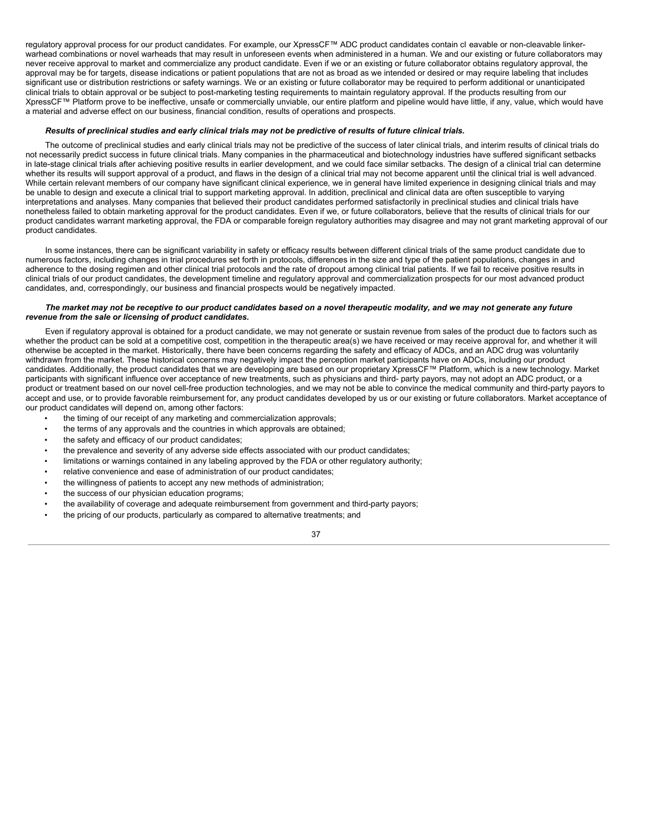regulatory approval process for our product candidates. For example, our XpressCF™ ADC product candidates contain cl eavable or non-cleavable linkerwarhead combinations or novel warheads that may result in unforeseen events when administered in a human. We and our existing or future collaborators may never receive approval to market and commercialize any product candidate. Even if we or an existing or future collaborator obtains regulatory approval, the approval may be for targets, disease indications or patient populations that are not as broad as we intended or desired or may require labeling that includes significant use or distribution restrictions or safety warnings. We or an existing or future collaborator may be required to perform additional or unanticipated clinical trials to obtain approval or be subject to post-marketing testing requirements to maintain regulatory approval. If the products resulting from our XpressCF™ Platform prove to be ineffective, unsafe or commercially unviable, our entire platform and pipeline would have little, if any, value, which would have a material and adverse effect on our business, financial condition, results of operations and prospects.

#### Results of preclinical studies and early clinical trials may not be predictive of results of future clinical trials.

The outcome of preclinical studies and early clinical trials may not be predictive of the success of later clinical trials, and interim results of clinical trials do not necessarily predict success in future clinical trials. Many companies in the pharmaceutical and biotechnology industries have suffered significant setbacks in late-stage clinical trials after achieving positive results in earlier development, and we could face similar setbacks. The design of a clinical trial can determine whether its results will support approval of a product, and flaws in the design of a clinical trial may not become apparent until the clinical trial is well advanced. While certain relevant members of our company have significant clinical experience, we in general have limited experience in designing clinical trials and may be unable to design and execute a clinical trial to support marketing approval. In addition, preclinical and clinical data are often susceptible to varying interpretations and analyses. Many companies that believed their product candidates performed satisfactorily in preclinical studies and clinical trials have nonetheless failed to obtain marketing approval for the product candidates. Even if we, or future collaborators, believe that the results of clinical trials for our product candidates warrant marketing approval, the FDA or comparable foreign regulatory authorities may disagree and may not grant marketing approval of our product candidates.

In some instances, there can be significant variability in safety or efficacy results between different clinical trials of the same product candidate due to numerous factors, including changes in trial procedures set forth in protocols, differences in the size and type of the patient populations, changes in and adherence to the dosing regimen and other clinical trial protocols and the rate of dropout among clinical trial patients. If we fail to receive positive results in clinical trials of our product candidates, the development timeline and regulatory approval and commercialization prospects for our most advanced product candidates, and, correspondingly, our business and financial prospects would be negatively impacted.

### The market may not be receptive to our product candidates based on a novel therapeutic modality, and we may not generate any future *revenue from the sale or licensing of product candidates.*

Even if regulatory approval is obtained for a product candidate, we may not generate or sustain revenue from sales of the product due to factors such as whether the product can be sold at a competitive cost, competition in the therapeutic area(s) we have received or may receive approval for, and whether it will otherwise be accepted in the market. Historically, there have been concerns regarding the safety and efficacy of ADCs, and an ADC drug was voluntarily withdrawn from the market. These historical concerns may negatively impact the perception market participants have on ADCs, including our product candidates. Additionally, the product candidates that we are developing are based on our proprietary XpressCF™ Platform, which is a new technology. Market participants with significant influence over acceptance of new treatments, such as physicians and third- party payors, may not adopt an ADC product, or a product or treatment based on our novel cell-free production technologies, and we may not be able to convince the medical community and third-party payors to accept and use, or to provide favorable reimbursement for, any product candidates developed by us or our existing or future collaborators. Market acceptance of our product candidates will depend on, among other factors:

- the timing of our receipt of any marketing and commercialization approvals;
- the terms of any approvals and the countries in which approvals are obtained;
- the safety and efficacy of our product candidates;
- the prevalence and severity of any adverse side effects associated with our product candidates;
- limitations or warnings contained in any labeling approved by the FDA or other regulatory authority;
- relative convenience and ease of administration of our product candidates;
- the willingness of patients to accept any new methods of administration;
- the success of our physician education programs;
- the availability of coverage and adequate reimbursement from government and third-party payors;
- the pricing of our products, particularly as compared to alternative treatments; and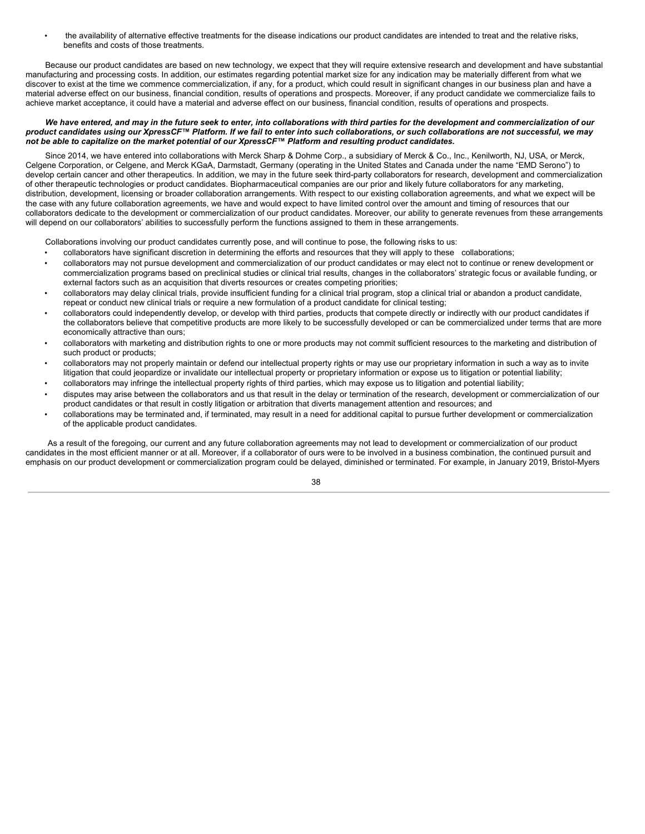• the availability of alternative effective treatments for the disease indications our product candidates are intended to treat and the relative risks, benefits and costs of those treatments.

Because our product candidates are based on new technology, we expect that they will require extensive research and development and have substantial manufacturing and processing costs. In addition, our estimates regarding potential market size for any indication may be materially different from what we discover to exist at the time we commence commercialization, if any, for a product, which could result in significant changes in our business plan and have a material adverse effect on our business, financial condition, results of operations and prospects. Moreover, if any product candidate we commercialize fails to achieve market acceptance, it could have a material and adverse effect on our business, financial condition, results of operations and prospects.

### We have entered, and may in the future seek to enter, into collaborations with third parties for the development and commercialization of our product candidates using our XpressCF™ Platform. If we fail to enter into such collaborations, or such collaborations are not successful, we may not be able to capitalize on the market potential of our XpressCF™ Platform and resulting product candidates.

Since 2014, we have entered into collaborations with Merck Sharp & Dohme Corp., a subsidiary of Merck & Co., Inc., Kenilworth, NJ, USA, or Merck, Celgene Corporation, or Celgene, and Merck KGaA, Darmstadt, Germany (operating in the United States and Canada under the name "EMD Serono") to develop certain cancer and other therapeutics. In addition, we may in the future seek third-party collaborators for research, development and commercialization of other therapeutic technologies or product candidates. Biopharmaceutical companies are our prior and likely future collaborators for any marketing, distribution, development, licensing or broader collaboration arrangements. With respect to our existing collaboration agreements, and what we expect will be the case with any future collaboration agreements, we have and would expect to have limited control over the amount and timing of resources that our collaborators dedicate to the development or commercialization of our product candidates. Moreover, our ability to generate revenues from these arrangements will depend on our collaborators' abilities to successfully perform the functions assigned to them in these arrangements.

Collaborations involving our product candidates currently pose, and will continue to pose, the following risks to us:

- collaborators have significant discretion in determining the efforts and resources that they will apply to these collaborations;
- collaborators may not pursue development and commercialization of our product candidates or may elect not to continue or renew development or commercialization programs based on preclinical studies or clinical trial results, changes in the collaborators' strategic focus or available funding, or external factors such as an acquisition that diverts resources or creates competing priorities;
- collaborators may delay clinical trials, provide insufficient funding for a clinical trial program, stop a clinical trial or abandon a product candidate, repeat or conduct new clinical trials or require a new formulation of a product candidate for clinical testing;
- collaborators could independently develop, or develop with third parties, products that compete directly or indirectly with our product candidates if the collaborators believe that competitive products are more likely to be successfully developed or can be commercialized under terms that are more economically attractive than ours;
- collaborators with marketing and distribution rights to one or more products may not commit sufficient resources to the marketing and distribution of such product or products;
- collaborators may not properly maintain or defend our intellectual property rights or may use our proprietary information in such a way as to invite litigation that could jeopardize or invalidate our intellectual property or proprietary information or expose us to litigation or potential liability;
- collaborators may infringe the intellectual property rights of third parties, which may expose us to litigation and potential liability;
- disputes may arise between the collaborators and us that result in the delay or termination of the research, development or commercialization of our product candidates or that result in costly litigation or arbitration that diverts management attention and resources; and
- collaborations may be terminated and, if terminated, may result in a need for additional capital to pursue further development or commercialization of the applicable product candidates.

As a result of the foregoing, our current and any future collaboration agreements may not lead to development or commercialization of our product candidates in the most efficient manner or at all. Moreover, if a collaborator of ours were to be involved in a business combination, the continued pursuit and emphasis on our product development or commercialization program could be delayed, diminished or terminated. For example, in January 2019, Bristol-Myers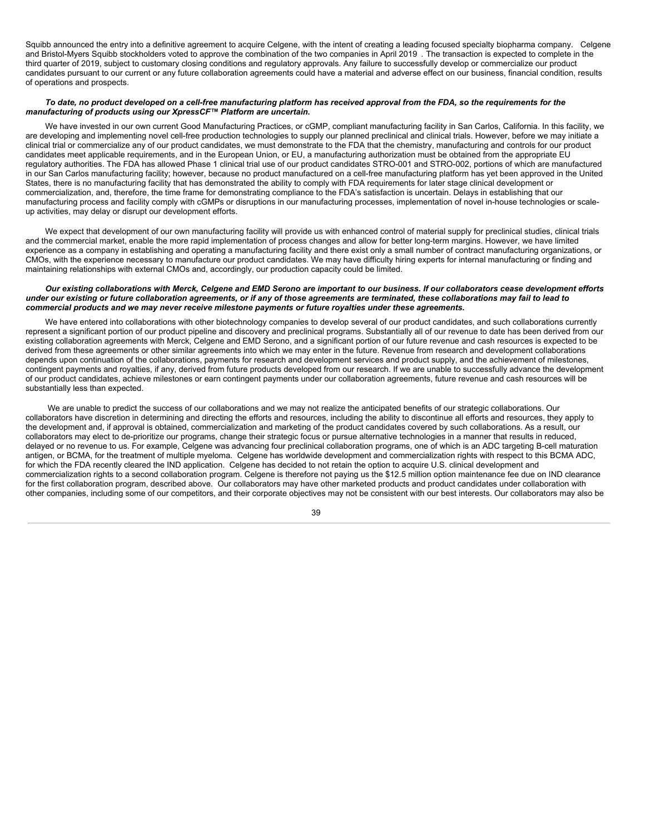Squibb announced the entry into a definitive agreement to acquire Celgene, with the intent of creating a leading focused specialty biopharma company. Celgene and Bristol-Myers Squibb stockholders voted to approve the combination of the two companies in April 2019 . The transaction is expected to complete in the third quarter of 2019, subject to customary closing conditions and regulatory approvals. Any failure to successfully develop or commercialize our product candidates pursuant to our current or any future collaboration agreements could have a material and adverse effect on our business, financial condition, results of operations and prospects.

### To date, no product developed on a cell-free manufacturing platform has received approval from the FDA, so the requirements for the *manufacturing of products using our XpressCF™ Platform are uncertain.*

We have invested in our own current Good Manufacturing Practices, or cGMP, compliant manufacturing facility in San Carlos, California. In this facility, we are developing and implementing novel cell-free production technologies to supply our planned preclinical and clinical trials. However, before we may initiate a clinical trial or commercialize any of our product candidates, we must demonstrate to the FDA that the chemistry, manufacturing and controls for our product candidates meet applicable requirements, and in the European Union, or EU, a manufacturing authorization must be obtained from the appropriate EU regulatory authorities. The FDA has allowed Phase 1 clinical trial use of our product candidates STRO-001 and STRO-002, portions of which are manufactured in our San Carlos manufacturing facility; however, because no product manufactured on a cell-free manufacturing platform has yet been approved in the United States, there is no manufacturing facility that has demonstrated the ability to comply with FDA requirements for later stage clinical development or commercialization, and, therefore, the time frame for demonstrating compliance to the FDA's satisfaction is uncertain. Delays in establishing that our manufacturing process and facility comply with cGMPs or disruptions in our manufacturing processes, implementation of novel in-house technologies or scaleup activities, may delay or disrupt our development efforts.

We expect that development of our own manufacturing facility will provide us with enhanced control of material supply for preclinical studies, clinical trials and the commercial market, enable the more rapid implementation of process changes and allow for better long-term margins. However, we have limited experience as a company in establishing and operating a manufacturing facility and there exist only a small number of contract manufacturing organizations, or CMOs, with the experience necessary to manufacture our product candidates. We may have difficulty hiring experts for internal manufacturing or finding and maintaining relationships with external CMOs and, accordingly, our production capacity could be limited.

### Our existing collaborations with Merck, Celgene and EMD Serono are important to our business. If our collaborators cease development efforts under our existing or future collaboration agreements, or if any of those agreements are terminated, these collaborations may fail to lead to *commercial products and we may never receive milestone payments or future royalties under these agreements.*

We have entered into collaborations with other biotechnology companies to develop several of our product candidates, and such collaborations currently represent a significant portion of our product pipeline and discovery and preclinical programs. Substantially all of our revenue to date has been derived from our existing collaboration agreements with Merck, Celgene and EMD Serono, and a significant portion of our future revenue and cash resources is expected to be derived from these agreements or other similar agreements into which we may enter in the future. Revenue from research and development collaborations depends upon continuation of the collaborations, payments for research and development services and product supply, and the achievement of milestones, contingent payments and royalties, if any, derived from future products developed from our research. If we are unable to successfully advance the development of our product candidates, achieve milestones or earn contingent payments under our collaboration agreements, future revenue and cash resources will be substantially less than expected.

We are unable to predict the success of our collaborations and we may not realize the anticipated benefits of our strategic collaborations. Our collaborators have discretion in determining and directing the efforts and resources, including the ability to discontinue all efforts and resources, they apply to the development and, if approval is obtained, commercialization and marketing of the product candidates covered by such collaborations. As a result, our collaborators may elect to de-prioritize our programs, change their strategic focus or pursue alternative technologies in a manner that results in reduced, delayed or no revenue to us. For example, Celgene was advancing four preclinical collaboration programs, one of which is an ADC targeting B-cell maturation antigen, or BCMA, for the treatment of multiple myeloma. Celgene has worldwide development and commercialization rights with respect to this BCMA ADC, for which the FDA recently cleared the IND application. Celgene has decided to not retain the option to acquire U.S. clinical development and commercialization rights to a second collaboration program. Celgene is therefore not paying us the \$12.5 million option maintenance fee due on IND clearance for the first collaboration program, described above. Our collaborators may have other marketed products and product candidates under collaboration with other companies, including some of our competitors, and their corporate objectives may not be consistent with our best interests. Our collaborators may also be

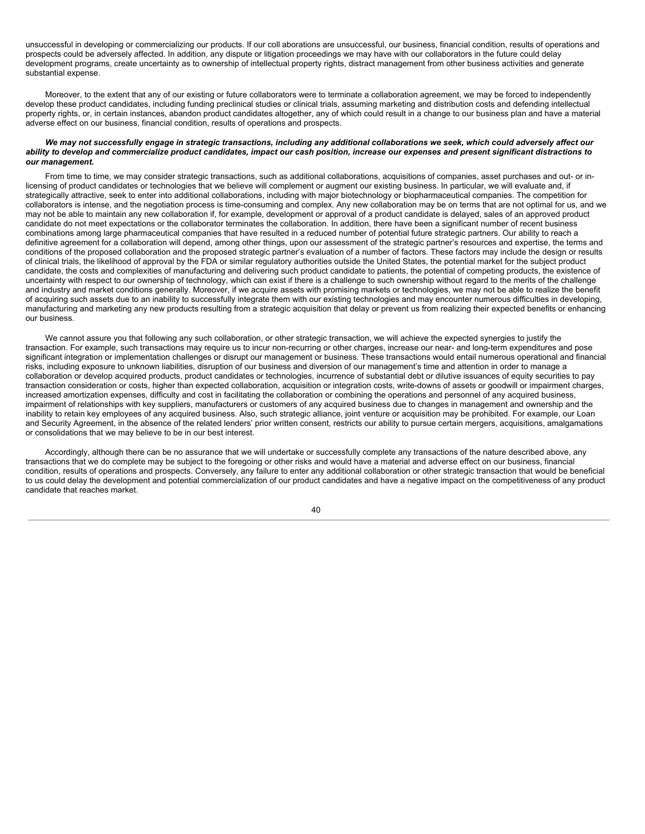unsuccessful in developing or commercializing our products. If our coll aborations are unsuccessful, our business, financial condition, results of operations and prospects could be adversely affected. In addition, any dispute or litigation proceedings we may have with our collaborators in the future could delay development programs, create uncertainty as to ownership of intellectual property rights, distract management from other business activities and generate substantial expense.

Moreover, to the extent that any of our existing or future collaborators were to terminate a collaboration agreement, we may be forced to independently develop these product candidates, including funding preclinical studies or clinical trials, assuming marketing and distribution costs and defending intellectual property rights, or, in certain instances, abandon product candidates altogether, any of which could result in a change to our business plan and have a material adverse effect on our business, financial condition, results of operations and prospects.

#### We may not successfully engage in strategic transactions, including any additional collaborations we seek, which could adversely affect our ability to develop and commercialize product candidates, impact our cash position, increase our expenses and present significant distractions to *our management.*

From time to time, we may consider strategic transactions, such as additional collaborations, acquisitions of companies, asset purchases and out- or inlicensing of product candidates or technologies that we believe will complement or augment our existing business. In particular, we will evaluate and, if strategically attractive, seek to enter into additional collaborations, including with major biotechnology or biopharmaceutical companies. The competition for collaborators is intense, and the negotiation process is time-consuming and complex. Any new collaboration may be on terms that are not optimal for us, and we may not be able to maintain any new collaboration if, for example, development or approval of a product candidate is delayed, sales of an approved product candidate do not meet expectations or the collaborator terminates the collaboration. In addition, there have been a significant number of recent business combinations among large pharmaceutical companies that have resulted in a reduced number of potential future strategic partners. Our ability to reach a definitive agreement for a collaboration will depend, among other things, upon our assessment of the strategic partner's resources and expertise, the terms and conditions of the proposed collaboration and the proposed strategic partner's evaluation of a number of factors. These factors may include the design or results of clinical trials, the likelihood of approval by the FDA or similar regulatory authorities outside the United States, the potential market for the subject product candidate, the costs and complexities of manufacturing and delivering such product candidate to patients, the potential of competing products, the existence of uncertainty with respect to our ownership of technology, which can exist if there is a challenge to such ownership without regard to the merits of the challenge and industry and market conditions generally. Moreover, if we acquire assets with promising markets or technologies, we may not be able to realize the benefit of acquiring such assets due to an inability to successfully integrate them with our existing technologies and may encounter numerous difficulties in developing, manufacturing and marketing any new products resulting from a strategic acquisition that delay or prevent us from realizing their expected benefits or enhancing our business.

We cannot assure you that following any such collaboration, or other strategic transaction, we will achieve the expected synergies to justify the transaction. For example, such transactions may require us to incur non-recurring or other charges, increase our near- and long-term expenditures and pose significant integration or implementation challenges or disrupt our management or business. These transactions would entail numerous operational and financial risks, including exposure to unknown liabilities, disruption of our business and diversion of our management's time and attention in order to manage a collaboration or develop acquired products, product candidates or technologies, incurrence of substantial debt or dilutive issuances of equity securities to pay transaction consideration or costs, higher than expected collaboration, acquisition or integration costs, write-downs of assets or goodwill or impairment charges, increased amortization expenses, difficulty and cost in facilitating the collaboration or combining the operations and personnel of any acquired business, impairment of relationships with key suppliers, manufacturers or customers of any acquired business due to changes in management and ownership and the inability to retain key employees of any acquired business. Also, such strategic alliance, joint venture or acquisition may be prohibited. For example, our Loan and Security Agreement, in the absence of the related lenders' prior written consent, restricts our ability to pursue certain mergers, acquisitions, amalgamations or consolidations that we may believe to be in our best interest.

Accordingly, although there can be no assurance that we will undertake or successfully complete any transactions of the nature described above, any transactions that we do complete may be subject to the foregoing or other risks and would have a material and adverse effect on our business, financial condition, results of operations and prospects. Conversely, any failure to enter any additional collaboration or other strategic transaction that would be beneficial to us could delay the development and potential commercialization of our product candidates and have a negative impact on the competitiveness of any product candidate that reaches market.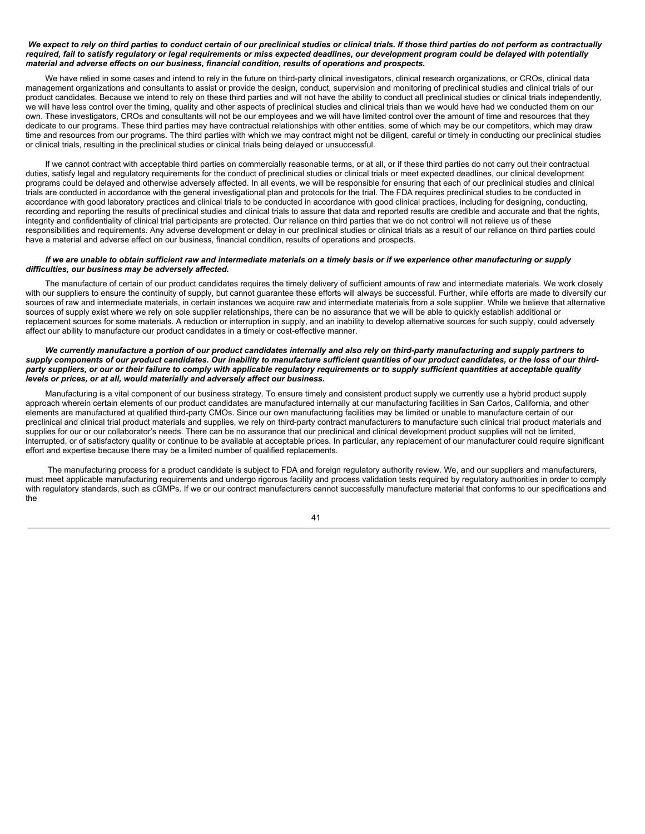#### We expect to rely on third parties to conduct certain of our preclinical studies or clinical trials. If those third parties do not perform as contractually required, fail to satisfy requiatory or legal requirements or miss expected deadlines, our development program could be delayed with potentially *material and adverse effects on our business, financial condition, results of operations and prospects.*

We have relied in some cases and intend to rely in the future on third-party clinical investigators, clinical research organizations, or CROs, clinical data management organizations and consultants to assist or provide the design, conduct, supervision and monitoring of preclinical studies and clinical trials of our product candidates. Because we intend to rely on these third parties and will not have the ability to conduct all preclinical studies or clinical trials independently, we will have less control over the timing, quality and other aspects of preclinical studies and clinical trials than we would have had we conducted them on our own. These investigators, CROs and consultants will not be our employees and we will have limited control over the amount of time and resources that they dedicate to our programs. These third parties may have contractual relationships with other entities, some of which may be our competitors, which may draw time and resources from our programs. The third parties with which we may contract might not be diligent, careful or timely in conducting our preclinical studies or clinical trials, resulting in the preclinical studies or clinical trials being delayed or unsuccessful.

If we cannot contract with acceptable third parties on commercially reasonable terms, or at all, or if these third parties do not carry out their contractual duties, satisfy legal and regulatory requirements for the conduct of preclinical studies or clinical trials or meet expected deadlines, our clinical development programs could be delayed and otherwise adversely affected. In all events, we will be responsible for ensuring that each of our preclinical studies and clinical trials are conducted in accordance with the general investigational plan and protocols for the trial. The FDA requires preclinical studies to be conducted in accordance with good laboratory practices and clinical trials to be conducted in accordance with good clinical practices, including for designing, conducting, recording and reporting the results of preclinical studies and clinical trials to assure that data and reported results are credible and accurate and that the rights, integrity and confidentiality of clinical trial participants are protected. Our reliance on third parties that we do not control will not relieve us of these responsibilities and requirements. Any adverse development or delay in our preclinical studies or clinical trials as a result of our reliance on third parties could have a material and adverse effect on our business, financial condition, results of operations and prospects.

### If we are unable to obtain sufficient raw and intermediate materials on a timely basis or if we experience other manufacturing or supply *difficulties, our business may be adversely affected.*

The manufacture of certain of our product candidates requires the timely delivery of sufficient amounts of raw and intermediate materials. We work closely with our suppliers to ensure the continuity of supply, but cannot guarantee these efforts will always be successful. Further, while efforts are made to diversify our sources of raw and intermediate materials, in certain instances we acquire raw and intermediate materials from a sole supplier. While we believe that alternative sources of supply exist where we rely on sole supplier relationships, there can be no assurance that we will be able to quickly establish additional or replacement sources for some materials. A reduction or interruption in supply, and an inability to develop alternative sources for such supply, could adversely affect our ability to manufacture our product candidates in a timely or cost-effective manner.

#### We currently manufacture a portion of our product candidates internally and also rely on third-party manufacturing and supply partners to supply components of our product candidates. Our inability to manufacture sufficient quantities of our product candidates, or the loss of our thirdparty suppliers, or our or their failure to comply with applicable regulatory requirements or to supply sufficient quantities at acceptable quality *levels or prices, or at all, would materially and adversely affect our business.*

Manufacturing is a vital component of our business strategy. To ensure timely and consistent product supply we currently use a hybrid product supply approach wherein certain elements of our product candidates are manufactured internally at our manufacturing facilities in San Carlos, California, and other elements are manufactured at qualified third-party CMOs. Since our own manufacturing facilities may be limited or unable to manufacture certain of our preclinical and clinical trial product materials and supplies, we rely on third-party contract manufacturers to manufacture such clinical trial product materials and supplies for our or our collaborator's needs. There can be no assurance that our preclinical and clinical development product supplies will not be limited. interrupted, or of satisfactory quality or continue to be available at acceptable prices. In particular, any replacement of our manufacturer could require significant effort and expertise because there may be a limited number of qualified replacements.

The manufacturing process for a product candidate is subject to FDA and foreign regulatory authority review. We, and our suppliers and manufacturers, must meet applicable manufacturing requirements and undergo rigorous facility and process validation tests required by regulatory authorities in order to comply with regulatory standards, such as cGMPs. If we or our contract manufacturers cannot successfully manufacture material that conforms to our specifications and the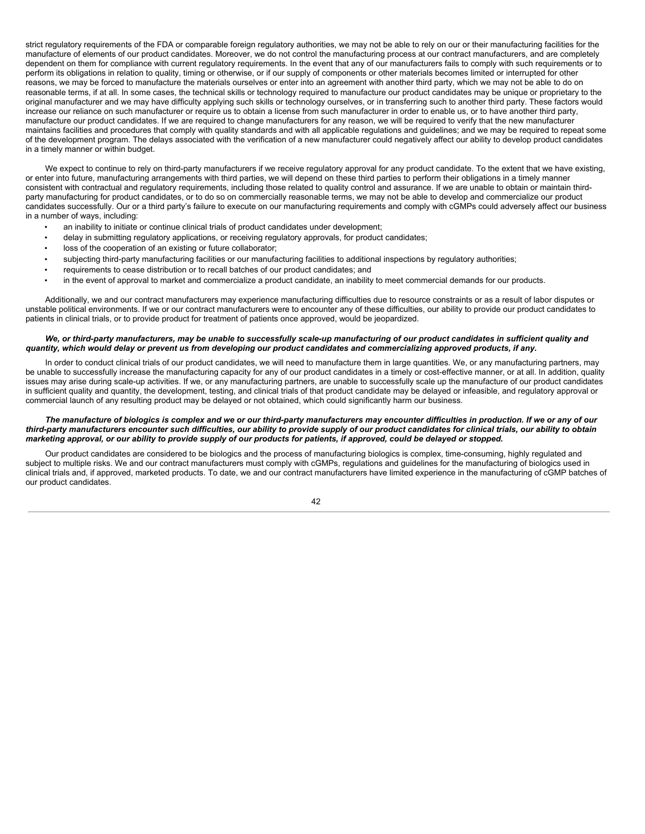strict regulatory reguirements of the FDA or comparable foreign regulatory authorities, we may not be able to rely on our or their manufacturing facilities for the manufacture of elements of our product candidates. Moreover, we do not control the manufacturing process at our contract manufacturers, and are completely dependent on them for compliance with current regulatory requirements. In the event that any of our manufacturers fails to comply with such requirements or to perform its obligations in relation to quality, timing or otherwise, or if our supply of components or other materials becomes limited or interrupted for other reasons, we may be forced to manufacture the materials ourselves or enter into an agreement with another third party, which we may not be able to do on reasonable terms, if at all. In some cases, the technical skills or technology required to manufacture our product candidates may be unique or proprietary to the original manufacturer and we may have difficulty applying such skills or technology ourselves, or in transferring such to another third party. These factors would increase our reliance on such manufacturer or require us to obtain a license from such manufacturer in order to enable us, or to have another third party, manufacture our product candidates. If we are required to change manufacturers for any reason, we will be required to verify that the new manufacturer maintains facilities and procedures that comply with quality standards and with all applicable regulations and guidelines; and we may be required to repeat some of the development program. The delays associated with the verification of a new manufacturer could negatively affect our ability to develop product candidates in a timely manner or within budget.

We expect to continue to rely on third-party manufacturers if we receive regulatory approval for any product candidate. To the extent that we have existing, or enter into future, manufacturing arrangements with third parties, we will depend on these third parties to perform their obligations in a timely manner consistent with contractual and regulatory requirements, including those related to quality control and assurance. If we are unable to obtain or maintain thirdparty manufacturing for product candidates, or to do so on commercially reasonable terms, we may not be able to develop and commercialize our product candidates successfully. Our or a third party's failure to execute on our manufacturing requirements and comply with cGMPs could adversely affect our business in a number of ways, including:

- an inability to initiate or continue clinical trials of product candidates under development;
- delay in submitting regulatory applications, or receiving regulatory approvals, for product candidates;
- loss of the cooperation of an existing or future collaborator;
- subjecting third-party manufacturing facilities or our manufacturing facilities to additional inspections by regulatory authorities;
- requirements to cease distribution or to recall batches of our product candidates; and
- in the event of approval to market and commercialize a product candidate, an inability to meet commercial demands for our products.

Additionally, we and our contract manufacturers may experience manufacturing difficulties due to resource constraints or as a result of labor disputes or unstable political environments. If we or our contract manufacturers were to encounter any of these difficulties, our ability to provide our product candidates to patients in clinical trials, or to provide product for treatment of patients once approved, would be jeopardized.

#### We, or third-party manufacturers, may be unable to successfully scale-up manufacturing of our product candidates in sufficient quality and quantity, which would delay or prevent us from developing our product candidates and commercializing approved products, if any.

In order to conduct clinical trials of our product candidates, we will need to manufacture them in large quantities. We, or any manufacturing partners, may be unable to successfully increase the manufacturing capacity for any of our product candidates in a timely or cost-effective manner, or at all. In addition, quality issues may arise during scale-up activities. If we, or any manufacturing partners, are unable to successfully scale up the manufacture of our product candidates in sufficient quality and quantity, the development, testing, and clinical trials of that product candidate may be delayed or infeasible, and regulatory approval or commercial launch of any resulting product may be delayed or not obtained, which could significantly harm our business.

#### The manufacture of biologics is complex and we or our third-party manufacturers may encounter difficulties in production. If we or any of our third-party manufacturers encounter such difficulties, our ability to provide supply of our product candidates for clinical trials, our ability to obtain marketing approval, or our ability to provide supply of our products for patients, if approved, could be delayed or stopped.

Our product candidates are considered to be biologics and the process of manufacturing biologics is complex, time-consuming, highly regulated and subject to multiple risks. We and our contract manufacturers must comply with cGMPs, regulations and guidelines for the manufacturing of biologics used in clinical trials and, if approved, marketed products. To date, we and our contract manufacturers have limited experience in the manufacturing of cGMP batches of our product candidates.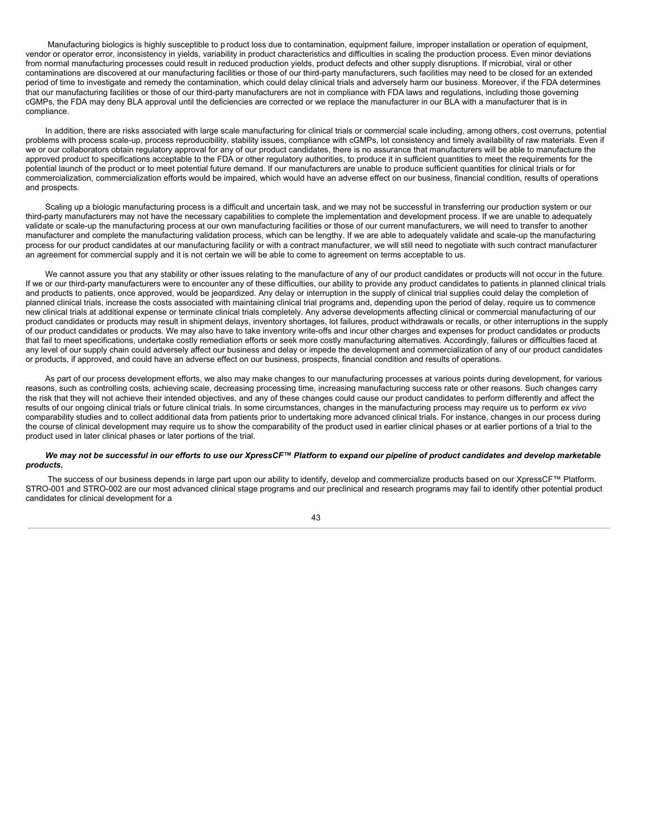Manufacturing biologics is highly susceptible to p roduct loss due to contamination, equipment failure, improper installation or operation of equipment, vendor or operator error, inconsistency in yields, variability in product characteristics and difficulties in scaling the production process. Even minor deviations from normal manufacturing processes could result in reduced production yields, product defects and other supply disruptions. If microbial, viral or other contaminations are discovered at our manufacturing facilities or those of our third-party manufacturers, such facilities may need to be closed for an extended period of time to investigate and remedy the contamination, which could delay clinical trials and adversely harm our business. Moreover, if the FDA determines that our manufacturing facilities or those of our third-party manufacturers are not in compliance with FDA laws and regulations, including those governing cGMPs, the FDA may deny BLA approval until the deficiencies are corrected or we replace the manufacturer in our BLA with a manufacturer that is in compliance.

In addition, there are risks associated with large scale manufacturing for clinical trials or commercial scale including, among others, cost overruns, potential problems with process scale-up, process reproducibility, stability issues, compliance with cGMPs, lot consistency and timely availability of raw materials. Even if we or our collaborators obtain regulatory approval for any of our product candidates, there is no assurance that manufacturers will be able to manufacture the approved product to specifications acceptable to the FDA or other regulatory authorities, to produce it in sufficient quantities to meet the requirements for the potential launch of the product or to meet potential future demand. If our manufacturers are unable to produce sufficient quantities for clinical trials or for commercialization, commercialization efforts would be impaired, which would have an adverse effect on our business, financial condition, results of operations and prospects.

Scaling up a biologic manufacturing process is a difficult and uncertain task, and we may not be successful in transferring our production system or our third-party manufacturers may not have the necessary capabilities to complete the implementation and development process. If we are unable to adequately validate or scale-up the manufacturing process at our own manufacturing facilities or those of our current manufacturers, we will need to transfer to another manufacturer and complete the manufacturing validation process, which can be lengthy. If we are able to adequately validate and scale-up the manufacturing process for our product candidates at our manufacturing facility or with a contract manufacturer, we will still need to negotiate with such contract manufacturer an agreement for commercial supply and it is not certain we will be able to come to agreement on terms acceptable to us.

We cannot assure you that any stability or other issues relating to the manufacture of any of our product candidates or products will not occur in the future. If we or our third-party manufacturers were to encounter any of these difficulties, our ability to provide any product candidates to patients in planned clinical trials and products to patients, once approved, would be jeopardized. Any delay or interruption in the supply of clinical trial supplies could delay the completion of planned clinical trials, increase the costs associated with maintaining clinical trial programs and, depending upon the period of delay, require us to commence new clinical trials at additional expense or terminate clinical trials completely. Any adverse developments affecting clinical or commercial manufacturing of our product candidates or products may result in shipment delays, inventory shortages, lot failures, product withdrawals or recalls, or other interruptions in the supply of our product candidates or products. We may also have to take inventory write-offs and incur other charges and expenses for product candidates or products that fail to meet specifications, undertake costly remediation efforts or seek more costly manufacturing alternatives. Accordingly, failures or difficulties faced at any level of our supply chain could adversely affect our business and delay or impede the development and commercialization of any of our product candidates or products, if approved, and could have an adverse effect on our business, prospects, financial condition and results of operations.

As part of our process development efforts, we also may make changes to our manufacturing processes at various points during development, for various reasons, such as controlling costs, achieving scale, decreasing processing time, increasing manufacturing success rate or other reasons. Such changes carry the risk that they will not achieve their intended objectives, and any of these changes could cause our product candidates to perform differently and affect the results of our ongoing clinical trials or future clinical trials. In some circumstances, changes in the manufacturing process may require us to perform *ex vivo* comparability studies and to collect additional data from patients prior to undertaking more advanced clinical trials. For instance, changes in our process during the course of clinical development may require us to show the comparability of the product used in earlier clinical phases or at earlier portions of a trial to the product used in later clinical phases or later portions of the trial.

### We may not be successful in our efforts to use our XpressCF™ Platform to expand our pipeline of product candidates and develop marketable *products.*

The success of our business depends in large part upon our ability to identify, develop and commercialize products based on our XpressCF™ Platform. STRO-001 and STRO-002 are our most advanced clinical stage programs and our preclinical and research programs may fail to identify other potential product candidates for clinical development for a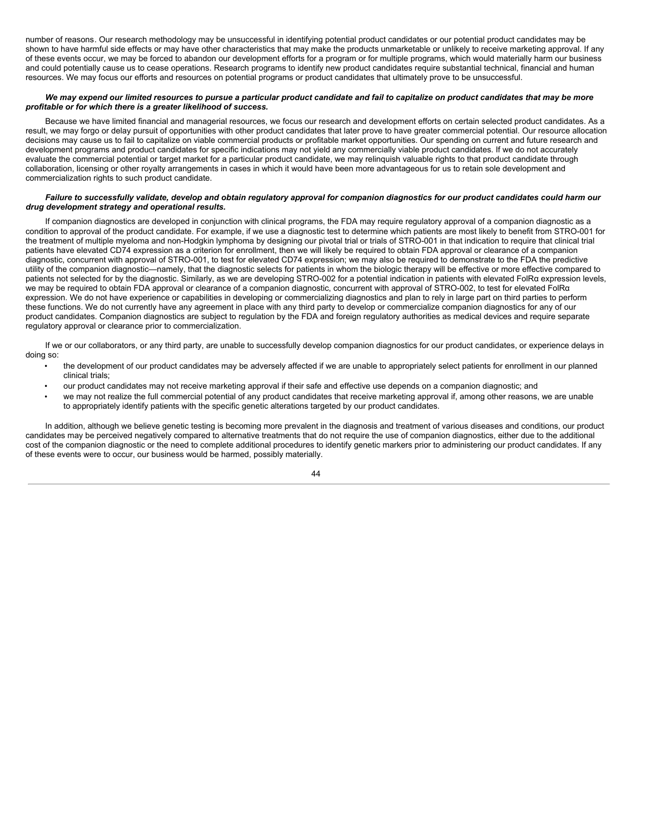number of reasons. Our research methodology may be unsuccessful in identifying potential product candidates or our potential product candidates may be shown to have harmful side effects or may have other characteristics that may make the products unmarketable or unlikely to receive marketing approval. If any of these events occur, we may be forced to abandon our development efforts for a program or for multiple programs, which would materially harm our business and could potentially cause us to cease operations. Research programs to identify new product candidates require substantial technical, financial and human resources. We may focus our efforts and resources on potential programs or product candidates that ultimately prove to be unsuccessful.

## We may expend our limited resources to pursue a particular product candidate and fail to capitalize on product candidates that may be more *profitable or for which there is a greater likelihood of success.*

Because we have limited financial and managerial resources, we focus our research and development efforts on certain selected product candidates. As a result, we may forgo or delay pursuit of opportunities with other product candidates that later prove to have greater commercial potential. Our resource allocation decisions may cause us to fail to capitalize on viable commercial products or profitable market opportunities. Our spending on current and future research and development programs and product candidates for specific indications may not yield any commercially viable product candidates. If we do not accurately evaluate the commercial potential or target market for a particular product candidate, we may relinguish valuable rights to that product candidate through collaboration, licensing or other royalty arrangements in cases in which it would have been more advantageous for us to retain sole development and commercialization rights to such product candidate.

### Failure to successfully validate, develop and obtain regulatory approval for companion diagnostics for our product candidates could harm our *drug development strategy and operational results.*

If companion diagnostics are developed in conjunction with clinical programs, the FDA may require regulatory approval of a companion diagnostic as a condition to approval of the product candidate. For example, if we use a diagnostic test to determine which patients are most likely to benefit from STRO-001 for the treatment of multiple myeloma and non-Hodgkin lymphoma by designing our pivotal trial or trials of STRO-001 in that indication to require that clinical trial patients have elevated CD74 expression as a criterion for enrollment, then we will likely be required to obtain FDA approval or clearance of a companion diagnostic, concurrent with approval of STRO-001, to test for elevated CD74 expression; we may also be required to demonstrate to the FDA the predictive utility of the companion diagnostic—namely, that the diagnostic selects for patients in whom the biologic therapy will be effective or more effective compared to patients not selected for by the diagnostic. Similarly, as we are developing STRO-002 for a potential indication in patients with elevated FolRα expression levels, we may be required to obtain FDA approval or clearance of a companion diagnostic, concurrent with approval of STRO-002, to test for elevated FolRα expression. We do not have experience or capabilities in developing or commercializing diagnostics and plan to rely in large part on third parties to perform these functions. We do not currently have any agreement in place with any third party to develop or commercialize companion diagnostics for any of our product candidates. Companion diagnostics are subject to regulation by the FDA and foreign regulatory authorities as medical devices and require separate regulatory approval or clearance prior to commercialization.

If we or our collaborators, or any third party, are unable to successfully develop companion diagnostics for our product candidates, or experience delays in doing so:

- the development of our product candidates may be adversely affected if we are unable to appropriately select patients for enrollment in our planned clinical trials;
- our product candidates may not receive marketing approval if their safe and effective use depends on a companion diagnostic; and
- we may not realize the full commercial potential of any product candidates that receive marketing approval if, among other reasons, we are unable to appropriately identify patients with the specific genetic alterations targeted by our product candidates.

In addition, although we believe genetic testing is becoming more prevalent in the diagnosis and treatment of various diseases and conditions, our product candidates may be perceived negatively compared to alternative treatments that do not require the use of companion diagnostics, either due to the additional cost of the companion diagnostic or the need to complete additional procedures to identify genetic markers prior to administering our product candidates. If any of these events were to occur, our business would be harmed, possibly materially.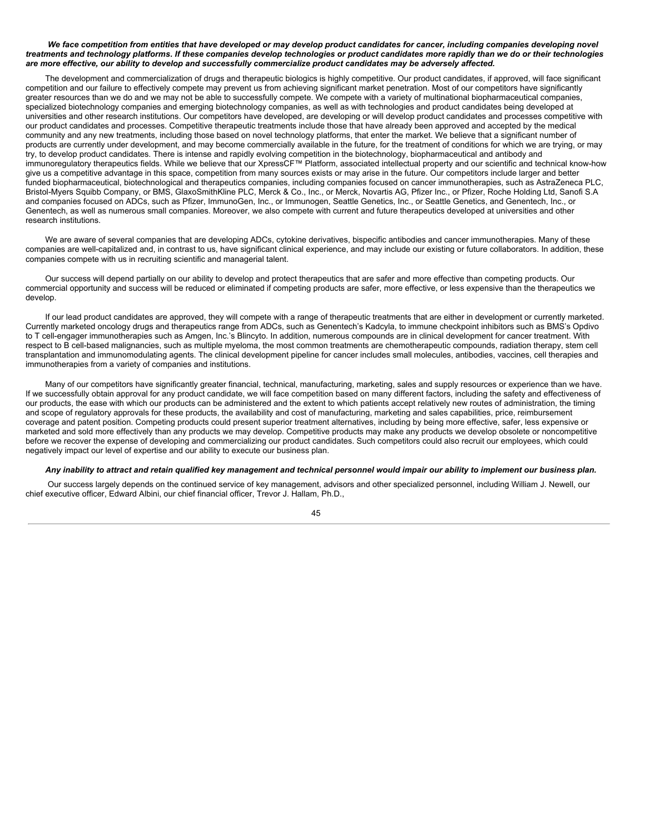### We face competition from entities that have developed or may develop product candidates for cancer, including companies developing novel treatments and technology platforms. If these companies develop technologies or product candidates more rapidly than we do or their technologies are more effective, our ability to develop and successfully commercialize product candidates may be adversely affected.

The development and commercialization of drugs and therapeutic biologics is highly competitive. Our product candidates, if approved, will face significant competition and our failure to effectively compete may prevent us from achieving significant market penetration. Most of our competitors have significantly greater resources than we do and we may not be able to successfully compete. We compete with a variety of multinational biopharmaceutical companies, specialized biotechnology companies and emerging biotechnology companies, as well as with technologies and product candidates being developed at universities and other research institutions. Our competitors have developed, are developing or will develop product candidates and processes competitive with our product candidates and processes. Competitive therapeutic treatments include those that have already been approved and accepted by the medical community and any new treatments, including those based on novel technology platforms, that enter the market. We believe that a significant number of products are currently under development, and may become commercially available in the future, for the treatment of conditions for which we are trying, or may try, to develop product candidates. There is intense and rapidly evolving competition in the biotechnology, biopharmaceutical and antibody and immunoregulatory therapeutics fields. While we believe that our XpressCF™ Platform, associated intellectual property and our scientific and technical know-how give us a competitive advantage in this space, competition from many sources exists or may arise in the future. Our competitors include larger and better funded biopharmaceutical, biotechnological and therapeutics companies, including companies focused on cancer immunotherapies, such as AstraZeneca PLC, Bristol-Myers Squibb Company, or BMS, GlaxoSmithKline PLC, Merck & Co., Inc., or Merck, Novartis AG, Pfizer Inc., or Pfizer, Roche Holding Ltd, Sanofi S.A and companies focused on ADCs, such as Pfizer, ImmunoGen, Inc., or Immunogen, Seattle Genetics, Inc., or Seattle Genetics, and Genentech, Inc., or Genentech, as well as numerous small companies. Moreover, we also compete with current and future therapeutics developed at universities and other research institutions.

We are aware of several companies that are developing ADCs, cytokine derivatives, bispecific antibodies and cancer immunotherapies. Many of these companies are well-capitalized and, in contrast to us, have significant clinical experience, and may include our existing or future collaborators. In addition, these companies compete with us in recruiting scientific and managerial talent.

Our success will depend partially on our ability to develop and protect therapeutics that are safer and more effective than competing products. Our commercial opportunity and success will be reduced or eliminated if competing products are safer, more effective, or less expensive than the therapeutics we develop.

If our lead product candidates are approved, they will compete with a range of therapeutic treatments that are either in development or currently marketed. Currently marketed oncology drugs and therapeutics range from ADCs, such as Genentech's Kadcyla, to immune checkpoint inhibitors such as BMS's Opdivo to T cell-engager immunotherapies such as Amgen, Inc.'s Blincyto. In addition, numerous compounds are in clinical development for cancer treatment. With respect to B cell-based malignancies, such as multiple myeloma, the most common treatments are chemotherapeutic compounds, radiation therapy, stem cell transplantation and immunomodulating agents. The clinical development pipeline for cancer includes small molecules, antibodies, vaccines, cell therapies and immunotherapies from a variety of companies and institutions.

Many of our competitors have significantly greater financial, technical, manufacturing, marketing, sales and supply resources or experience than we have. If we successfully obtain approval for any product candidate, we will face competition based on many different factors, including the safety and effectiveness of our products, the ease with which our products can be administered and the extent to which patients accept relatively new routes of administration, the timing and scope of regulatory approvals for these products, the availability and cost of manufacturing, marketing and sales capabilities, price, reimbursement coverage and patent position. Competing products could present superior treatment alternatives, including by being more effective, safer, less expensive or marketed and sold more effectively than any products we may develop. Competitive products may make any products we develop obsolete or noncompetitive before we recover the expense of developing and commercializing our product candidates. Such competitors could also recruit our employees, which could negatively impact our level of expertise and our ability to execute our business plan.

### Any inability to attract and retain qualified key management and technical personnel would impair our ability to implement our business plan.

Our success largely depends on the continued service of key management, advisors and other specialized personnel, including William J. Newell, our chief executive officer, Edward Albini, our chief financial officer, Trevor J. Hallam, Ph.D.,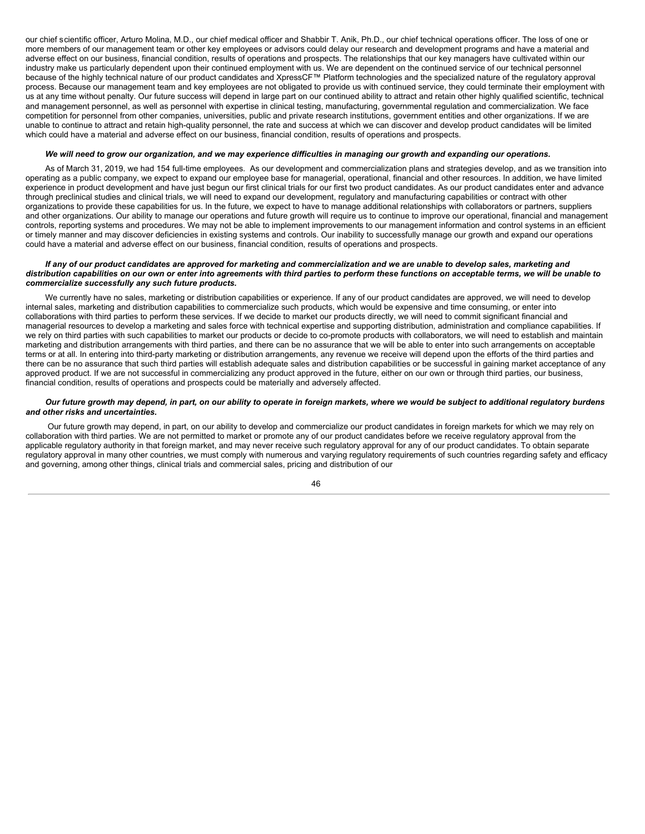our chief scientific officer, Arturo Molina, M.D., our chief medical officer and Shabbir T. Anik, Ph.D., our chief technical operations officer. The loss of one or more members of our management team or other key employees or advisors could delay our research and development programs and have a material and adverse effect on our business, financial condition, results of operations and prospects. The relationships that our key managers have cultivated within our industry make us particularly dependent upon their continued employment with us. We are dependent on the continued service of our technical personnel because of the highly technical nature of our product candidates and XpressCF™ Platform technologies and the specialized nature of the regulatory approval process. Because our management team and key employees are not obligated to provide us with continued service, they could terminate their employment with us at any time without penalty. Our future success will depend in large part on our continued ability to attract and retain other highly qualified scientific, technical and management personnel, as well as personnel with expertise in clinical testing, manufacturing, governmental regulation and commercialization. We face competition for personnel from other companies, universities, public and private research institutions, government entities and other organizations. If we are unable to continue to attract and retain high-quality personnel, the rate and success at which we can discover and develop product candidates will be limited which could have a material and adverse effect on our business, financial condition, results of operations and prospects.

#### We will need to grow our organization, and we may experience difficulties in managing our growth and expanding our operations.

As of March 31, 2019, we had 154 full-time employees. As our development and commercialization plans and strategies develop, and as we transition into operating as a public company, we expect to expand our employee base for managerial, operational, financial and other resources. In addition, we have limited experience in product development and have just begun our first clinical trials for our first two product candidates. As our product candidates enter and advance through preclinical studies and clinical trials, we will need to expand our development, regulatory and manufacturing capabilities or contract with other organizations to provide these capabilities for us. In the future, we expect to have to manage additional relationships with collaborators or partners, suppliers and other organizations. Our ability to manage our operations and future growth will require us to continue to improve our operational, financial and management controls, reporting systems and procedures. We may not be able to implement improvements to our management information and control systems in an efficient or timely manner and may discover deficiencies in existing systems and controls. Our inability to successfully manage our growth and expand our operations could have a material and adverse effect on our business, financial condition, results of operations and prospects.

#### If any of our product candidates are approved for marketing and commercialization and we are unable to develop sales, marketing and distribution capabilities on our own or enter into agreements with third parties to perform these functions on acceptable terms, we will be unable to *commercialize successfully any such future products.*

We currently have no sales, marketing or distribution capabilities or experience. If any of our product candidates are approved, we will need to develop internal sales, marketing and distribution capabilities to commercialize such products, which would be expensive and time consuming, or enter into collaborations with third parties to perform these services. If we decide to market our products directly, we will need to commit significant financial and managerial resources to develop a marketing and sales force with technical expertise and supporting distribution, administration and compliance capabilities. If we rely on third parties with such capabilities to market our products or decide to co-promote products with collaborators, we will need to establish and maintain marketing and distribution arrangements with third parties, and there can be no assurance that we will be able to enter into such arrangements on acceptable terms or at all. In entering into third-party marketing or distribution arrangements, any revenue we receive will depend upon the efforts of the third parties and there can be no assurance that such third parties will establish adequate sales and distribution capabilities or be successful in gaining market acceptance of any approved product. If we are not successful in commercializing any product approved in the future, either on our own or through third parties, our business, financial condition, results of operations and prospects could be materially and adversely affected.

#### Our future growth may depend, in part, on our ability to operate in foreign markets, where we would be subject to additional regulatory burdens *and other risks and uncertainties.*

Our future growth may depend, in part, on our ability to develop and commercialize our product candidates in foreign markets for which we may rely on collaboration with third parties. We are not permitted to market or promote any of our product candidates before we receive regulatory approval from the applicable regulatory authority in that foreign market, and may never receive such regulatory approval for any of our product candidates. To obtain separate regulatory approval in many other countries, we must comply with numerous and varying regulatory requirements of such countries regarding safety and efficacy and governing, among other things, clinical trials and commercial sales, pricing and distribution of our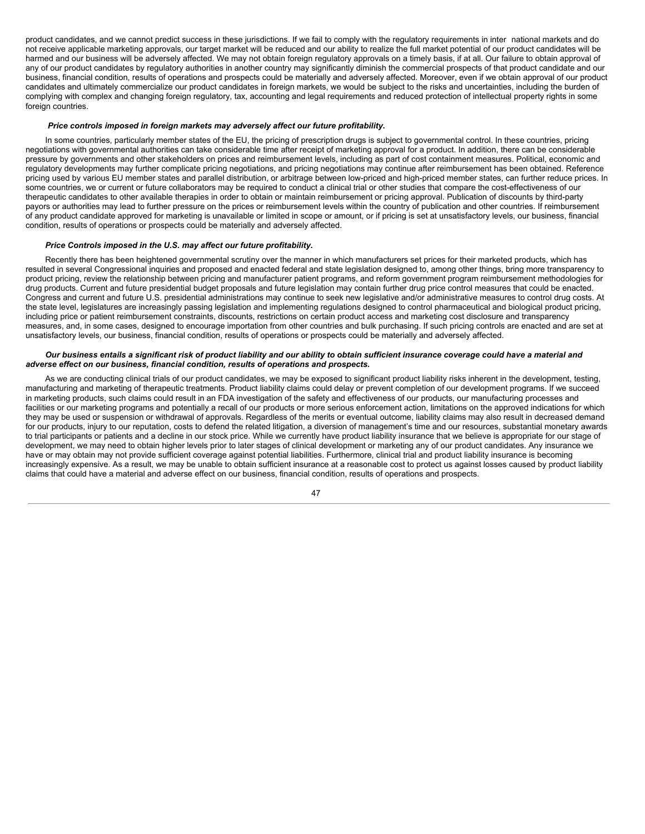product candidates, and we cannot predict success in these jurisdictions. If we fail to comply with the regulatory requirements in inter national markets and do not receive applicable marketing approvals, our target market will be reduced and our ability to realize the full market potential of our product candidates will be harmed and our business will be adversely affected. We may not obtain foreign regulatory approvals on a timely basis, if at all. Our failure to obtain approval of any of our product candidates by regulatory authorities in another country may significantly diminish the commercial prospects of that product candidate and our business, financial condition, results of operations and prospects could be materially and adversely affected. Moreover, even if we obtain approval of our product candidates and ultimately commercialize our product candidates in foreign markets, we would be subject to the risks and uncertainties, including the burden of complying with complex and changing foreign regulatory, tax, accounting and legal requirements and reduced protection of intellectual property rights in some foreign countries.

#### *Price controls imposed in foreign markets may adversely affect our future profitability.*

In some countries, particularly member states of the EU, the pricing of prescription drugs is subject to governmental control. In these countries, pricing negotiations with governmental authorities can take considerable time after receipt of marketing approval for a product. In addition, there can be considerable pressure by governments and other stakeholders on prices and reimbursement levels, including as part of cost containment measures. Political, economic and regulatory developments may further complicate pricing negotiations, and pricing negotiations may continue after reimbursement has been obtained. Reference pricing used by various EU member states and parallel distribution, or arbitrage between low-priced and high-priced member states, can further reduce prices. In some countries, we or current or future collaborators may be required to conduct a clinical trial or other studies that compare the cost-effectiveness of our therapeutic candidates to other available therapies in order to obtain or maintain reimbursement or pricing approval. Publication of discounts by third-party payors or authorities may lead to further pressure on the prices or reimbursement levels within the country of publication and other countries. If reimbursement of any product candidate approved for marketing is unavailable or limited in scope or amount, or if pricing is set at unsatisfactory levels, our business, financial condition, results of operations or prospects could be materially and adversely affected.

#### *Price Controls imposed in the U.S. may affect our future profitability.*

Recently there has been heightened governmental scrutiny over the manner in which manufacturers set prices for their marketed products, which has resulted in several Congressional inquiries and proposed and enacted federal and state legislation designed to, among other things, bring more transparency to product pricing, review the relationship between pricing and manufacturer patient programs, and reform government program reimbursement methodologies for drug products. Current and future presidential budget proposals and future legislation may contain further drug price control measures that could be enacted. Congress and current and future U.S. presidential administrations may continue to seek new legislative and/or administrative measures to control drug costs. At the state level, legislatures are increasingly passing legislation and implementing regulations designed to control pharmaceutical and biological product pricing, including price or patient reimbursement constraints, discounts, restrictions on certain product access and marketing cost disclosure and transparency measures, and, in some cases, designed to encourage importation from other countries and bulk purchasing. If such pricing controls are enacted and are set at unsatisfactory levels, our business, financial condition, results of operations or prospects could be materially and adversely affected.

#### Our business entails a significant risk of product liability and our ability to obtain sufficient insurance coverage could have a material and *adverse effect on our business, financial condition, results of operations and prospects.*

As we are conducting clinical trials of our product candidates, we may be exposed to significant product liability risks inherent in the development, testing, manufacturing and marketing of therapeutic treatments. Product liability claims could delay or prevent completion of our development programs. If we succeed in marketing products, such claims could result in an FDA investigation of the safety and effectiveness of our products, our manufacturing processes and facilities or our marketing programs and potentially a recall of our products or more serious enforcement action, limitations on the approved indications for which they may be used or suspension or withdrawal of approvals. Regardless of the merits or eventual outcome, liability claims may also result in decreased demand for our products, injury to our reputation, costs to defend the related litigation, a diversion of management's time and our resources, substantial monetary awards to trial participants or patients and a decline in our stock price. While we currently have product liability insurance that we believe is appropriate for our stage of development, we may need to obtain higher levels prior to later stages of clinical development or marketing any of our product candidates. Any insurance we have or may obtain may not provide sufficient coverage against potential liabilities. Furthermore, clinical trial and product liability insurance is becoming increasingly expensive. As a result, we may be unable to obtain sufficient insurance at a reasonable cost to protect us against losses caused by product liability claims that could have a material and adverse effect on our business, financial condition, results of operations and prospects.

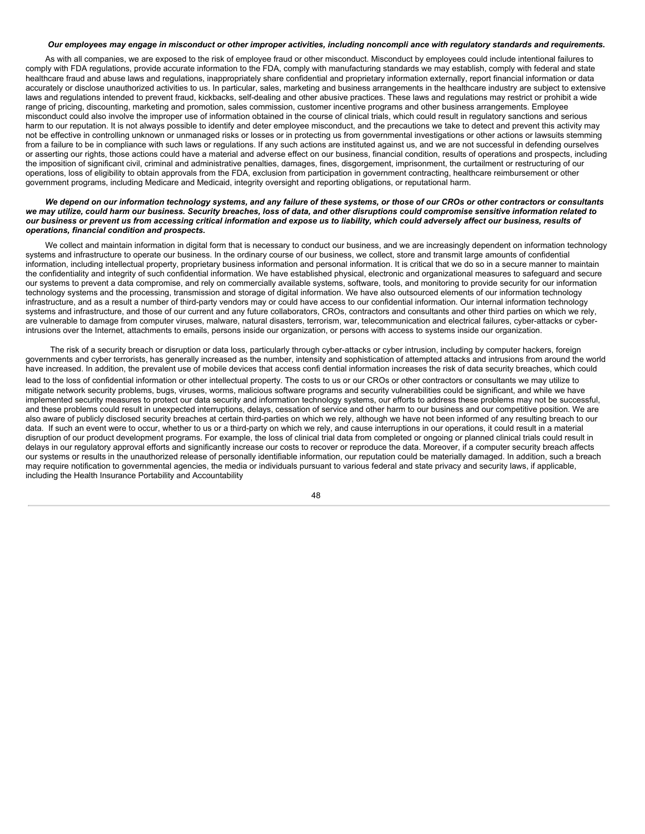#### Our employees may engage in misconduct or other improper activities, including noncompli ance with regulatory standards and requirements.

As with all companies, we are exposed to the risk of employee fraud or other misconduct. Misconduct by employees could include intentional failures to comply with FDA regulations, provide accurate information to the FDA, comply with manufacturing standards we may establish, comply with federal and state healthcare fraud and abuse laws and regulations, inappropriately share confidential and proprietary information externally, report financial information or data accurately or disclose unauthorized activities to us. In particular, sales, marketing and business arrangements in the healthcare industry are subject to extensive laws and regulations intended to prevent fraud, kickbacks, self-dealing and other abusive practices. These laws and regulations may restrict or prohibit a wide range of pricing, discounting, marketing and promotion, sales commission, customer incentive programs and other business arrangements. Employee misconduct could also involve the improper use of information obtained in the course of clinical trials, which could result in regulatory sanctions and serious harm to our reputation. It is not always possible to identify and deter employee misconduct, and the precautions we take to detect and prevent this activity may not be effective in controlling unknown or unmanaged risks or losses or in protecting us from governmental investigations or other actions or lawsuits stemming from a failure to be in compliance with such laws or regulations. If any such actions are instituted against us, and we are not successful in defending ourselves or asserting our rights, those actions could have a material and adverse effect on our business, financial condition, results of operations and prospects, including the imposition of significant civil, criminal and administrative penalties, damages, fines, disgorgement, imprisonment, the curtailment or restructuring of our operations, loss of eligibility to obtain approvals from the FDA, exclusion from participation in government contracting, healthcare reimbursement or other government programs, including Medicare and Medicaid, integrity oversight and reporting obligations, or reputational harm.

#### We depend on our information technology systems, and any failure of these systems, or those of our CROs or other contractors or consultants we may utilize, could harm our business. Security breaches, loss of data, and other disruptions could compromise sensitive information related to our business or prevent us from accessing critical information and expose us to liability, which could adversely affect our business, results of *operations, financial condition and prospects.*

We collect and maintain information in digital form that is necessary to conduct our business, and we are increasingly dependent on information technology systems and infrastructure to operate our business. In the ordinary course of our business, we collect, store and transmit large amounts of confidential information, including intellectual property, proprietary business information and personal information. It is critical that we do so in a secure manner to maintain the confidentiality and integrity of such confidential information. We have established physical, electronic and organizational measures to safeguard and secure our systems to prevent a data compromise, and rely on commercially available systems, software, tools, and monitoring to provide security for our information technology systems and the processing, transmission and storage of digital information. We have also outsourced elements of our information technology infrastructure, and as a result a number of third-party vendors may or could have access to our confidential information. Our internal information technology systems and infrastructure, and those of our current and any future collaborators, CROs, contractors and consultants and other third parties on which we rely, are vulnerable to damage from computer viruses, malware, natural disasters, terrorism, war, telecommunication and electrical failures, cyber-attacks or cyberintrusions over the Internet, attachments to emails, persons inside our organization, or persons with access to systems inside our organization.

The risk of a security breach or disruption or data loss, particularly through cyber-attacks or cyber intrusion, including by computer hackers, foreign governments and cyber terrorists, has generally increased as the number, intensity and sophistication of attempted attacks and intrusions from around the world have increased. In addition, the prevalent use of mobile devices that access confi dential information increases the risk of data security breaches, which could lead to the loss of confidential information or other intellectual property. The costs to us or our CROs or other contractors or consultants we may utilize to mitigate network security problems, bugs, viruses, worms, malicious software programs and security vulnerabilities could be significant, and while we have implemented security measures to protect our data security and information technology systems, our efforts to address these problems may not be successful, and these problems could result in unexpected interruptions, delays, cessation of service and other harm to our business and our competitive position. We are also aware of publicly disclosed security breaches at certain third-parties on which we rely, although we have not been informed of any resulting breach to our data. If such an event were to occur, whether to us or a third-party on which we rely, and cause interruptions in our operations, it could result in a material disruption of our product development programs. For example, the loss of clinical trial data from completed or ongoing or planned clinical trials could result in delays in our regulatory approval efforts and significantly increase our costs to recover or reproduce the data. Moreover, if a computer security breach affects our systems or results in the unauthorized release of personally identifiable information, our reputation could be materially damaged. In addition, such a breach may require notification to governmental agencies, the media or individuals pursuant to various federal and state privacy and security laws, if applicable, including the Health Insurance Portability and Accountability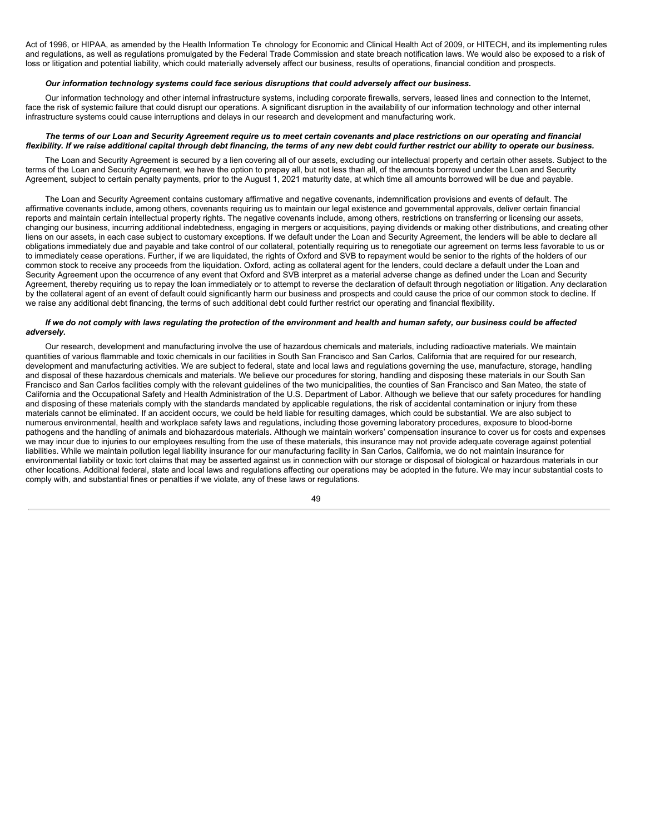Act of 1996, or HIPAA, as amended by the Health Information Te chnology for Economic and Clinical Health Act of 2009, or HITECH, and its implementing rules and regulations, as well as regulations promulgated by the Federal Trade Commission and state breach notification laws. We would also be exposed to a risk of loss or litigation and potential liability, which could materially adversely affect our business, results of operations, financial condition and prospects.

#### *Our information technology systems could face serious disruptions that could adversely affect our business.*

Our information technology and other internal infrastructure systems, including corporate firewalls, servers, leased lines and connection to the Internet, face the risk of systemic failure that could disrupt our operations. A significant disruption in the availability of our information technology and other internal infrastructure systems could cause interruptions and delays in our research and development and manufacturing work.

### The terms of our Loan and Security Agreement reguire us to meet certain covenants and place restrictions on our operating and financial flexibility. If we raise additional capital through debt financing, the terms of any new debt could further restrict our ability to operate our business.

The Loan and Security Agreement is secured by a lien covering all of our assets, excluding our intellectual property and certain other assets. Subject to the terms of the Loan and Security Agreement, we have the option to prepay all, but not less than all, of the amounts borrowed under the Loan and Security Agreement, subject to certain penalty payments, prior to the August 1, 2021 maturity date, at which time all amounts borrowed will be due and payable.

The Loan and Security Agreement contains customary affirmative and negative covenants, indemnification provisions and events of default. The affirmative covenants include, among others, covenants requiring us to maintain our legal existence and governmental approvals, deliver certain financial reports and maintain certain intellectual property rights. The negative covenants include, among others, restrictions on transferring or licensing our assets, changing our business, incurring additional indebtedness, engaging in mergers or acquisitions, paying dividends or making other distributions, and creating other liens on our assets, in each case subject to customary exceptions. If we default under the Loan and Security Agreement, the lenders will be able to declare all obligations immediately due and payable and take control of our collateral, potentially requiring us to renegotiate our agreement on terms less favorable to us or to immediately cease operations. Further, if we are liquidated, the rights of Oxford and SVB to repayment would be senior to the rights of the holders of our common stock to receive any proceeds from the liquidation. Oxford, acting as collateral agent for the lenders, could declare a default under the Loan and Security Agreement upon the occurrence of any event that Oxford and SVB interpret as a material adverse change as defined under the Loan and Security Agreement, thereby requiring us to repay the loan immediately or to attempt to reverse the declaration of default through negotiation or litigation. Any declaration by the collateral agent of an event of default could significantly harm our business and prospects and could cause the price of our common stock to decline. If we raise any additional debt financing, the terms of such additional debt could further restrict our operating and financial flexibility.

### If we do not comply with laws regulating the protection of the environment and health and human safety, our business could be affected *adversely.*

Our research, development and manufacturing involve the use of hazardous chemicals and materials, including radioactive materials. We maintain quantities of various flammable and toxic chemicals in our facilities in South San Francisco and San Carlos, California that are required for our research, development and manufacturing activities. We are subject to federal, state and local laws and regulations governing the use, manufacture, storage, handling and disposal of these hazardous chemicals and materials. We believe our procedures for storing, handling and disposing these materials in our South San Francisco and San Carlos facilities comply with the relevant guidelines of the two municipalities, the counties of San Francisco and San Mateo, the state of California and the Occupational Safety and Health Administration of the U.S. Department of Labor. Although we believe that our safety procedures for handling and disposing of these materials comply with the standards mandated by applicable regulations, the risk of accidental contamination or injury from these materials cannot be eliminated. If an accident occurs, we could be held liable for resulting damages, which could be substantial. We are also subject to numerous environmental, health and workplace safety laws and regulations, including those governing laboratory procedures, exposure to blood-borne pathogens and the handling of animals and biohazardous materials. Although we maintain workers' compensation insurance to cover us for costs and expenses we may incur due to injuries to our employees resulting from the use of these materials, this insurance may not provide adequate coverage against potential liabilities. While we maintain pollution legal liability insurance for our manufacturing facility in San Carlos, California, we do not maintain insurance for environmental liability or toxic tort claims that may be asserted against us in connection with our storage or disposal of biological or hazardous materials in our other locations. Additional federal, state and local laws and regulations affecting our operations may be adopted in the future. We may incur substantial costs to comply with, and substantial fines or penalties if we violate, any of these laws or regulations.

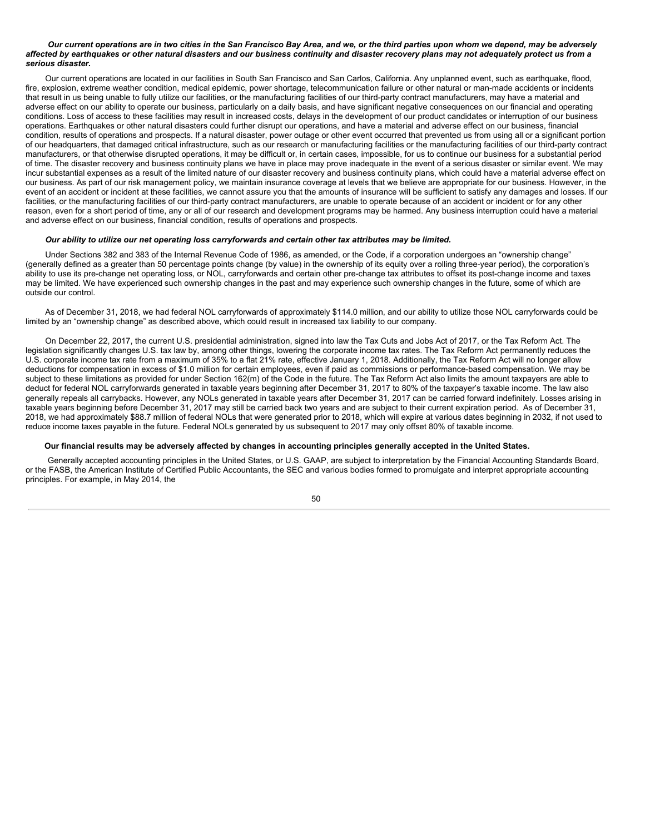#### Our current operations are in two cities in the San Francisco Bay Area, and we, or the third parties upon whom we depend, may be adversely affected by earthquakes or other natural disasters and our business continuity and disaster recovery plans may not adequately protect us from a *serious disaster.*

Our current operations are located in our facilities in South San Francisco and San Carlos, California. Any unplanned event, such as earthquake, flood, fire, explosion, extreme weather condition, medical epidemic, power shortage, telecommunication failure or other natural or man-made accidents or incidents that result in us being unable to fully utilize our facilities, or the manufacturing facilities of our third-party contract manufacturers, may have a material and adverse effect on our ability to operate our business, particularly on a daily basis, and have significant negative consequences on our financial and operating conditions. Loss of access to these facilities may result in increased costs, delays in the development of our product candidates or interruption of our business operations. Earthquakes or other natural disasters could further disrupt our operations, and have a material and adverse effect on our business, financial condition, results of operations and prospects. If a natural disaster, power outage or other event occurred that prevented us from using all or a significant portion of our headquarters, that damaged critical infrastructure, such as our research or manufacturing facilities or the manufacturing facilities of our third-party contract manufacturers, or that otherwise disrupted operations, it may be difficult or, in certain cases, impossible, for us to continue our business for a substantial period of time. The disaster recovery and business continuity plans we have in place may prove inadequate in the event of a serious disaster or similar event. We may incur substantial expenses as a result of the limited nature of our disaster recovery and business continuity plans, which could have a material adverse effect on our business. As part of our risk management policy, we maintain insurance coverage at levels that we believe are appropriate for our business. However, in the event of an accident or incident at these facilities, we cannot assure you that the amounts of insurance will be sufficient to satisfy any damages and losses. If our facilities, or the manufacturing facilities of our third-party contract manufacturers, are unable to operate because of an accident or incident or for any other reason, even for a short period of time, any or all of our research and development programs may be harmed. Any business interruption could have a material and adverse effect on our business, financial condition, results of operations and prospects.

#### Our ability to utilize our net operating loss carryforwards and certain other tax attributes may be limited.

Under Sections 382 and 383 of the Internal Revenue Code of 1986, as amended, or the Code, if a corporation undergoes an "ownership change" (generally defined as a greater than 50 percentage points change (by value) in the ownership of its equity over a rolling three-year period), the corporation's ability to use its pre-change net operating loss, or NOL, carryforwards and certain other pre-change tax attributes to offset its post-change income and taxes may be limited. We have experienced such ownership changes in the past and may experience such ownership changes in the future, some of which are outside our control.

As of December 31, 2018, we had federal NOL carryforwards of approximately \$114.0 million, and our ability to utilize those NOL carryforwards could be limited by an "ownership change" as described above, which could result in increased tax liability to our company.

On December 22, 2017, the current U.S. presidential administration, signed into law the Tax Cuts and Jobs Act of 2017, or the Tax Reform Act. The legislation significantly changes U.S. tax law by, among other things, lowering the corporate income tax rates. The Tax Reform Act permanently reduces the U.S. corporate income tax rate from a maximum of 35% to a flat 21% rate, effective January 1, 2018. Additionally, the Tax Reform Act will no longer allow deductions for compensation in excess of \$1.0 million for certain employees, even if paid as commissions or performance-based compensation. We may be subject to these limitations as provided for under Section 162(m) of the Code in the future. The Tax Reform Act also limits the amount taxpayers are able to deduct for federal NOL carryforwards generated in taxable years beginning after December 31, 2017 to 80% of the taxpayer's taxable income. The law also generally repeals all carrybacks. However, any NOLs generated in taxable years after December 31, 2017 can be carried forward indefinitely. Losses arising in taxable years beginning before December 31, 2017 may still be carried back two years and are subject to their current expiration period. As of December 31, 2018, we had approximately \$88.7 million of federal NOLs that were generated prior to 2018, which will expire at various dates beginning in 2032, if not used to reduce income taxes payable in the future. Federal NOLs generated by us subsequent to 2017 may only offset 80% of taxable income.

#### Our financial results may be adversely affected by changes in accounting principles generally accepted in the United States.

Generally accepted accounting principles in the United States, or U.S. GAAP, are subject to interpretation by the Financial Accounting Standards Board, or the FASB, the American Institute of Certified Public Accountants, the SEC and various bodies formed to promulgate and interpret appropriate accounting principles. For example, in May 2014, the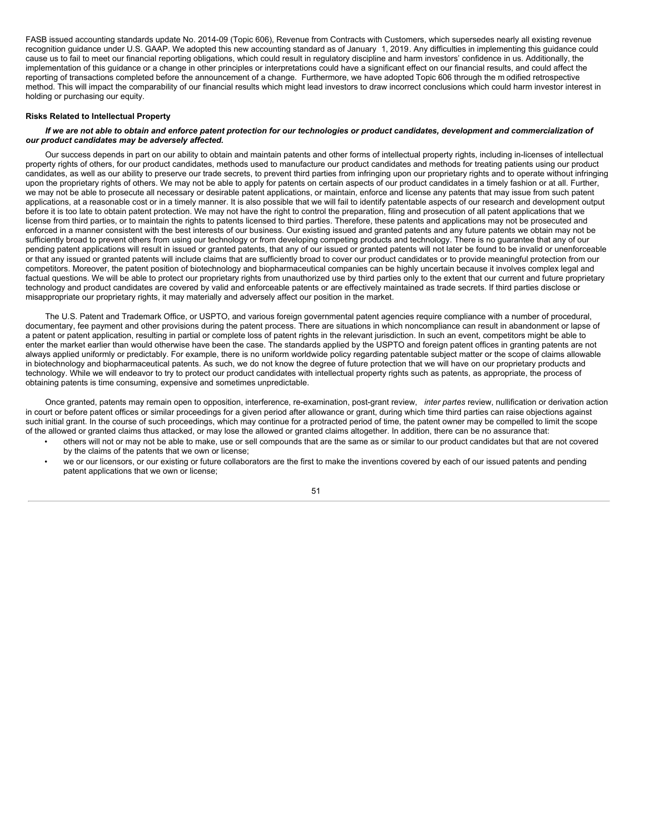FASB issued accounting standards update No. 2014-09 (Topic 606), Revenue from Contracts with Customers, which supersedes nearly all existing revenue recognition guidance under U.S. GAAP. We adopted this new accounting standard as of January 1, 2019. Any difficulties in implementing this guidance could cause us to fail to meet our financial reporting obligations, which could result in regulatory discipline and harm investors' confidence in us. Additionally, the implementation of this guidance or a change in other principles or interpretations could have a significant effect on our financial results, and could affect the reporting of transactions completed before the announcement of a change. Furthermore, we have adopted Topic 606 through the m odified retrospective method. This will impact the comparability of our financial results which might lead investors to draw incorrect conclusions which could harm investor interest in holding or purchasing our equity.

#### **Risks Related to Intellectual Property**

#### If we are not able to obtain and enforce patent protection for our technologies or product candidates, development and commercialization of *our product candidates may be adversely affected.*

Our success depends in part on our ability to obtain and maintain patents and other forms of intellectual property rights, including in-licenses of intellectual property rights of others, for our product candidates, methods used to manufacture our product candidates and methods for treating patients using our product candidates, as well as our ability to preserve our trade secrets, to prevent third parties from infringing upon our proprietary rights and to operate without infringing upon the proprietary rights of others. We may not be able to apply for patents on certain aspects of our product candidates in a timely fashion or at all. Further, we may not be able to prosecute all necessary or desirable patent applications, or maintain, enforce and license any patents that may issue from such patent applications, at a reasonable cost or in a timely manner. It is also possible that we will fail to identify patentable aspects of our research and development output before it is too late to obtain patent protection. We may not have the right to control the preparation, filing and prosecution of all patent applications that we license from third parties, or to maintain the rights to patents licensed to third parties. Therefore, these patents and applications may not be prosecuted and enforced in a manner consistent with the best interests of our business. Our existing issued and granted patents and any future patents we obtain may not be sufficiently broad to prevent others from using our technology or from developing competing products and technology. There is no guarantee that any of our pending patent applications will result in issued or granted patents, that any of our issued or granted patents will not later be found to be invalid or unenforceable or that any issued or granted patents will include claims that are sufficiently broad to cover our product candidates or to provide meaningful protection from our competitors. Moreover, the patent position of biotechnology and biopharmaceutical companies can be highly uncertain because it involves complex legal and factual questions. We will be able to protect our proprietary rights from unauthorized use by third parties only to the extent that our current and future proprietary technology and product candidates are covered by valid and enforceable patents or are effectively maintained as trade secrets. If third parties disclose or misappropriate our proprietary rights, it may materially and adversely affect our position in the market.

The U.S. Patent and Trademark Office, or USPTO, and various foreign governmental patent agencies require compliance with a number of procedural, documentary, fee payment and other provisions during the patent process. There are situations in which noncompliance can result in abandonment or lapse of a patent or patent application, resulting in partial or complete loss of patent rights in the relevant jurisdiction. In such an event, competitors might be able to enter the market earlier than would otherwise have been the case. The standards applied by the USPTO and foreign patent offices in granting patents are not always applied uniformly or predictably. For example, there is no uniform worldwide policy regarding patentable subject matter or the scope of claims allowable in biotechnology and biopharmaceutical patents. As such, we do not know the degree of future protection that we will have on our proprietary products and technology. While we will endeavor to try to protect our product candidates with intellectual property rights such as patents, as appropriate, the process of obtaining patents is time consuming, expensive and sometimes unpredictable.

Once granted, patents may remain open to opposition, interference, re-examination, post-grant review, *inter partes* review, nullification or derivation action in court or before patent offices or similar proceedings for a given period after allowance or grant, during which time third parties can raise objections against such initial grant. In the course of such proceedings, which may continue for a protracted period of time, the patent owner may be compelled to limit the scope of the allowed or granted claims thus attacked, or may lose the allowed or granted claims altogether. In addition, there can be no assurance that:

- others will not or may not be able to make, use or sell compounds that are the same as or similar to our product candidates but that are not covered by the claims of the patents that we own or license;
- we or our licensors, or our existing or future collaborators are the first to make the inventions covered by each of our issued patents and pending patent applications that we own or license;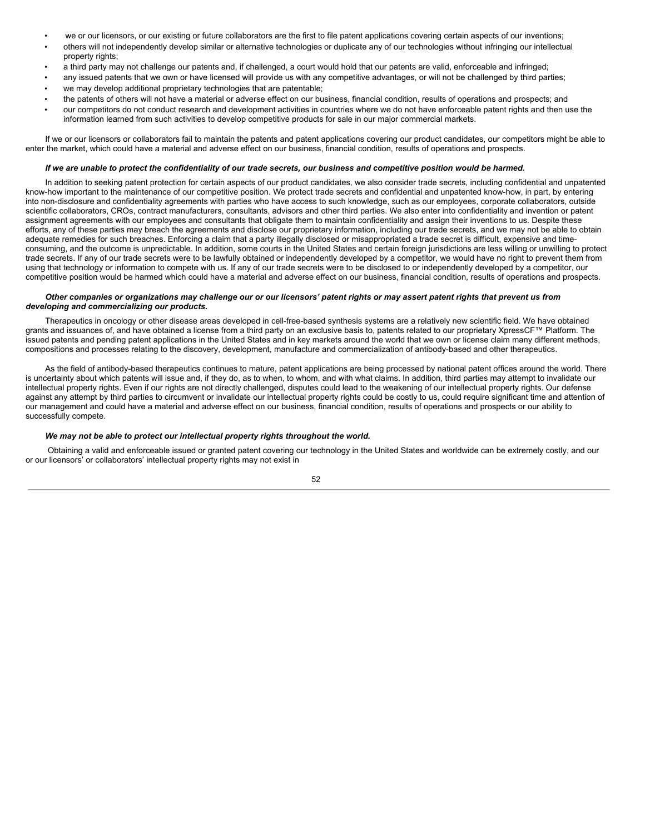- we or our licensors, or our existing or future collaborators are the first to file patent applications covering certain aspects of our inventions;
- others will not independently develop similar or alternative technologies or duplicate any of our technologies without infringing our intellectual property rights;
- a third party may not challenge our patents and, if challenged, a court would hold that our patents are valid, enforceable and infringed;
- any issued patents that we own or have licensed will provide us with any competitive advantages, or will not be challenged by third parties;
- we may develop additional proprietary technologies that are patentable;
- the patents of others will not have a material or adverse effect on our business, financial condition, results of operations and prospects; and
- our competitors do not conduct research and development activities in countries where we do not have enforceable patent rights and then use the information learned from such activities to develop competitive products for sale in our major commercial markets.

If we or our licensors or collaborators fail to maintain the patents and patent applications covering our product candidates, our competitors might be able to enter the market, which could have a material and adverse effect on our business, financial condition, results of operations and prospects.

### If we are unable to protect the confidentiality of our trade secrets, our business and competitive position would be harmed.

In addition to seeking patent protection for certain aspects of our product candidates, we also consider trade secrets, including confidential and unpatented know-how important to the maintenance of our competitive position. We protect trade secrets and confidential and unpatented know-how, in part, by entering into non-disclosure and confidentiality agreements with parties who have access to such knowledge, such as our employees, corporate collaborators, outside scientific collaborators, CROs, contract manufacturers, consultants, advisors and other third parties. We also enter into confidentiality and invention or patent assignment agreements with our employees and consultants that obligate them to maintain confidentiality and assign their inventions to us. Despite these efforts, any of these parties may breach the agreements and disclose our proprietary information, including our trade secrets, and we may not be able to obtain adequate remedies for such breaches. Enforcing a claim that a party illegally disclosed or misappropriated a trade secret is difficult, expensive and timeconsuming, and the outcome is unpredictable. In addition, some courts in the United States and certain foreign jurisdictions are less willing or unwilling to protect trade secrets. If any of our trade secrets were to be lawfully obtained or independently developed by a competitor, we would have no right to prevent them from using that technology or information to compete with us. If any of our trade secrets were to be disclosed to or independently developed by a competitor, our competitive position would be harmed which could have a material and adverse effect on our business, financial condition, results of operations and prospects.

#### Other companies or organizations may challenge our or our licensors' patent rights or may assert patent rights that prevent us from *developing and commercializing our products.*

Therapeutics in oncology or other disease areas developed in cell-free-based synthesis systems are a relatively new scientific field. We have obtained grants and issuances of, and have obtained a license from a third party on an exclusive basis to, patents related to our proprietary XpressCF™ Platform. The issued patents and pending patent applications in the United States and in key markets around the world that we own or license claim many different methods, compositions and processes relating to the discovery, development, manufacture and commercialization of antibody-based and other therapeutics.

As the field of antibody-based therapeutics continues to mature, patent applications are being processed by national patent offices around the world. There is uncertainty about which patents will issue and, if they do, as to when, to whom, and with what claims. In addition, third parties may attempt to invalidate our intellectual property rights. Even if our rights are not directly challenged, disputes could lead to the weakening of our intellectual property rights. Our defense against any attempt by third parties to circumvent or invalidate our intellectual property rights could be costly to us, could require significant time and attention of our management and could have a material and adverse effect on our business, financial condition, results of operations and prospects or our ability to successfully compete.

### *We may not be able to protect our intellectual property rights throughout the world.*

Obtaining a valid and enforceable issued or granted patent covering our technology in the United States and worldwide can be extremely costly, and our or our licensors' or collaborators' intellectual property rights may not exist in

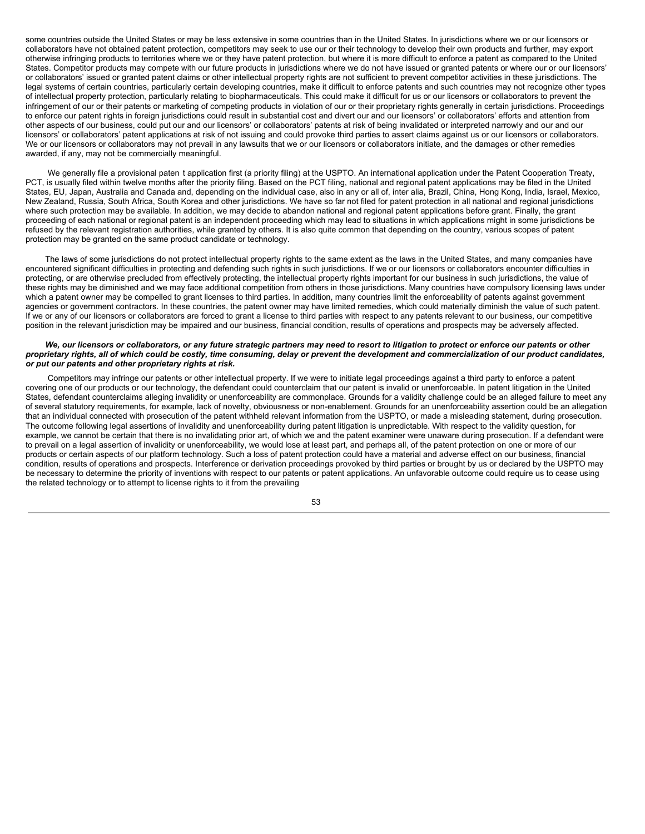some countries outside the United States or may be less extensive in some countries than in the United States. In jurisdictions where we or our licensors or collaborators have not obtained patent protection, competitors may seek to use our or their technology to develop their own products and further, may export otherwise infringing products to territories where we or they have patent protection, but where it is more difficult to enforce a patent as compared to the United States. Competitor products may compete with our future products in jurisdictions where we do not have issued or granted patents or where our or our licensors' or collaborators' issued or granted patent claims or other intellectual property rights are not sufficient to prevent competitor activities in these jurisdictions. The legal systems of certain countries, particularly certain developing countries, make it difficult to enforce patents and such countries may not recognize other types of intellectual property protection, particularly relating to biopharmaceuticals. This could make it difficult for us or our licensors or collaborators to prevent the infringement of our or their patents or marketing of competing products in violation of our or their proprietary rights generally in certain jurisdictions. Proceedings to enforce our patent rights in foreign jurisdictions could result in substantial cost and divert our and our licensors' or collaborators' efforts and attention from other aspects of our business, could put our and our licensors' or collaborators' patents at risk of being invalidated or interpreted narrowly and our and our licensors' or collaborators' patent applications at risk of not issuing and could provoke third parties to assert claims against us or our licensors or collaborators. We or our licensors or collaborators may not prevail in any lawsuits that we or our licensors or collaborators initiate, and the damages or other remedies awarded, if any, may not be commercially meaningful.

We generally file a provisional paten t application first (a priority filing) at the USPTO. An international application under the Patent Cooperation Treaty, PCT, is usually filed within twelve months after the priority filing. Based on the PCT filing, national and regional patent applications may be filed in the United States, EU, Japan, Australia and Canada and, depending on the individual case, also in any or all of, inter alia, Brazil, China, Hong Kong, India, Israel, Mexico, New Zealand, Russia, South Africa, South Korea and other jurisdictions. We have so far not filed for patent protection in all national and regional jurisdictions where such protection may be available. In addition, we may decide to abandon national and regional patent applications before grant. Finally, the grant proceeding of each national or regional patent is an independent proceeding which may lead to situations in which applications might in some jurisdictions be refused by the relevant registration authorities, while granted by others. It is also quite common that depending on the country, various scopes of patent protection may be granted on the same product candidate or technology.

The laws of some jurisdictions do not protect intellectual property rights to the same extent as the laws in the United States, and many companies have encountered significant difficulties in protecting and defending such rights in such jurisdictions. If we or our licensors or collaborators encounter difficulties in protecting, or are otherwise precluded from effectively protecting, the intellectual property rights important for our business in such jurisdictions, the value of these rights may be diminished and we may face additional competition from others in those jurisdictions. Many countries have compulsory licensing laws under which a patent owner may be compelled to grant licenses to third parties. In addition, many countries limit the enforceability of patents against government agencies or government contractors. In these countries, the patent owner may have limited remedies, which could materially diminish the value of such patent. If we or any of our licensors or collaborators are forced to grant a license to third parties with respect to any patents relevant to our business, our competitive position in the relevant jurisdiction may be impaired and our business, financial condition, results of operations and prospects may be adversely affected.

#### We, our licensors or collaborators, or any future strategic partners may need to resort to litigation to protect or enforce our patents or other proprietary rights, all of which could be costly, time consuming, delay or prevent the development and commercialization of our product candidates, *or put our patents and other proprietary rights at risk.*

Competitors may infringe our patents or other intellectual property. If we were to initiate legal proceedings against a third party to enforce a patent covering one of our products or our technology, the defendant could counterclaim that our patent is invalid or unenforceable. In patent litigation in the United States, defendant counterclaims alleging invalidity or unenforceability are commonplace. Grounds for a validity challenge could be an alleged failure to meet any of several statutory requirements, for example, lack of novelty, obviousness or non-enablement. Grounds for an unenforceability assertion could be an allegation that an individual connected with prosecution of the patent withheld relevant information from the USPTO, or made a misleading statement, during prosecution. The outcome following legal assertions of invalidity and unenforceability during patent litigation is unpredictable. With respect to the validity question, for example, we cannot be certain that there is no invalidating prior art, of which we and the patent examiner were unaware during prosecution. If a defendant were to prevail on a legal assertion of invalidity or unenforceability, we would lose at least part, and perhaps all, of the patent protection on one or more of our products or certain aspects of our platform technology. Such a loss of patent protection could have a material and adverse effect on our business, financial condition, results of operations and prospects. Interference or derivation proceedings provoked by third parties or brought by us or declared by the USPTO may be necessary to determine the priority of inventions with respect to our patents or patent applications. An unfavorable outcome could require us to cease using the related technology or to attempt to license rights to it from the prevailing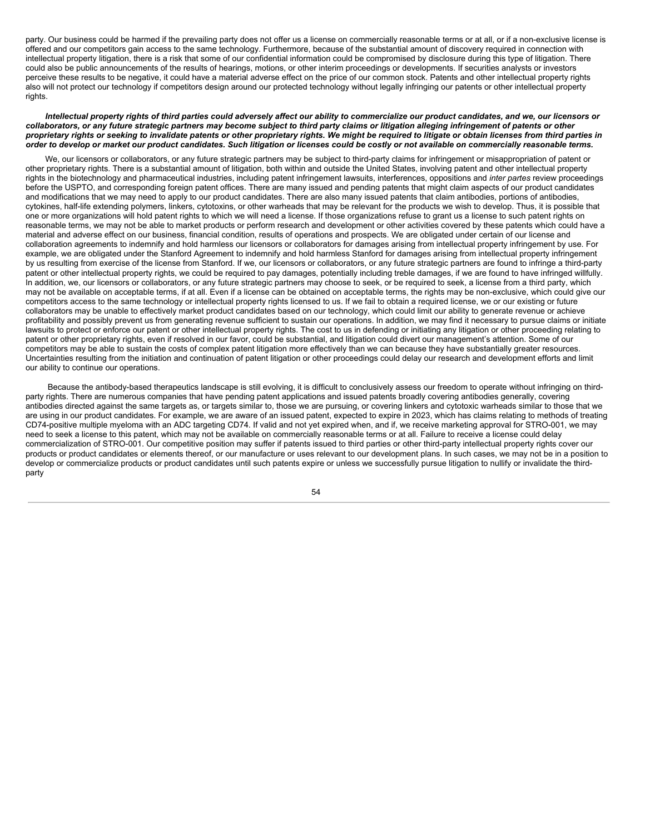party. Our business could be harmed if the prevailing party does not offer us a license on commercially reasonable terms or at all, or if a non-exclusive license is offered and our competitors gain access to the same technology. Furthermore, because of the substantial amount of discovery required in connection with intellectual property litigation, there is a risk that some of our confidential information could be compromised by disclosure during this type of litigation. There could also be public announcements of the results of hearings, motions, or other interim proceedings or developments. If securities analysts or investors perceive these results to be negative, it could have a material adverse effect on the price of our common stock. Patents and other intellectual property rights also will not protect our technology if competitors design around our protected technology without legally infringing our patents or other intellectual property rights.

#### Intellectual property rights of third parties could adversely affect our ability to commercialize our product candidates, and we, our licensors or collaborators, or any future strategic partners may become subject to third party claims or litigation alleging infringement of patents or other proprietary rights or seeking to invalidate patents or other proprietary rights. We might be required to litigate or obtain licenses from third parties in order to develop or market our product candidates. Such litigation or licenses could be costly or not available on commercially reasonable terms.

We, our licensors or collaborators, or any future strategic partners may be subject to third-party claims for infringement or misappropriation of patent or other proprietary rights. There is a substantial amount of litigation, both within and outside the United States, involving patent and other intellectual property rights in the biotechnology and pharmaceutical industries, including patent infringement lawsuits, interferences, oppositions and *inter partes* review proceedings before the USPTO, and corresponding foreign patent offices. There are many issued and pending patents that might claim aspects of our product candidates and modifications that we may need to apply to our product candidates. There are also many issued patents that claim antibodies, portions of antibodies, cytokines, half-life extending polymers, linkers, cytotoxins, or other warheads that may be relevant for the products we wish to develop. Thus, it is possible that one or more organizations will hold patent rights to which we will need a license. If those organizations refuse to grant us a license to such patent rights on reasonable terms, we may not be able to market products or perform research and development or other activities covered by these patents which could have a material and adverse effect on our business, financial condition, results of operations and prospects. We are obligated under certain of our license and collaboration agreements to indemnify and hold harmless our licensors or collaborators for damages arising from intellectual property infringement by use. For example, we are obligated under the Stanford Agreement to indemnify and hold harmless Stanford for damages arising from intellectual property infringement by us resulting from exercise of the license from Stanford. If we, our licensors or collaborators, or any future strategic partners are found to infringe a third-party patent or other intellectual property rights, we could be required to pay damages, potentially including treble damages, if we are found to have infringed willfully. In addition, we, our licensors or collaborators, or any future strategic partners may choose to seek, or be required to seek, a license from a third party, which may not be available on acceptable terms, if at all. Even if a license can be obtained on acceptable terms, the rights may be non-exclusive, which could give our competitors access to the same technology or intellectual property rights licensed to us. If we fail to obtain a required license, we or our existing or future collaborators may be unable to effectively market product candidates based on our technology, which could limit our ability to generate revenue or achieve profitability and possibly prevent us from generating revenue sufficient to sustain our operations. In addition, we may find it necessary to pursue claims or initiate lawsuits to protect or enforce our patent or other intellectual property rights. The cost to us in defending or initiating any litigation or other proceeding relating to patent or other proprietary rights, even if resolved in our favor, could be substantial, and litigation could divert our management's attention. Some of our competitors may be able to sustain the costs of complex patent litigation more effectively than we can because they have substantially greater resources. Uncertainties resulting from the initiation and continuation of patent litigation or other proceedings could delay our research and development efforts and limit our ability to continue our operations.

Because the antibody-based therapeutics landscape is still evolving, it is difficult to conclusively assess our freedom to operate without infringing on thirdparty rights. There are numerous companies that have pending patent applications and issued patents broadly covering antibodies generally, covering antibodies directed against the same targets as, or targets similar to, those we are pursuing, or covering linkers and cytotoxic warheads similar to those that we are using in our product candidates. For example, we are aware of an issued patent, expected to expire in 2023, which has claims relating to methods of treating CD74-positive multiple myeloma with an ADC targeting CD74. If valid and not yet expired when, and if, we receive marketing approval for STRO-001, we may need to seek a license to this patent, which may not be available on commercially reasonable terms or at all. Failure to receive a license could delay commercialization of STRO-001. Our competitive position may suffer if patents issued to third parties or other third-party intellectual property rights cover our products or product candidates or elements thereof, or our manufacture or uses relevant to our development plans. In such cases, we may not be in a position to develop or commercialize products or product candidates until such patents expire or unless we successfully pursue litigation to nullify or invalidate the thirdparty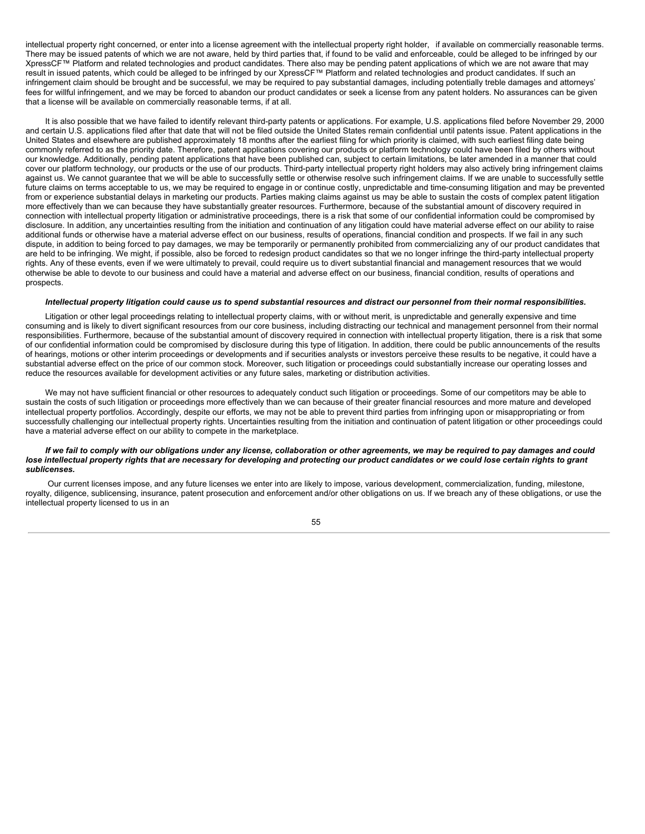intellectual property right concerned, or enter into a license agreement with the intellectual property right holder, if available on commercially reasonable terms. There may be issued patents of which we are not aware, held by third parties that, if found to be valid and enforceable, could be alleged to be infringed by our XpressCF™ Platform and related technologies and product candidates. There also may be pending patent applications of which we are not aware that may result in issued patents, which could be alleged to be infringed by our XpressCF™ Platform and related technologies and product candidates. If such an infringement claim should be brought and be successful, we may be required to pay substantial damages, including potentially treble damages and attorneys' fees for willful infringement, and we may be forced to abandon our product candidates or seek a license from any patent holders. No assurances can be given that a license will be available on commercially reasonable terms, if at all.

It is also possible that we have failed to identify relevant third-party patents or applications. For example, U.S. applications filed before November 29, 2000 and certain U.S. applications filed after that date that will not be filed outside the United States remain confidential until patents issue. Patent applications in the United States and elsewhere are published approximately 18 months after the earliest filing for which priority is claimed, with such earliest filing date being commonly referred to as the priority date. Therefore, patent applications covering our products or platform technology could have been filed by others without our knowledge. Additionally, pending patent applications that have been published can, subject to certain limitations, be later amended in a manner that could cover our platform technology, our products or the use of our products. Third-party intellectual property right holders may also actively bring infringement claims against us. We cannot guarantee that we will be able to successfully settle or otherwise resolve such infringement claims. If we are unable to successfully settle future claims on terms acceptable to us, we may be required to engage in or continue costly, unpredictable and time-consuming litigation and may be prevented from or experience substantial delays in marketing our products. Parties making claims against us may be able to sustain the costs of complex patent litigation more effectively than we can because they have substantially greater resources. Furthermore, because of the substantial amount of discovery required in connection with intellectual property litigation or administrative proceedings, there is a risk that some of our confidential information could be compromised by disclosure. In addition, any uncertainties resulting from the initiation and continuation of any litigation could have material adverse effect on our ability to raise additional funds or otherwise have a material adverse effect on our business, results of operations, financial condition and prospects. If we fail in any such dispute, in addition to being forced to pay damages, we may be temporarily or permanently prohibited from commercializing any of our product candidates that are held to be infringing. We might, if possible, also be forced to redesign product candidates so that we no longer infringe the third-party intellectual property rights. Any of these events, even if we were ultimately to prevail, could require us to divert substantial financial and management resources that we would otherwise be able to devote to our business and could have a material and adverse effect on our business, financial condition, results of operations and prospects.

#### Intellectual property litigation could cause us to spend substantial resources and distract our personnel from their normal responsibilities.

Litigation or other legal proceedings relating to intellectual property claims, with or without merit, is unpredictable and generally expensive and time consuming and is likely to divert significant resources from our core business, including distracting our technical and management personnel from their normal responsibilities. Furthermore, because of the substantial amount of discovery required in connection with intellectual property litigation, there is a risk that some of our confidential information could be compromised by disclosure during this type of litigation. In addition, there could be public announcements of the results of hearings, motions or other interim proceedings or developments and if securities analysts or investors perceive these results to be negative, it could have a substantial adverse effect on the price of our common stock. Moreover, such litigation or proceedings could substantially increase our operating losses and reduce the resources available for development activities or any future sales, marketing or distribution activities.

We may not have sufficient financial or other resources to adequately conduct such litigation or proceedings. Some of our competitors may be able to sustain the costs of such litigation or proceedings more effectively than we can because of their greater financial resources and more mature and developed intellectual property portfolios. Accordingly, despite our efforts, we may not be able to prevent third parties from infringing upon or misappropriating or from successfully challenging our intellectual property rights. Uncertainties resulting from the initiation and continuation of patent litigation or other proceedings could have a material adverse effect on our ability to compete in the marketplace.

### If we fail to comply with our obligations under any license, collaboration or other agreements, we may be required to pay damages and could lose intellectual property rights that are necessary for developing and protecting our product candidates or we could lose certain rights to grant *sublicenses.*

Our current licenses impose, and any future licenses we enter into are likely to impose, various development, commercialization, funding, milestone, royalty, diligence, sublicensing, insurance, patent prosecution and enforcement and/or other obligations on us. If we breach any of these obligations, or use the intellectual property licensed to us in an

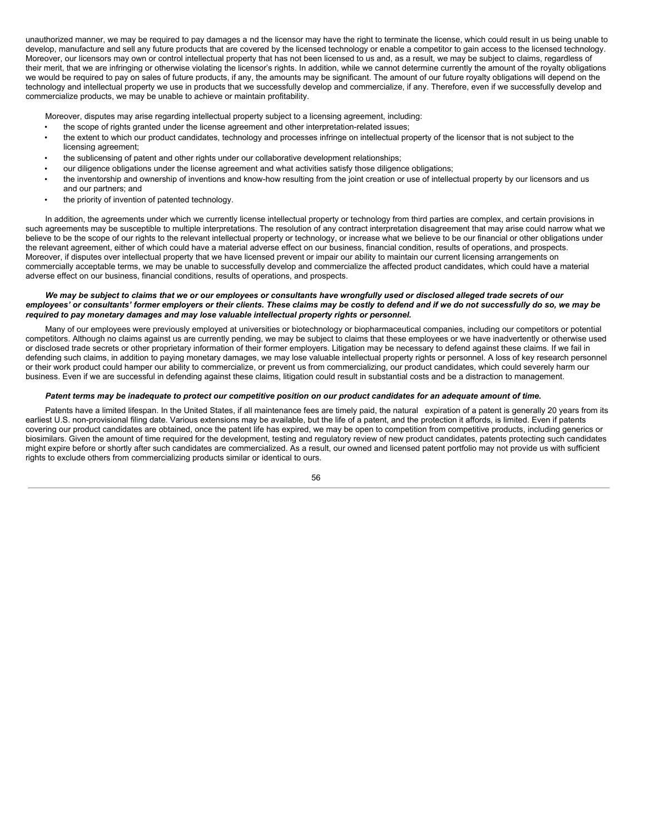unauthorized manner, we may be required to pay damages a nd the licensor may have the right to terminate the license, which could result in us being unable to develop, manufacture and sell any future products that are covered by the licensed technology or enable a competitor to gain access to the licensed technology. Moreover, our licensors may own or control intellectual property that has not been licensed to us and, as a result, we may be subject to claims, regardless of their merit, that we are infringing or otherwise violating the licensor's rights. In addition, while we cannot determine currently the amount of the royalty obligations we would be required to pay on sales of future products, if any, the amounts may be significant. The amount of our future royalty obligations will depend on the technology and intellectual property we use in products that we successfully develop and commercialize, if any. Therefore, even if we successfully develop and commercialize products, we may be unable to achieve or maintain profitability.

Moreover, disputes may arise regarding intellectual property subject to a licensing agreement, including:

- the scope of rights granted under the license agreement and other interpretation-related issues;
- the extent to which our product candidates, technology and processes infringe on intellectual property of the licensor that is not subject to the licensing agreement;
- the sublicensing of patent and other rights under our collaborative development relationships;
- our diligence obligations under the license agreement and what activities satisfy those diligence obligations;
- the inventorship and ownership of inventions and know-how resulting from the joint creation or use of intellectual property by our licensors and us and our partners; and
- the priority of invention of patented technology.

In addition, the agreements under which we currently license intellectual property or technology from third parties are complex, and certain provisions in such agreements may be susceptible to multiple interpretations. The resolution of any contract interpretation disagreement that may arise could narrow what we believe to be the scope of our rights to the relevant intellectual property or technology, or increase what we believe to be our financial or other obligations under the relevant agreement, either of which could have a material adverse effect on our business, financial condition, results of operations, and prospects. Moreover, if disputes over intellectual property that we have licensed prevent or impair our ability to maintain our current licensing arrangements on commercially acceptable terms, we may be unable to successfully develop and commercialize the affected product candidates, which could have a material adverse effect on our business, financial conditions, results of operations, and prospects.

## We may be subject to claims that we or our employees or consultants have wrongfully used or disclosed alleged trade secrets of our employees' or consultants' former employers or their clients. These claims may be costly to defend and if we do not successfully do so, we may be *required to pay monetary damages and may lose valuable intellectual property rights or personnel.*

Many of our employees were previously employed at universities or biotechnology or biopharmaceutical companies, including our competitors or potential competitors. Although no claims against us are currently pending, we may be subject to claims that these employees or we have inadvertently or otherwise used or disclosed trade secrets or other proprietary information of their former employers. Litigation may be necessary to defend against these claims. If we fail in defending such claims, in addition to paying monetary damages, we may lose valuable intellectual property rights or personnel. A loss of key research personnel or their work product could hamper our ability to commercialize, or prevent us from commercializing, our product candidates, which could severely harm our business. Even if we are successful in defending against these claims, litigation could result in substantial costs and be a distraction to management.

#### Patent terms may be inadequate to protect our competitive position on our product candidates for an adequate amount of time.

Patents have a limited lifespan. In the United States, if all maintenance fees are timely paid, the natural expiration of a patent is generally 20 years from its earliest U.S. non-provisional filing date. Various extensions may be available, but the life of a patent, and the protection it affords, is limited. Even if patents covering our product candidates are obtained, once the patent life has expired, we may be open to competition from competitive products, including generics or biosimilars. Given the amount of time required for the development, testing and regulatory review of new product candidates, patents protecting such candidates might expire before or shortly after such candidates are commercialized. As a result, our owned and licensed patent portfolio may not provide us with sufficient rights to exclude others from commercializing products similar or identical to ours.

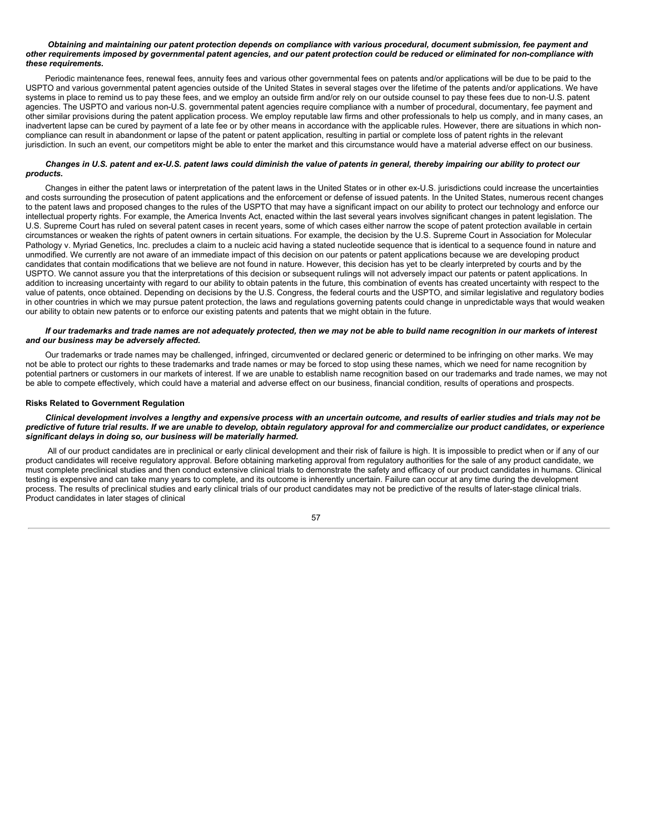#### Obtaining and maintaining our patent protection depends on compliance with various procedural, document submission, fee payment and other requirements imposed by governmental patent agencies, and our patent protection could be reduced or eliminated for non-compliance with *these requirements.*

Periodic maintenance fees, renewal fees, annuity fees and various other governmental fees on patents and/or applications will be due to be paid to the USPTO and various governmental patent agencies outside of the United States in several stages over the lifetime of the patents and/or applications. We have systems in place to remind us to pay these fees, and we employ an outside firm and/or rely on our outside counsel to pay these fees due to non-U.S. patent agencies. The USPTO and various non-U.S. governmental patent agencies require compliance with a number of procedural, documentary, fee payment and other similar provisions during the patent application process. We employ reputable law firms and other professionals to help us comply, and in many cases, an inadvertent lapse can be cured by payment of a late fee or by other means in accordance with the applicable rules. However, there are situations in which noncompliance can result in abandonment or lapse of the patent or patent application, resulting in partial or complete loss of patent rights in the relevant jurisdiction. In such an event, our competitors might be able to enter the market and this circumstance would have a material adverse effect on our business.

### Changes in U.S. patent and ex-U.S. patent laws could diminish the value of patents in general, thereby impairing our ability to protect our *products.*

Changes in either the patent laws or interpretation of the patent laws in the United States or in other ex-U.S. jurisdictions could increase the uncertainties and costs surrounding the prosecution of patent applications and the enforcement or defense of issued patents. In the United States, numerous recent changes to the patent laws and proposed changes to the rules of the USPTO that may have a significant impact on our ability to protect our technology and enforce our intellectual property rights. For example, the America Invents Act, enacted within the last several years involves significant changes in patent legislation. The U.S. Supreme Court has ruled on several patent cases in recent years, some of which cases either narrow the scope of patent protection available in certain circumstances or weaken the rights of patent owners in certain situations. For example, the decision by the U.S. Supreme Court in Association for Molecular Pathology v. Myriad Genetics, Inc. precludes a claim to a nucleic acid having a stated nucleotide sequence that is identical to a sequence found in nature and unmodified. We currently are not aware of an immediate impact of this decision on our patents or patent applications because we are developing product candidates that contain modifications that we believe are not found in nature. However, this decision has yet to be clearly interpreted by courts and by the USPTO. We cannot assure you that the interpretations of this decision or subsequent rulings will not adversely impact our patents or patent applications. In addition to increasing uncertainty with regard to our ability to obtain patents in the future, this combination of events has created uncertainty with respect to the value of patents, once obtained. Depending on decisions by the U.S. Congress, the federal courts and the USPTO, and similar legislative and regulatory bodies in other countries in which we may pursue patent protection, the laws and regulations governing patents could change in unpredictable ways that would weaken our ability to obtain new patents or to enforce our existing patents and patents that we might obtain in the future.

#### If our trademarks and trade names are not adequately protected, then we may not be able to build name recognition in our markets of interest *and our business may be adversely affected.*

Our trademarks or trade names may be challenged, infringed, circumvented or declared generic or determined to be infringing on other marks. We may not be able to protect our rights to these trademarks and trade names or may be forced to stop using these names, which we need for name recognition by potential partners or customers in our markets of interest. If we are unable to establish name recognition based on our trademarks and trade names, we may not be able to compete effectively, which could have a material and adverse effect on our business, financial condition, results of operations and prospects.

#### **Risks Related to Government Regulation**

### Clinical development involves a lengthy and expensive process with an uncertain outcome, and results of earlier studies and trials may not be predictive of future trial results. If we are unable to develop, obtain regulatory approval for and commercialize our product candidates, or experience *significant delays in doing so, our business will be materially harmed.*

All of our product candidates are in preclinical or early clinical development and their risk of failure is high. It is impossible to predict when or if any of our product candidates will receive regulatory approval. Before obtaining marketing approval from regulatory authorities for the sale of any product candidate, we must complete preclinical studies and then conduct extensive clinical trials to demonstrate the safety and efficacy of our product candidates in humans. Clinical testing is expensive and can take many years to complete, and its outcome is inherently uncertain. Failure can occur at any time during the development process. The results of preclinical studies and early clinical trials of our product candidates may not be predictive of the results of later-stage clinical trials. Product candidates in later stages of clinical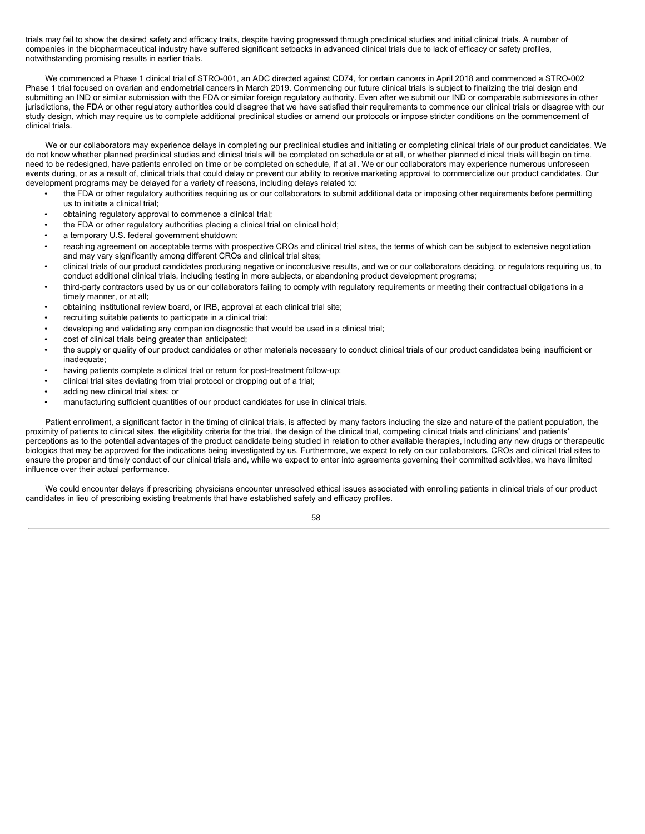trials may fail to show the desired safety and efficacy traits, despite having progressed through preclinical studies and initial clinical trials. A number of companies in the biopharmaceutical industry have suffered significant setbacks in advanced clinical trials due to lack of efficacy or safety profiles, notwithstanding promising results in earlier trials.

We commenced a Phase 1 clinical trial of STRO-001, an ADC directed against CD74, for certain cancers in April 2018 and commenced a STRO-002 Phase 1 trial focused on ovarian and endometrial cancers in March 2019. Commencing our future clinical trials is subject to finalizing the trial design and submitting an IND or similar submission with the FDA or similar foreign regulatory authority. Even after we submit our IND or comparable submissions in other jurisdictions, the FDA or other regulatory authorities could disagree that we have satisfied their requirements to commence our clinical trials or disagree with our study design, which may require us to complete additional preclinical studies or amend our protocols or impose stricter conditions on the commencement of clinical trials.

We or our collaborators may experience delays in completing our preclinical studies and initiating or completing clinical trials of our product candidates. We do not know whether planned preclinical studies and clinical trials will be completed on schedule or at all, or whether planned clinical trials will begin on time, need to be redesigned, have patients enrolled on time or be completed on schedule, if at all. We or our collaborators may experience numerous unforeseen events during, or as a result of, clinical trials that could delay or prevent our ability to receive marketing approval to commercialize our product candidates. Our development programs may be delayed for a variety of reasons, including delays related to:

- the FDA or other regulatory authorities requiring us or our collaborators to submit additional data or imposing other requirements before permitting us to initiate a clinical trial;
- obtaining regulatory approval to commence a clinical trial;
- the FDA or other regulatory authorities placing a clinical trial on clinical hold;
- a temporary U.S. federal government shutdown;
- reaching agreement on acceptable terms with prospective CROs and clinical trial sites, the terms of which can be subject to extensive negotiation and may vary significantly among different CROs and clinical trial sites;
- clinical trials of our product candidates producing negative or inconclusive results, and we or our collaborators deciding, or regulators requiring us, to conduct additional clinical trials, including testing in more subjects, or abandoning product development programs;
- third-party contractors used by us or our collaborators failing to comply with regulatory requirements or meeting their contractual obligations in a timely manner, or at all;
- obtaining institutional review board, or IRB, approval at each clinical trial site;
- recruiting suitable patients to participate in a clinical trial;
- developing and validating any companion diagnostic that would be used in a clinical trial;
- cost of clinical trials being greater than anticipated;
- the supply or quality of our product candidates or other materials necessary to conduct clinical trials of our product candidates being insufficient or inadequate:
- having patients complete a clinical trial or return for post-treatment follow-up;
- clinical trial sites deviating from trial protocol or dropping out of a trial;
- adding new clinical trial sites; or
- manufacturing sufficient quantities of our product candidates for use in clinical trials.

Patient enrollment, a significant factor in the timing of clinical trials, is affected by many factors including the size and nature of the patient population, the proximity of patients to clinical sites, the eligibility criteria for the trial, the design of the clinical trial, competing clinical trials and clinicians' and patients' perceptions as to the potential advantages of the product candidate being studied in relation to other available therapies, including any new drugs or therapeutic biologics that may be approved for the indications being investigated by us. Furthermore, we expect to rely on our collaborators, CROs and clinical trial sites to ensure the proper and timely conduct of our clinical trials and, while we expect to enter into agreements governing their committed activities, we have limited influence over their actual performance.

We could encounter delays if prescribing physicians encounter unresolved ethical issues associated with enrolling patients in clinical trials of our product candidates in lieu of prescribing existing treatments that have established safety and efficacy profiles.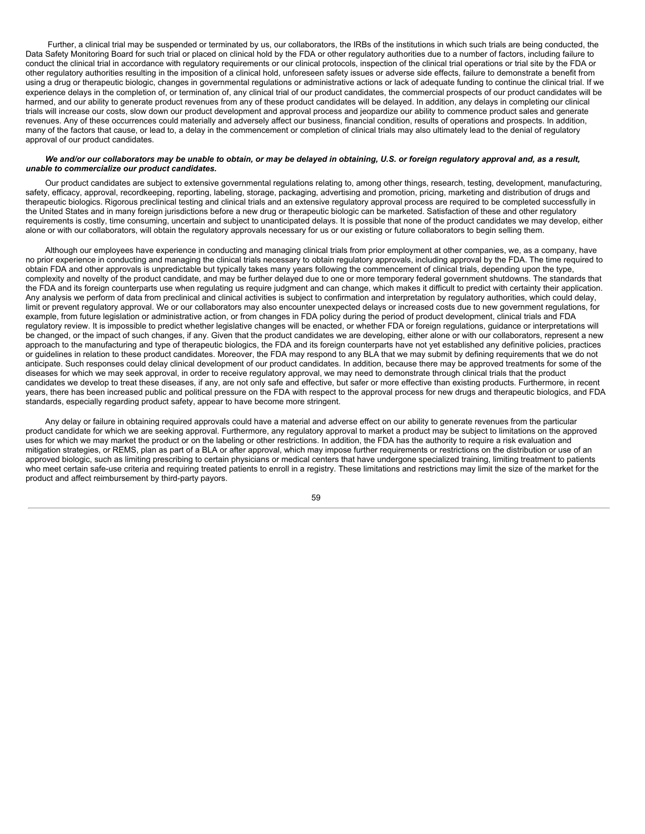Further, a clinical trial may be suspended or terminated by us, our collaborators, the IRBs of the institutions in which such trials are being conducted, the Data Safety Monitoring Board for such trial or placed on clinical hold by the FDA or other regulatory authorities due to a number of factors, including failure to conduct the clinical trial in accordance with regulatory requirements or our clinical protocols, inspection of the clinical trial operations or trial site by the FDA or other regulatory authorities resulting in the imposition of a clinical hold, unforeseen safety issues or adverse side effects, failure to demonstrate a benefit from using a drug or therapeutic biologic, changes in governmental regulations or administrative actions or lack of adequate funding to continue the clinical trial. If we experience delays in the completion of, or termination of, any clinical trial of our product candidates, the commercial prospects of our product candidates will be harmed, and our ability to generate product revenues from any of these product candidates will be delayed. In addition, any delays in completing our clinical trials will increase our costs, slow down our product development and approval process and jeopardize our ability to commence product sales and generate revenues. Any of these occurrences could materially and adversely affect our business, financial condition, results of operations and prospects. In addition, many of the factors that cause, or lead to, a delay in the commencement or completion of clinical trials may also ultimately lead to the denial of regulatory approval of our product candidates.

#### We and/or our collaborators may be unable to obtain, or may be delaved in obtaining. U.S. or foreign regulatory approval and, as a result. *unable to commercialize our product candidates.*

Our product candidates are subject to extensive governmental regulations relating to, among other things, research, testing, development, manufacturing, safety, efficacy, approval, recordkeeping, reporting, labeling, storage, packaging, advertising and promotion, pricing, marketing and distribution of drugs and therapeutic biologics. Rigorous preclinical testing and clinical trials and an extensive regulatory approval process are required to be completed successfully in the United States and in many foreign jurisdictions before a new drug or therapeutic biologic can be marketed. Satisfaction of these and other regulatory requirements is costly, time consuming, uncertain and subject to unanticipated delays. It is possible that none of the product candidates we may develop, either alone or with our collaborators, will obtain the regulatory approvals necessary for us or our existing or future collaborators to begin selling them.

Although our employees have experience in conducting and managing clinical trials from prior employment at other companies, we, as a company, have no prior experience in conducting and managing the clinical trials necessary to obtain regulatory approvals, including approval by the FDA. The time required to obtain FDA and other approvals is unpredictable but typically takes many years following the commencement of clinical trials, depending upon the type, complexity and novelty of the product candidate, and may be further delayed due to one or more temporary federal government shutdowns. The standards that the FDA and its foreign counterparts use when regulating us require judgment and can change, which makes it difficult to predict with certainty their application. Any analysis we perform of data from preclinical and clinical activities is subject to confirmation and interpretation by regulatory authorities, which could delay, limit or prevent regulatory approval. We or our collaborators may also encounter unexpected delays or increased costs due to new government regulations, for example, from future legislation or administrative action, or from changes in FDA policy during the period of product development, clinical trials and FDA regulatory review. It is impossible to predict whether legislative changes will be enacted, or whether FDA or foreign regulations, guidance or interpretations will be changed, or the impact of such changes, if any. Given that the product candidates we are developing, either alone or with our collaborators, represent a new approach to the manufacturing and type of therapeutic biologics, the FDA and its foreign counterparts have not yet established any definitive policies, practices or guidelines in relation to these product candidates. Moreover, the FDA may respond to any BLA that we may submit by defining requirements that we do not anticipate. Such responses could delay clinical development of our product candidates. In addition, because there may be approved treatments for some of the diseases for which we may seek approval, in order to receive regulatory approval, we may need to demonstrate through clinical trials that the product candidates we develop to treat these diseases, if any, are not only safe and effective, but safer or more effective than existing products. Furthermore, in recent years, there has been increased public and political pressure on the FDA with respect to the approval process for new drugs and therapeutic biologics, and FDA standards, especially regarding product safety, appear to have become more stringent.

Any delay or failure in obtaining required approvals could have a material and adverse effect on our ability to generate revenues from the particular product candidate for which we are seeking approval. Furthermore, any regulatory approval to market a product may be subject to limitations on the approved uses for which we may market the product or on the labeling or other restrictions. In addition, the FDA has the authority to require a risk evaluation and mitigation strategies, or REMS, plan as part of a BLA or after approval, which may impose further requirements or restrictions on the distribution or use of an approved biologic, such as limiting prescribing to certain physicians or medical centers that have undergone specialized training, limiting treatment to patients who meet certain safe-use criteria and requiring treated patients to enroll in a registry. These limitations and restrictions may limit the size of the market for the product and affect reimbursement by third-party payors.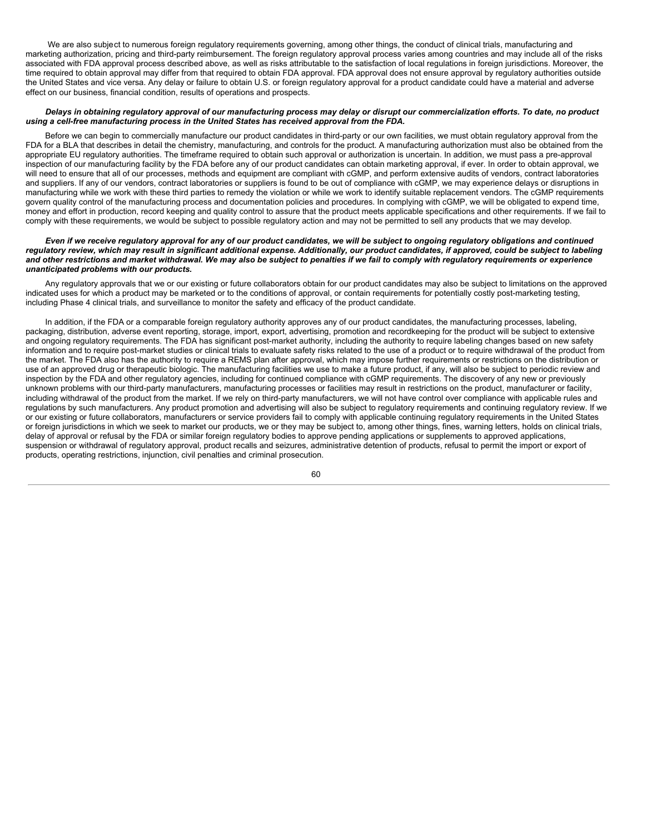We are also subject to numerous foreign regulatory reguirements governing, among other things, the conduct of clinical trials, manufacturing and marketing authorization, pricing and third-party reimbursement. The foreign regulatory approval process varies among countries and may include all of the risks associated with FDA approval process described above, as well as risks attributable to the satisfaction of local regulations in foreign jurisdictions. Moreover, the time required to obtain approval may differ from that required to obtain FDA approval. FDA approval does not ensure approval by requiatory authorities outside the United States and vice versa. Any delay or failure to obtain U.S. or foreign regulatory approval for a product candidate could have a material and adverse effect on our business, financial condition, results of operations and prospects.

### Delays in obtaining regulatory approval of our manufacturing process may delay or disrupt our commercialization efforts. To date, no product *using a cell-free manufacturing process in the United States has received approval from the FDA.*

Before we can begin to commercially manufacture our product candidates in third-party or our own facilities, we must obtain regulatory approval from the FDA for a BLA that describes in detail the chemistry, manufacturing, and controls for the product. A manufacturing authorization must also be obtained from the appropriate EU regulatory authorities. The timeframe required to obtain such approval or authorization is uncertain. In addition, we must pass a pre-approval inspection of our manufacturing facility by the FDA before any of our product candidates can obtain marketing approval, if ever. In order to obtain approval, we will need to ensure that all of our processes, methods and equipment are compliant with cGMP, and perform extensive audits of vendors, contract laboratories and suppliers. If any of our vendors, contract laboratories or suppliers is found to be out of compliance with cGMP, we may experience delays or disruptions in manufacturing while we work with these third parties to remedy the violation or while we work to identify suitable replacement vendors. The cGMP requirements govern quality control of the manufacturing process and documentation policies and procedures. In complying with cGMP, we will be obligated to expend time, money and effort in production, record keeping and quality control to assure that the product meets applicable specifications and other requirements. If we fail to comply with these requirements, we would be subject to possible regulatory action and may not be permitted to sell any products that we may develop.

#### Even if we receive regulatory approval for any of our product candidates, we will be subject to ongoing regulatory obligations and continued regulatory review, which may result in significant additional expense. Additionally, our product candidates, if approved, could be subject to labeling and other restrictions and market withdrawal. We may also be subject to penalties if we fail to comply with requiatory requirements or experience *unanticipated problems with our products.*

Any regulatory approvals that we or our existing or future collaborators obtain for our product candidates may also be subject to limitations on the approved indicated uses for which a product may be marketed or to the conditions of approval, or contain requirements for potentially costly post-marketing testing, including Phase 4 clinical trials, and surveillance to monitor the safety and efficacy of the product candidate.

In addition, if the FDA or a comparable foreign regulatory authority approves any of our product candidates, the manufacturing processes, labeling, packaging, distribution, adverse event reporting, storage, import, export, advertising, promotion and recordkeeping for the product will be subject to extensive and ongoing regulatory requirements. The FDA has significant post-market authority, including the authority to require labeling changes based on new safety information and to require post-market studies or clinical trials to evaluate safety risks related to the use of a product or to require withdrawal of the product from the market. The FDA also has the authority to require a REMS plan after approval, which may impose further requirements or restrictions on the distribution or use of an approved drug or therapeutic biologic. The manufacturing facilities we use to make a future product, if any, will also be subject to periodic review and inspection by the FDA and other regulatory agencies, including for continued compliance with cGMP requirements. The discovery of any new or previously unknown problems with our third-party manufacturers, manufacturing processes or facilities may result in restrictions on the product, manufacturer or facility, including withdrawal of the product from the market. If we rely on third-party manufacturers, we will not have control over compliance with applicable rules and regulations by such manufacturers. Any product promotion and advertising will also be subject to regulatory requirements and continuing regulatory review. If we or our existing or future collaborators, manufacturers or service providers fail to comply with applicable continuing regulatory requirements in the United States or foreign jurisdictions in which we seek to market our products, we or they may be subject to, among other things, fines, warning letters, holds on clinical trials, delay of approval or refusal by the FDA or similar foreign regulatory bodies to approve pending applications or supplements to approved applications, suspension or withdrawal of regulatory approval, product recalls and seizures, administrative detention of products, refusal to permit the import or export of products, operating restrictions, injunction, civil penalties and criminal prosecution.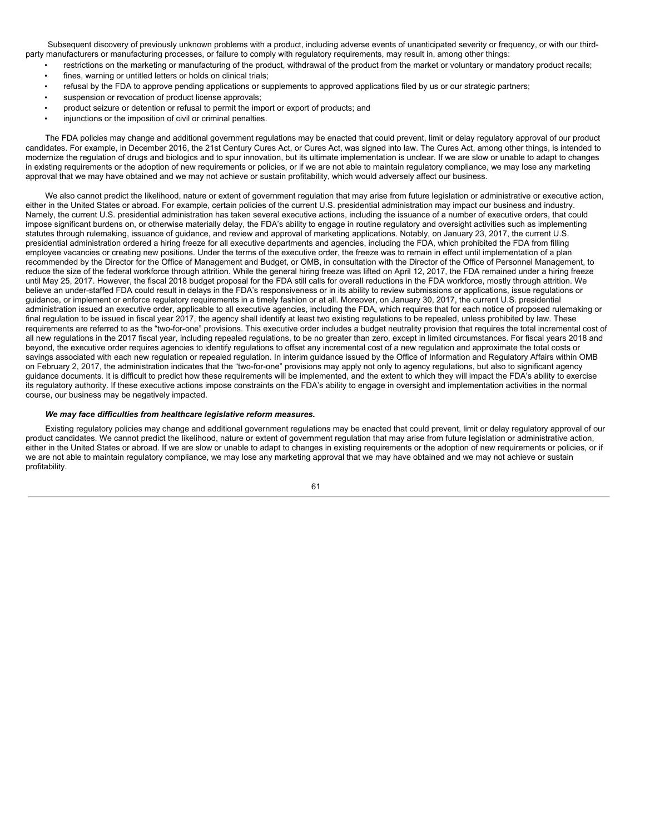Subsequent discovery of previously unknown problems with a product, including adverse events of unanticipated severity or frequency, or with our thirdparty manufacturers or manufacturing processes, or failure to comply with regulatory requirements, may result in, among other things:

- restrictions on the marketing or manufacturing of the product, withdrawal of the product from the market or voluntary or mandatory product recalls; fines, warning or untitled letters or holds on clinical trials;
- refusal by the FDA to approve pending applications or supplements to approved applications filed by us or our strategic partners;
- suspension or revocation of product license approvals;
- product seizure or detention or refusal to permit the import or export of products; and
- injunctions or the imposition of civil or criminal penalties.

The FDA policies may change and additional government regulations may be enacted that could prevent, limit or delay regulatory approval of our product candidates. For example, in December 2016, the 21st Century Cures Act, or Cures Act, was signed into law. The Cures Act, among other things, is intended to modernize the regulation of drugs and biologics and to spur innovation, but its ultimate implementation is unclear. If we are slow or unable to adapt to changes in existing requirements or the adoption of new requirements or policies, or if we are not able to maintain regulatory compliance, we may lose any marketing approval that we may have obtained and we may not achieve or sustain profitability, which would adversely affect our business.

We also cannot predict the likelihood, nature or extent of government regulation that may arise from future legislation or administrative or executive action, either in the United States or abroad. For example, certain policies of the current U.S. presidential administration may impact our business and industry. Namely, the current U.S. presidential administration has taken several executive actions, including the issuance of a number of executive orders, that could impose significant burdens on, or otherwise materially delay, the FDA's ability to engage in routine regulatory and oversight activities such as implementing statutes through rulemaking, issuance of guidance, and review and approval of marketing applications. Notably, on January 23, 2017, the current U.S. presidential administration ordered a hiring freeze for all executive departments and agencies, including the FDA, which prohibited the FDA from filling employee vacancies or creating new positions. Under the terms of the executive order, the freeze was to remain in effect until implementation of a plan recommended by the Director for the Office of Management and Budget, or OMB, in consultation with the Director of the Office of Personnel Management, to reduce the size of the federal workforce through attrition. While the general hiring freeze was lifted on April 12, 2017, the FDA remained under a hiring freeze until May 25, 2017. However, the fiscal 2018 budget proposal for the FDA still calls for overall reductions in the FDA workforce, mostly through attrition. We believe an under-staffed FDA could result in delays in the FDA's responsiveness or in its ability to review submissions or applications, issue regulations or guidance, or implement or enforce regulatory requirements in a timely fashion or at all. Moreover, on January 30, 2017, the current U.S. presidential administration issued an executive order, applicable to all executive agencies, including the FDA, which requires that for each notice of proposed rulemaking or final regulation to be issued in fiscal year 2017, the agency shall identify at least two existing regulations to be repealed, unless prohibited by law. These requirements are referred to as the "two-for-one" provisions. This executive order includes a budget neutrality provision that requires the total incremental cost of all new regulations in the 2017 fiscal year, including repealed regulations, to be no greater than zero, except in limited circumstances. For fiscal years 2018 and beyond, the executive order requires agencies to identify regulations to offset any incremental cost of a new regulation and approximate the total costs or savings associated with each new regulation or repealed regulation. In interim guidance issued by the Office of Information and Regulatory Affairs within OMB on February 2, 2017, the administration indicates that the "two-for-one" provisions may apply not only to agency regulations, but also to significant agency guidance documents. It is difficult to predict how these requirements will be implemented, and the extent to which they will impact the FDA's ability to exercise its regulatory authority. If these executive actions impose constraints on the FDA's ability to engage in oversight and implementation activities in the normal course, our business may be negatively impacted.

#### *We may face difficulties from healthcare legislative reform measures.*

Existing regulatory policies may change and additional government regulations may be enacted that could prevent, limit or delay regulatory approval of our product candidates. We cannot predict the likelihood, nature or extent of government regulation that may arise from future legislation or administrative action, either in the United States or abroad. If we are slow or unable to adapt to changes in existing requirements or the adoption of new requirements or policies, or if we are not able to maintain regulatory compliance, we may lose any marketing approval that we may have obtained and we may not achieve or sustain profitability.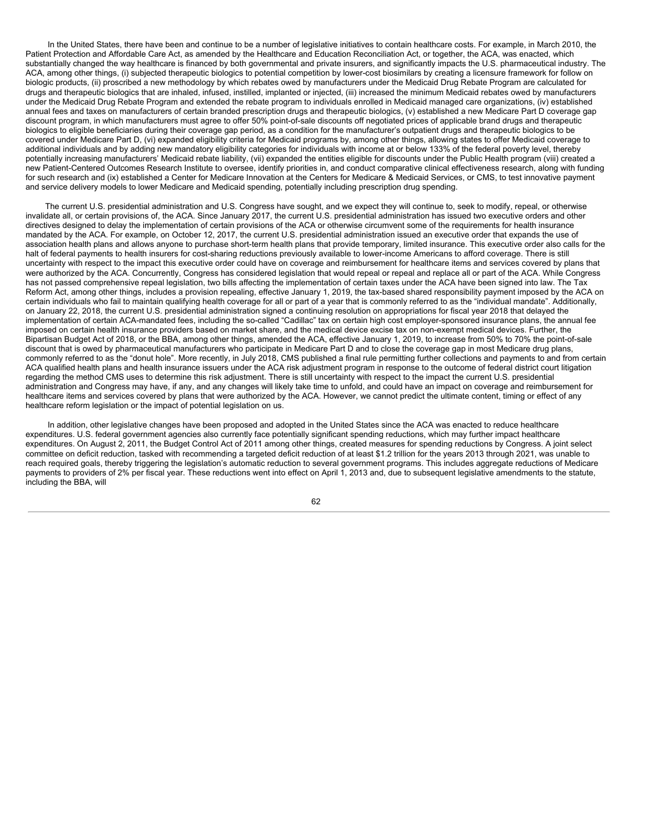In the United States, there have been and continue to be a number of legislative initiatives to contain healthcare costs. For example, in March 2010, the Patient Protection and Affordable Care Act, as amended by the Healthcare and Education Reconciliation Act, or together, the ACA, was enacted, which substantially changed the way healthcare is financed by both governmental and private insurers, and significantly impacts the U.S. pharmaceutical industry. The ACA, among other things, (i) subjected therapeutic biologics to potential competition by lower-cost biosimilars by creating a licensure framework for follow on biologic products, (ii) proscribed a new methodology by which rebates owed by manufacturers under the Medicaid Drug Rebate Program are calculated for drugs and therapeutic biologics that are inhaled, infused, instilled, implanted or injected, (iii) increased the minimum Medicaid rebates owed by manufacturers under the Medicaid Drug Rebate Program and extended the rebate program to individuals enrolled in Medicaid managed care organizations, (iv) established annual fees and taxes on manufacturers of certain branded prescription drugs and therapeutic biologics, (v) established a new Medicare Part D coverage gap discount program, in which manufacturers must agree to offer 50% point-of-sale discounts off negotiated prices of applicable brand drugs and therapeutic biologics to eligible beneficiaries during their coverage gap period, as a condition for the manufacturer's outpatient drugs and therapeutic biologics to be covered under Medicare Part D, (vi) expanded eligibility criteria for Medicaid programs by, among other things, allowing states to offer Medicaid coverage to additional individuals and by adding new mandatory eligibility categories for individuals with income at or below 133% of the federal poverty level, thereby potentially increasing manufacturers' Medicaid rebate liability, (vii) expanded the entities eligible for discounts under the Public Health program (viii) created a new Patient-Centered Outcomes Research Institute to oversee, identify priorities in, and conduct comparative clinical effectiveness research, along with funding for such research and (ix) established a Center for Medicare Innovation at the Centers for Medicare & Medicaid Services, or CMS, to test innovative payment and service delivery models to lower Medicare and Medicaid spending, potentially including prescription drug spending.

The current U.S. presidential administration and U.S. Congress have sought, and we expect they will continue to, seek to modify, repeal, or otherwise invalidate all, or certain provisions of, the ACA. Since January 2017, the current U.S. presidential administration has issued two executive orders and other directives designed to delay the implementation of certain provisions of the ACA or otherwise circumvent some of the requirements for health insurance mandated by the ACA. For example, on October 12, 2017, the current U.S. presidential administration issued an executive order that expands the use of association health plans and allows anyone to purchase short-term health plans that provide temporary, limited insurance. This executive order also calls for the halt of federal payments to health insurers for cost-sharing reductions previously available to lower-income Americans to afford coverage. There is still uncertainty with respect to the impact this executive order could have on coverage and reimbursement for healthcare items and services covered by plans that were authorized by the ACA. Concurrently, Congress has considered legislation that would repeal or repeal and replace all or part of the ACA. While Congress has not passed comprehensive repeal legislation, two bills affecting the implementation of certain taxes under the ACA have been signed into law. The Tax Reform Act, among other things, includes a provision repealing, effective January 1, 2019, the tax-based shared responsibility payment imposed by the ACA on certain individuals who fail to maintain qualifying health coverage for all or part of a year that is commonly referred to as the "individual mandate". Additionally, on January 22, 2018, the current U.S. presidential administration signed a continuing resolution on appropriations for fiscal year 2018 that delayed the implementation of certain ACA-mandated fees, including the so-called "Cadillac" tax on certain high cost employer-sponsored insurance plans, the annual fee imposed on certain health insurance providers based on market share, and the medical device excise tax on non-exempt medical devices. Further, the Bipartisan Budget Act of 2018, or the BBA, among other things, amended the ACA, effective January 1, 2019, to increase from 50% to 70% the point-of-sale discount that is owed by pharmaceutical manufacturers who participate in Medicare Part D and to close the coverage gap in most Medicare drug plans, commonly referred to as the "donut hole". More recently, in July 2018, CMS published a final rule permitting further collections and payments to and from certain ACA qualified health plans and health insurance issuers under the ACA risk adjustment program in response to the outcome of federal district court litigation regarding the method CMS uses to determine this risk adjustment. There is still uncertainty with respect to the impact the current U.S. presidential administration and Congress may have, if any, and any changes will likely take time to unfold, and could have an impact on coverage and reimbursement for healthcare items and services covered by plans that were authorized by the ACA. However, we cannot predict the ultimate content, timing or effect of any healthcare reform legislation or the impact of potential legislation on us.

In addition, other legislative changes have been proposed and adopted in the United States since the ACA was enacted to reduce healthcare expenditures. U.S. federal government agencies also currently face potentially significant spending reductions, which may further impact healthcare expenditures. On August 2, 2011, the Budget Control Act of 2011 among other things, created measures for spending reductions by Congress. A joint select committee on deficit reduction, tasked with recommending a targeted deficit reduction of at least \$1.2 trillion for the years 2013 through 2021, was unable to reach required goals, thereby triggering the legislation's automatic reduction to several government programs. This includes aggregate reductions of Medicare payments to providers of 2% per fiscal year. These reductions went into effect on April 1, 2013 and, due to subsequent legislative amendments to the statute, including the BBA, will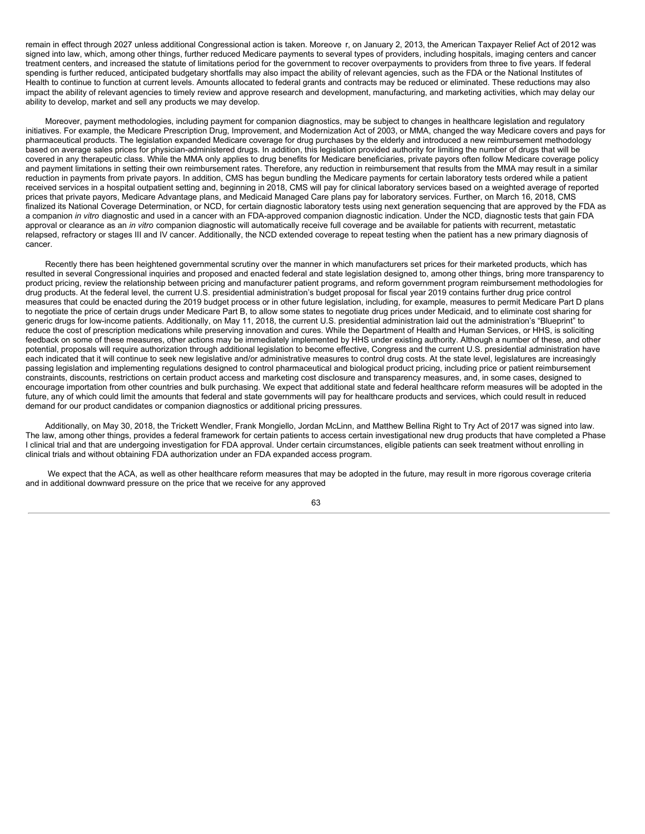remain in effect through 2027 unless additional Congressional action is taken. Moreove r, on January 2, 2013, the American Taxpayer Relief Act of 2012 was signed into law, which, among other things, further reduced Medicare payments to several types of providers, including hospitals, imaging centers and cancer treatment centers, and increased the statute of limitations period for the government to recover overpayments to providers from three to five years. If federal spending is further reduced, anticipated budgetary shortfalls may also impact the ability of relevant agencies, such as the FDA or the National Institutes of Health to continue to function at current levels. Amounts allocated to federal grants and contracts may be reduced or eliminated. These reductions may also impact the ability of relevant agencies to timely review and approve research and development, manufacturing, and marketing activities, which may delay our ability to develop, market and sell any products we may develop.

Moreover, payment methodologies, including payment for companion diagnostics, may be subject to changes in healthcare legislation and regulatory initiatives. For example, the Medicare Prescription Drug, Improvement, and Modernization Act of 2003, or MMA, changed the way Medicare covers and pays for pharmaceutical products. The legislation expanded Medicare coverage for drug purchases by the elderly and introduced a new reimbursement methodology based on average sales prices for physician-administered drugs. In addition, this legislation provided authority for limiting the number of drugs that will be covered in any therapeutic class. While the MMA only applies to drug benefits for Medicare beneficiaries, private payors often follow Medicare coverage policy and payment limitations in setting their own reimbursement rates. Therefore, any reduction in reimbursement that results from the MMA may result in a similar reduction in payments from private payors. In addition, CMS has begun bundling the Medicare payments for certain laboratory tests ordered while a patient received services in a hospital outpatient setting and, beginning in 2018, CMS will pay for clinical laboratory services based on a weighted average of reported prices that private payors, Medicare Advantage plans, and Medicaid Managed Care plans pay for laboratory services. Further, on March 16, 2018, CMS finalized its National Coverage Determination, or NCD, for certain diagnostic laboratory tests using next generation sequencing that are approved by the FDA as a companion *in vitro* diagnostic and used in a cancer with an FDA-approved companion diagnostic indication. Under the NCD, diagnostic tests that gain FDA approval or clearance as an *in vitro* companion diagnostic will automatically receive full coverage and be available for patients with recurrent, metastatic relapsed, refractory or stages III and IV cancer. Additionally, the NCD extended coverage to repeat testing when the patient has a new primary diagnosis of cancer.

Recently there has been heightened governmental scrutiny over the manner in which manufacturers set prices for their marketed products, which has resulted in several Congressional inquiries and proposed and enacted federal and state legislation designed to, among other things, bring more transparency to product pricing, review the relationship between pricing and manufacturer patient programs, and reform government program reimbursement methodologies for drug products. At the federal level, the current U.S. presidential administration's budget proposal for fiscal year 2019 contains further drug price control measures that could be enacted during the 2019 budget process or in other future legislation, including, for example, measures to permit Medicare Part D plans to negotiate the price of certain drugs under Medicare Part B, to allow some states to negotiate drug prices under Medicaid, and to eliminate cost sharing for generic drugs for low-income patients. Additionally, on May 11, 2018, the current U.S. presidential administration laid out the administration's "Blueprint" to reduce the cost of prescription medications while preserving innovation and cures. While the Department of Health and Human Services, or HHS, is soliciting feedback on some of these measures, other actions may be immediately implemented by HHS under existing authority. Although a number of these, and other potential, proposals will require authorization through additional legislation to become effective, Congress and the current U.S. presidential administration have each indicated that it will continue to seek new legislative and/or administrative measures to control drug costs. At the state level, legislatures are increasingly passing legislation and implementing regulations designed to control pharmaceutical and biological product pricing, including price or patient reimbursement constraints, discounts, restrictions on certain product access and marketing cost disclosure and transparency measures, and, in some cases, designed to encourage importation from other countries and bulk purchasing. We expect that additional state and federal healthcare reform measures will be adopted in the future, any of which could limit the amounts that federal and state governments will pay for healthcare products and services, which could result in reduced demand for our product candidates or companion diagnostics or additional pricing pressures.

Additionally, on May 30, 2018, the Trickett Wendler, Frank Mongiello, Jordan McLinn, and Matthew Bellina Right to Try Act of 2017 was signed into law. The law, among other things, provides a federal framework for certain patients to access certain investigational new drug products that have completed a Phase I clinical trial and that are undergoing investigation for FDA approval. Under certain circumstances, eligible patients can seek treatment without enrolling in clinical trials and without obtaining FDA authorization under an FDA expanded access program.

We expect that the ACA, as well as other healthcare reform measures that may be adopted in the future, may result in more rigorous coverage criteria and in additional downward pressure on the price that we receive for any approved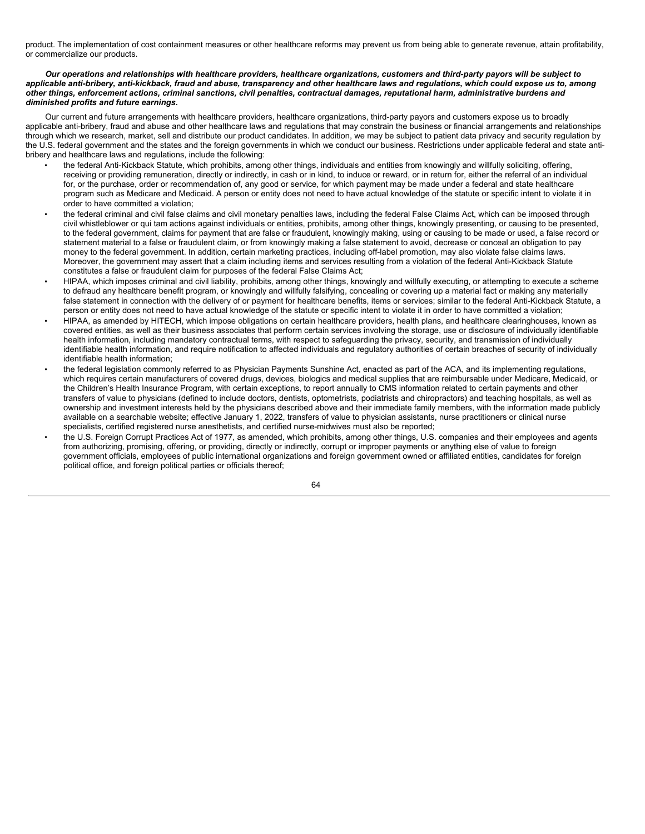product. The implementation of cost containment measures or other healthcare reforms may prevent us from being able to generate revenue, attain profitability, or commercialize our products.

### Our operations and relationships with healthcare providers, healthcare organizations, customers and third-party payors will be subject to applicable anti-bribery, anti-kickback, fraud and abuse, transparency and other healthcare laws and regulations, which could expose us to, among other things, enforcement actions, criminal sanctions, civil penalties, contractual damages, reputational harm, administrative burdens and *diminished profits and future earnings.*

Our current and future arrangements with healthcare providers, healthcare organizations, third-party payors and customers expose us to broadly applicable anti-bribery, fraud and abuse and other healthcare laws and regulations that may constrain the business or financial arrangements and relationships through which we research, market, sell and distribute our product candidates. In addition, we may be subject to patient data privacy and security regulation by the U.S. federal government and the states and the foreign governments in which we conduct our business. Restrictions under applicable federal and state antibribery and healthcare laws and regulations, include the following:

- the federal Anti-Kickback Statute, which prohibits, among other things, individuals and entities from knowingly and willfully soliciting, offering, receiving or providing remuneration, directly or indirectly, in cash or in kind, to induce or reward, or in return for, either the referral of an individual for, or the purchase, order or recommendation of, any good or service, for which payment may be made under a federal and state healthcare program such as Medicare and Medicaid. A person or entity does not need to have actual knowledge of the statute or specific intent to violate it in order to have committed a violation;
- the federal criminal and civil false claims and civil monetary penalties laws, including the federal False Claims Act, which can be imposed through civil whistleblower or qui tam actions against individuals or entities, prohibits, among other things, knowingly presenting, or causing to be presented, to the federal government, claims for payment that are false or fraudulent, knowingly making, using or causing to be made or used, a false record or statement material to a false or fraudulent claim, or from knowingly making a false statement to avoid, decrease or conceal an obligation to pay money to the federal government. In addition, certain marketing practices, including off-label promotion, may also violate false claims laws. Moreover, the government may assert that a claim including items and services resulting from a violation of the federal Anti-Kickback Statute constitutes a false or fraudulent claim for purposes of the federal False Claims Act;
- HIPAA, which imposes criminal and civil liability, prohibits, among other things, knowingly and willfully executing, or attempting to execute a scheme to defraud any healthcare benefit program, or knowingly and willfully falsifying, concealing or covering up a material fact or making any materially false statement in connection with the delivery of or payment for healthcare benefits, items or services; similar to the federal Anti-Kickback Statute, a person or entity does not need to have actual knowledge of the statute or specific intent to violate it in order to have committed a violation;
- HIPAA, as amended by HITECH, which impose obligations on certain healthcare providers, health plans, and healthcare clearinghouses, known as covered entities, as well as their business associates that perform certain services involving the storage, use or disclosure of individually identifiable health information, including mandatory contractual terms, with respect to safeguarding the privacy, security, and transmission of individually identifiable health information, and require notification to affected individuals and regulatory authorities of certain breaches of security of individually identifiable health information;
- the federal legislation commonly referred to as Physician Payments Sunshine Act, enacted as part of the ACA, and its implementing regulations, which requires certain manufacturers of covered drugs, devices, biologics and medical supplies that are reimbursable under Medicare, Medicaid, or the Children's Health Insurance Program, with certain exceptions, to report annually to CMS information related to certain payments and other transfers of value to physicians (defined to include doctors, dentists, optometrists, podiatrists and chiropractors) and teaching hospitals, as well as ownership and investment interests held by the physicians described above and their immediate family members, with the information made publicly available on a searchable website; effective January 1, 2022, transfers of value to physician assistants, nurse practitioners or clinical nurse specialists, certified registered nurse anesthetists, and certified nurse-midwives must also be reported;
- the U.S. Foreign Corrupt Practices Act of 1977, as amended, which prohibits, among other things, U.S. companies and their employees and agents from authorizing, promising, offering, or providing, directly or indirectly, corrupt or improper payments or anything else of value to foreign government officials, employees of public international organizations and foreign government owned or affiliated entities, candidates for foreign political office, and foreign political parties or officials thereof;

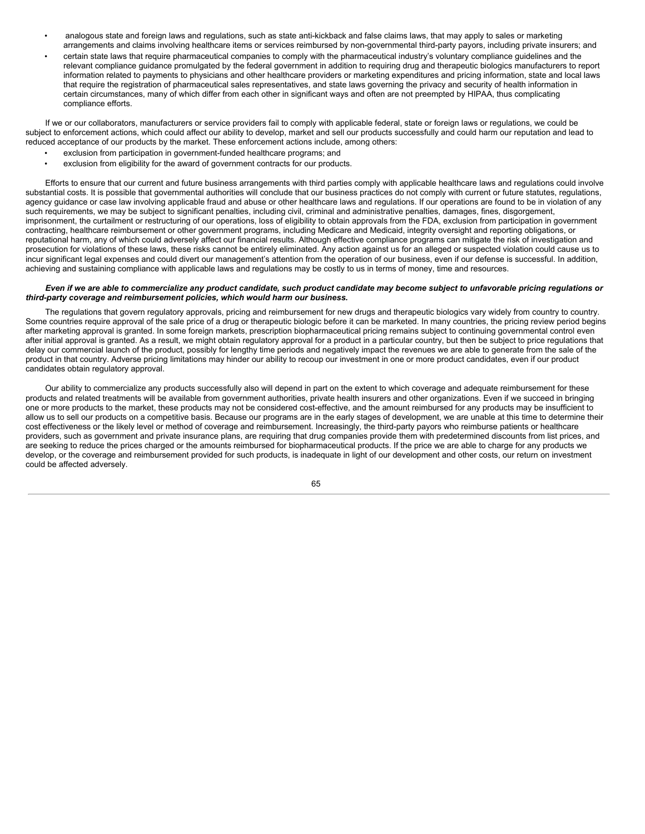- analogous state and foreign laws and regulations, such as state anti-kickback and false claims laws, that may apply to sales or marketing arrangements and claims involving healthcare items or services reimbursed by non-governmental third-party payors, including private insurers; and
- certain state laws that require pharmaceutical companies to comply with the pharmaceutical industry's voluntary compliance guidelines and the relevant compliance guidance promulgated by the federal government in addition to requiring drug and therapeutic biologics manufacturers to report information related to payments to physicians and other healthcare providers or marketing expenditures and pricing information, state and local laws that require the registration of pharmaceutical sales representatives, and state laws governing the privacy and security of health information in certain circumstances, many of which differ from each other in significant ways and often are not preempted by HIPAA, thus complicating compliance efforts.

If we or our collaborators, manufacturers or service providers fail to comply with applicable federal, state or foreign laws or regulations, we could be subject to enforcement actions, which could affect our ability to develop, market and sell our products successfully and could harm our reputation and lead to reduced acceptance of our products by the market. These enforcement actions include, among others:

- exclusion from participation in government-funded healthcare programs; and
- exclusion from eligibility for the award of government contracts for our products.

Efforts to ensure that our current and future business arrangements with third parties comply with applicable healthcare laws and regulations could involve substantial costs. It is possible that governmental authorities will conclude that our business practices do not comply with current or future statutes, regulations, agency guidance or case law involving applicable fraud and abuse or other healthcare laws and regulations. If our operations are found to be in violation of any such requirements, we may be subject to significant penalties, including civil, criminal and administrative penalties, damages, fines, disgorgement, imprisonment, the curtailment or restructuring of our operations, loss of eligibility to obtain approvals from the FDA, exclusion from participation in government contracting, healthcare reimbursement or other government programs, including Medicare and Medicaid, integrity oversight and reporting obligations, or reputational harm, any of which could adversely affect our financial results. Although effective compliance programs can mitigate the risk of investigation and prosecution for violations of these laws, these risks cannot be entirely eliminated. Any action against us for an alleged or suspected violation could cause us to incur significant legal expenses and could divert our management's attention from the operation of our business, even if our defense is successful. In addition, achieving and sustaining compliance with applicable laws and regulations may be costly to us in terms of money, time and resources.

#### Even if we are able to commercialize any product candidate, such product candidate may become subject to unfavorable pricing regulations or *third-party coverage and reimbursement policies, which would harm our business.*

The regulations that govern regulatory approvals, pricing and reimbursement for new drugs and therapeutic biologics vary widely from country to country. Some countries require approval of the sale price of a drug or therapeutic biologic before it can be marketed. In many countries, the pricing review period begins after marketing approval is granted. In some foreign markets, prescription biopharmaceutical pricing remains subject to continuing governmental control even after initial approval is granted. As a result, we might obtain regulatory approval for a product in a particular country, but then be subject to price regulations that delay our commercial launch of the product, possibly for lengthy time periods and negatively impact the revenues we are able to generate from the sale of the product in that country. Adverse pricing limitations may hinder our ability to recoup our investment in one or more product candidates, even if our product candidates obtain regulatory approval.

Our ability to commercialize any products successfully also will depend in part on the extent to which coverage and adequate reimbursement for these products and related treatments will be available from government authorities, private health insurers and other organizations. Even if we succeed in bringing one or more products to the market, these products may not be considered cost-effective, and the amount reimbursed for any products may be insufficient to allow us to sell our products on a competitive basis. Because our programs are in the early stages of development, we are unable at this time to determine their cost effectiveness or the likely level or method of coverage and reimbursement. Increasingly, the third-party payors who reimburse patients or healthcare providers, such as government and private insurance plans, are requiring that drug companies provide them with predetermined discounts from list prices, and are seeking to reduce the prices charged or the amounts reimbursed for biopharmaceutical products. If the price we are able to charge for any products we develop, or the coverage and reimbursement provided for such products, is inadequate in light of our development and other costs, our return on investment could be affected adversely.

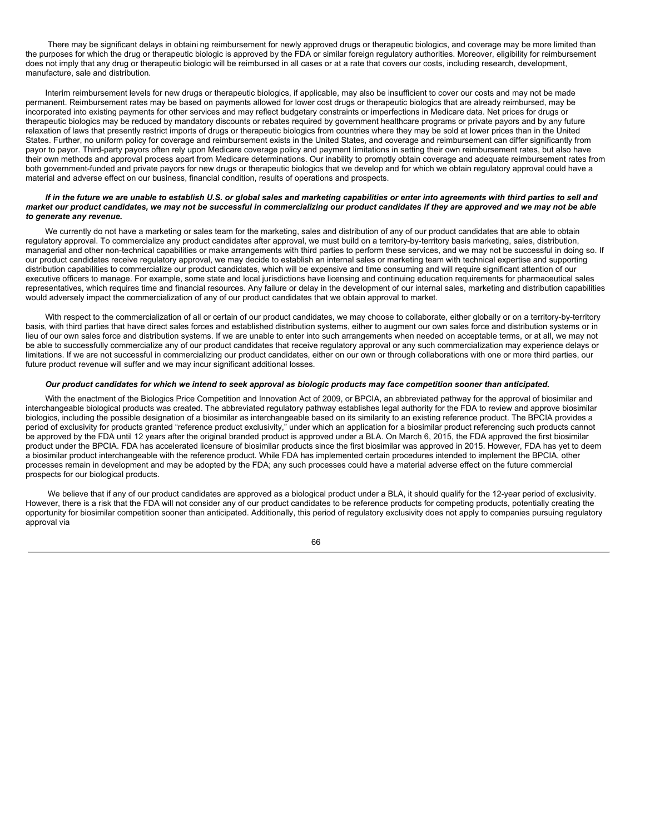There may be significant delays in obtaini ng reimbursement for newly approved drugs or therapeutic biologics, and coverage may be more limited than the purposes for which the drug or therapeutic biologic is approved by the FDA or similar foreign regulatory authorities. Moreover, eligibility for reimbursement does not imply that any drug or therapeutic biologic will be reimbursed in all cases or at a rate that covers our costs, including research, development, manufacture, sale and distribution.

Interim reimbursement levels for new drugs or therapeutic biologics, if applicable, may also be insufficient to cover our costs and may not be made permanent. Reimbursement rates may be based on payments allowed for lower cost drugs or therapeutic biologics that are already reimbursed, may be incorporated into existing payments for other services and may reflect budgetary constraints or imperfections in Medicare data. Net prices for drugs or therapeutic biologics may be reduced by mandatory discounts or rebates required by government healthcare programs or private payors and by any future relaxation of laws that presently restrict imports of drugs or therapeutic biologics from countries where they may be sold at lower prices than in the United States. Further, no uniform policy for coverage and reimbursement exists in the United States, and coverage and reimbursement can differ significantly from payor to payor. Third-party payors often rely upon Medicare coverage policy and payment limitations in setting their own reimbursement rates, but also have their own methods and approval process apart from Medicare determinations. Our inability to promptly obtain coverage and adequate reimbursement rates from both government-funded and private payors for new drugs or therapeutic biologics that we develop and for which we obtain regulatory approval could have a material and adverse effect on our business, financial condition, results of operations and prospects.

#### If in the future we are unable to establish U.S. or global sales and marketing capabilities or enter into agreements with third parties to sell and market our product candidates, we may not be successful in commercializing our product candidates if they are approved and we may not be able *to generate any revenue.*

We currently do not have a marketing or sales team for the marketing, sales and distribution of any of our product candidates that are able to obtain regulatory approval. To commercialize any product candidates after approval, we must build on a territory-by-territory basis marketing, sales, distribution, managerial and other non-technical capabilities or make arrangements with third parties to perform these services, and we may not be successful in doing so. If our product candidates receive regulatory approval, we may decide to establish an internal sales or marketing team with technical expertise and supporting distribution capabilities to commercialize our product candidates, which will be expensive and time consuming and will require significant attention of our executive officers to manage. For example, some state and local jurisdictions have licensing and continuing education requirements for pharmaceutical sales representatives, which requires time and financial resources. Any failure or delay in the development of our internal sales, marketing and distribution capabilities would adversely impact the commercialization of any of our product candidates that we obtain approval to market.

With respect to the commercialization of all or certain of our product candidates, we may choose to collaborate, either globally or on a territory-by-territory basis, with third parties that have direct sales forces and established distribution systems, either to augment our own sales force and distribution systems or in lieu of our own sales force and distribution systems. If we are unable to enter into such arrangements when needed on acceptable terms, or at all, we may not be able to successfully commercialize any of our product candidates that receive regulatory approval or any such commercialization may experience delays or limitations. If we are not successful in commercializing our product candidates, either on our own or through collaborations with one or more third parties, our future product revenue will suffer and we may incur significant additional losses.

#### Our product candidates for which we intend to seek approval as biologic products may face competition sooner than anticipated.

With the enactment of the Biologics Price Competition and Innovation Act of 2009, or BPCIA, an abbreviated pathway for the approval of biosimilar and interchangeable biological products was created. The abbreviated regulatory pathway establishes legal authority for the FDA to review and approve biosimilar biologics, including the possible designation of a biosimilar as interchangeable based on its similarity to an existing reference product. The BPCIA provides a period of exclusivity for products granted "reference product exclusivity," under which an application for a biosimilar product referencing such products cannot be approved by the FDA until 12 years after the original branded product is approved under a BLA. On March 6, 2015, the FDA approved the first biosimilar product under the BPCIA. FDA has accelerated licensure of biosimilar products since the first biosimilar was approved in 2015. However, FDA has yet to deem a biosimilar product interchangeable with the reference product. While FDA has implemented certain procedures intended to implement the BPCIA, other processes remain in development and may be adopted by the FDA; any such processes could have a material adverse effect on the future commercial prospects for our biological products.

We believe that if any of our product candidates are approved as a biological product under a BLA, it should qualify for the 12-year period of exclusivity. However, there is a risk that the FDA will not consider any of our product candidates to be reference products for competing products, potentially creating the opportunity for biosimilar competition sooner than anticipated. Additionally, this period of regulatory exclusivity does not apply to companies pursuing regulatory approval via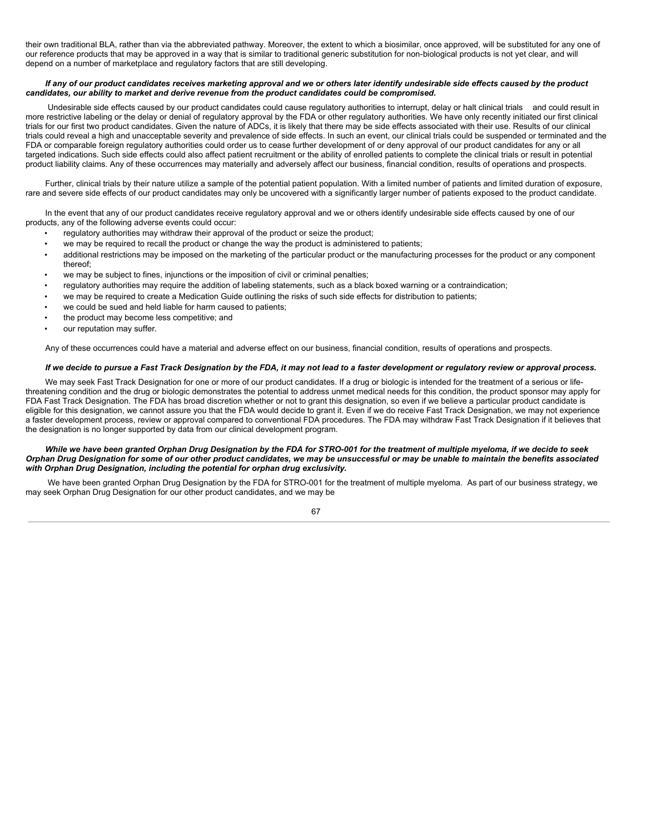their own traditional BLA, rather than via the abbreviated pathway. Moreover, the extent to which a biosimilar, once approved, will be substituted for any one of our reference products that may be approved in a way that is similar to traditional generic substitution for non-biological products is not yet clear, and will depend on a number of marketplace and regulatory factors that are still developing.

#### If any of our product candidates receives marketing approval and we or others later identify undesirable side effects caused by the product *candidates, our ability to market and derive revenue from the product candidates could be compromised.*

Undesirable side effects caused by our product candidates could cause regulatory authorities to interrupt, delay or halt clinical trials and could result in more restrictive labeling or the delay or denial of regulatory approval by the FDA or other regulatory authorities. We have only recently initiated our first clinical trials for our first two product candidates. Given the nature of ADCs, it is likely that there may be side effects associated with their use. Results of our clinical trials could reveal a high and unacceptable severity and prevalence of side effects. In such an event, our clinical trials could be suspended or terminated and the FDA or comparable foreign regulatory authorities could order us to cease further development of or deny approval of our product candidates for any or all targeted indications. Such side effects could also affect patient recruitment or the ability of enrolled patients to complete the clinical trials or result in potential product liability claims. Any of these occurrences may materially and adversely affect our business, financial condition, results of operations and prospects.

Further, clinical trials by their nature utilize a sample of the potential patient population. With a limited number of patients and limited duration of exposure, rare and severe side effects of our product candidates may only be uncovered with a significantly larger number of patients exposed to the product candidate.

In the event that any of our product candidates receive regulatory approval and we or others identify undesirable side effects caused by one of our products, any of the following adverse events could occur:

- regulatory authorities may withdraw their approval of the product or seize the product;
- we may be required to recall the product or change the way the product is administered to patients;
- additional restrictions may be imposed on the marketing of the particular product or the manufacturing processes for the product or any component thereof;
- we may be subject to fines, injunctions or the imposition of civil or criminal penalties;
- regulatory authorities may require the addition of labeling statements, such as a black boxed warning or a contraindication;
- we may be required to create a Medication Guide outlining the risks of such side effects for distribution to patients;
- we could be sued and held liable for harm caused to patients;
- the product may become less competitive; and
- our reputation may suffer.

Any of these occurrences could have a material and adverse effect on our business, financial condition, results of operations and prospects.

### If we decide to pursue a Fast Track Designation by the FDA, it may not lead to a faster development or regulatory review or approval process.

We may seek Fast Track Designation for one or more of our product candidates. If a drug or biologic is intended for the treatment of a serious or lifethreatening condition and the drug or biologic demonstrates the potential to address unmet medical needs for this condition, the product sponsor may apply for FDA Fast Track Designation. The FDA has broad discretion whether or not to grant this designation, so even if we believe a particular product candidate is eligible for this designation, we cannot assure you that the FDA would decide to grant it. Even if we do receive Fast Track Designation, we may not experience a faster development process, review or approval compared to conventional FDA procedures. The FDA may withdraw Fast Track Designation if it believes that the designation is no longer supported by data from our clinical development program.

## While we have been granted Orphan Drug Designation by the FDA for STRO-001 for the treatment of multiple myeloma, if we decide to seek Orphan Drug Designation for some of our other product candidates, we may be unsuccessful or may be unable to maintain the benefits associated *with Orphan Drug Designation, including the potential for orphan drug exclusivity.*

We have been granted Orphan Drug Designation by the FDA for STRO-001 for the treatment of multiple myeloma. As part of our business strategy, we may seek Orphan Drug Designation for our other product candidates, and we may be

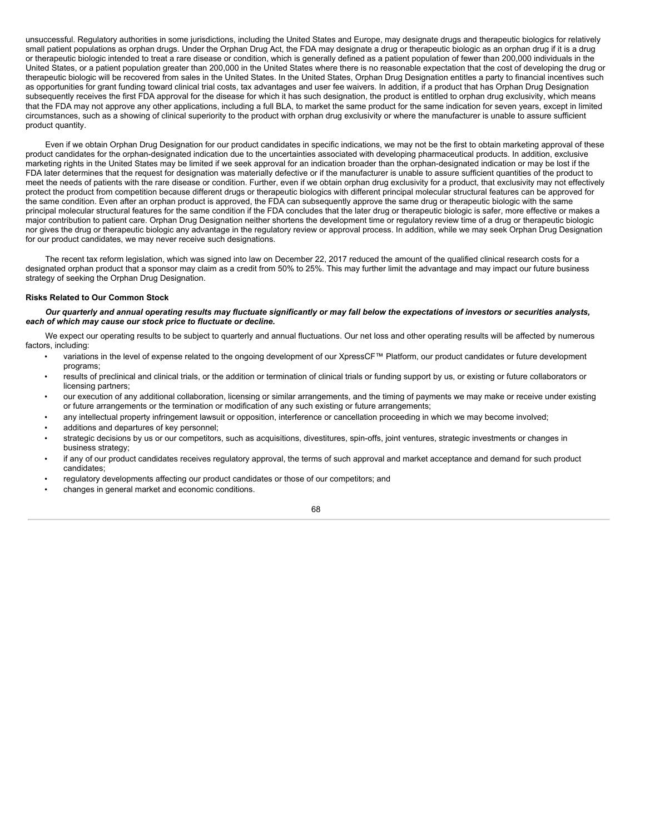unsuccessful. Regulatory authorities in some jurisdictions, including the United States and Europe, may designate drugs and therapeutic biologics for relatively small patient populations as orphan drugs. Under the Orphan Drug Act, the FDA may designate a drug or therapeutic biologic as an orphan drug if it is a drug or therapeutic biologic intended to treat a rare disease or condition, which is generally defined as a patient population of fewer than 200,000 individuals in the United States, or a patient population greater than 200,000 in the United States where there is no reasonable expectation that the cost of developing the drug or therapeutic biologic will be recovered from sales in the United States. In the United States, Orphan Drug Designation entitles a party to financial incentives such as opportunities for grant funding toward clinical trial costs, tax advantages and user fee waivers. In addition, if a product that has Orphan Drug Designation subsequently receives the first FDA approval for the disease for which it has such designation, the product is entitled to orphan drug exclusivity, which means that the FDA may not approve any other applications, including a full BLA, to market the same product for the same indication for seven years, except in limited circumstances, such as a showing of clinical superiority to the product with orphan drug exclusivity or where the manufacturer is unable to assure sufficient product quantity.

Even if we obtain Orphan Drug Designation for our product candidates in specific indications, we may not be the first to obtain marketing approval of these product candidates for the orphan-designated indication due to the uncertainties associated with developing pharmaceutical products. In addition, exclusive marketing rights in the United States may be limited if we seek approval for an indication broader than the orphan-designated indication or may be lost if the FDA later determines that the request for designation was materially defective or if the manufacturer is unable to assure sufficient quantities of the product to meet the needs of patients with the rare disease or condition. Further, even if we obtain orphan drug exclusivity for a product, that exclusivity may not effectively protect the product from competition because different drugs or therapeutic biologics with different principal molecular structural features can be approved for the same condition. Even after an orphan product is approved, the FDA can subsequently approve the same drug or therapeutic biologic with the same principal molecular structural features for the same condition if the FDA concludes that the later drug or therapeutic biologic is safer, more effective or makes a major contribution to patient care. Orphan Drug Designation neither shortens the development time or regulatory review time of a drug or therapeutic biologic nor gives the drug or therapeutic biologic any advantage in the regulatory review or approval process. In addition, while we may seek Orphan Drug Designation for our product candidates, we may never receive such designations.

The recent tax reform legislation, which was signed into law on December 22, 2017 reduced the amount of the qualified clinical research costs for a designated orphan product that a sponsor may claim as a credit from 50% to 25%. This may further limit the advantage and may impact our future business strategy of seeking the Orphan Drug Designation.

### **Risks Related to Our Common Stock**

Our quarterly and annual operating results may fluctuate significantly or may fall below the expectations of investors or securities analysts, *each of which may cause our stock price to fluctuate or decline.*

We expect our operating results to be subject to quarterly and annual fluctuations. Our net loss and other operating results will be affected by numerous factors, including:

- variations in the level of expense related to the ongoing development of our XpressCF™ Platform, our product candidates or future development programs;
- results of preclinical and clinical trials, or the addition or termination of clinical trials or funding support by us, or existing or future collaborators or licensing partners;
- our execution of any additional collaboration, licensing or similar arrangements, and the timing of payments we may make or receive under existing or future arrangements or the termination or modification of any such existing or future arrangements;
- any intellectual property infringement lawsuit or opposition, interference or cancellation proceeding in which we may become involved;
- additions and departures of key personnel;
- strategic decisions by us or our competitors, such as acquisitions, divestitures, spin-offs, joint ventures, strategic investments or changes in business strategy;
- if any of our product candidates receives regulatory approval, the terms of such approval and market acceptance and demand for such product candidates;
- regulatory developments affecting our product candidates or those of our competitors; and
- changes in general market and economic conditions.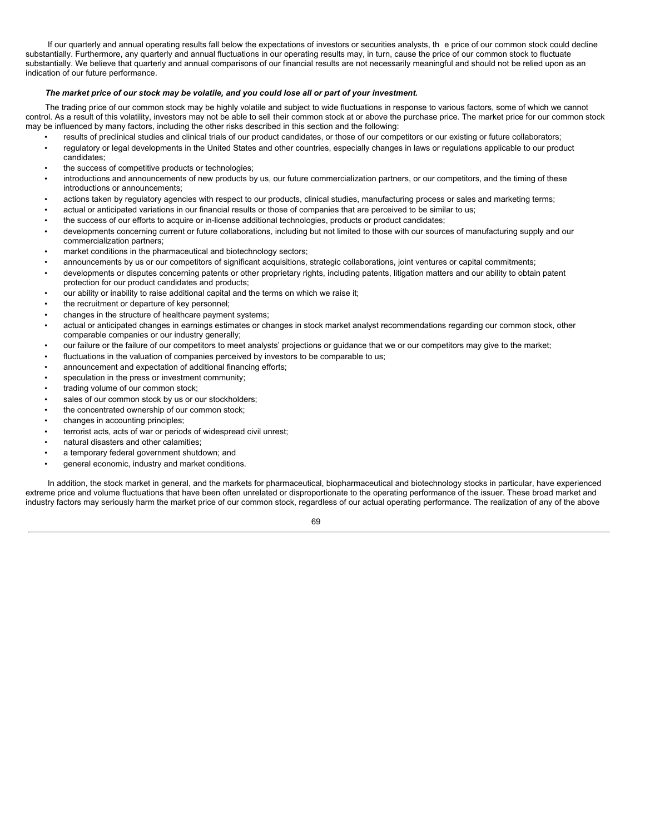If our quarterly and annual operating results fall below the expectations of investors or securities analysts, th e price of our common stock could decline substantially. Furthermore, any quarterly and annual fluctuations in our operating results may, in turn, cause the price of our common stock to fluctuate substantially. We believe that quarterly and annual comparisons of our financial results are not necessarily meaningful and should not be relied upon as an indication of our future performance.

# The market price of our stock may be volatile, and you could lose all or part of your investment.

The trading price of our common stock may be highly volatile and subject to wide fluctuations in response to various factors, some of which we cannot control. As a result of this volatility, investors may not be able to sell their common stock at or above the purchase price. The market price for our common stock may be influenced by many factors, including the other risks described in this section and the following:

- results of preclinical studies and clinical trials of our product candidates, or those of our competitors or our existing or future collaborators;
- regulatory or legal developments in the United States and other countries, especially changes in laws or regulations applicable to our product candidates;
- the success of competitive products or technologies;
- introductions and announcements of new products by us, our future commercialization partners, or our competitors, and the timing of these introductions or announcements;
- actions taken by regulatory agencies with respect to our products, clinical studies, manufacturing process or sales and marketing terms;
- actual or anticipated variations in our financial results or those of companies that are perceived to be similar to us;
- the success of our efforts to acquire or in-license additional technologies, products or product candidates;
- developments concerning current or future collaborations, including but not limited to those with our sources of manufacturing supply and our commercialization partners;
- market conditions in the pharmaceutical and biotechnology sectors;
- announcements by us or our competitors of significant acquisitions, strategic collaborations, joint ventures or capital commitments;
- developments or disputes concerning patents or other proprietary rights, including patents, litigation matters and our ability to obtain patent protection for our product candidates and products;
- our ability or inability to raise additional capital and the terms on which we raise it;
- the recruitment or departure of key personnel;
- changes in the structure of healthcare payment systems;
- actual or anticipated changes in earnings estimates or changes in stock market analyst recommendations regarding our common stock, other comparable companies or our industry generally;
- our failure or the failure of our competitors to meet analysts' projections or guidance that we or our competitors may give to the market;
- fluctuations in the valuation of companies perceived by investors to be comparable to us;
- announcement and expectation of additional financing efforts;
- speculation in the press or investment community;
- trading volume of our common stock;
- sales of our common stock by us or our stockholders;
- the concentrated ownership of our common stock;
- changes in accounting principles;
- terrorist acts, acts of war or periods of widespread civil unrest;
- natural disasters and other calamities;
- a temporary federal government shutdown; and
- general economic, industry and market conditions.

In addition, the stock market in general, and the markets for pharmaceutical, biopharmaceutical and biotechnology stocks in particular, have experienced extreme price and volume fluctuations that have been often unrelated or disproportionate to the operating performance of the issuer. These broad market and industry factors may seriously harm the market price of our common stock, regardless of our actual operating performance. The realization of any of the above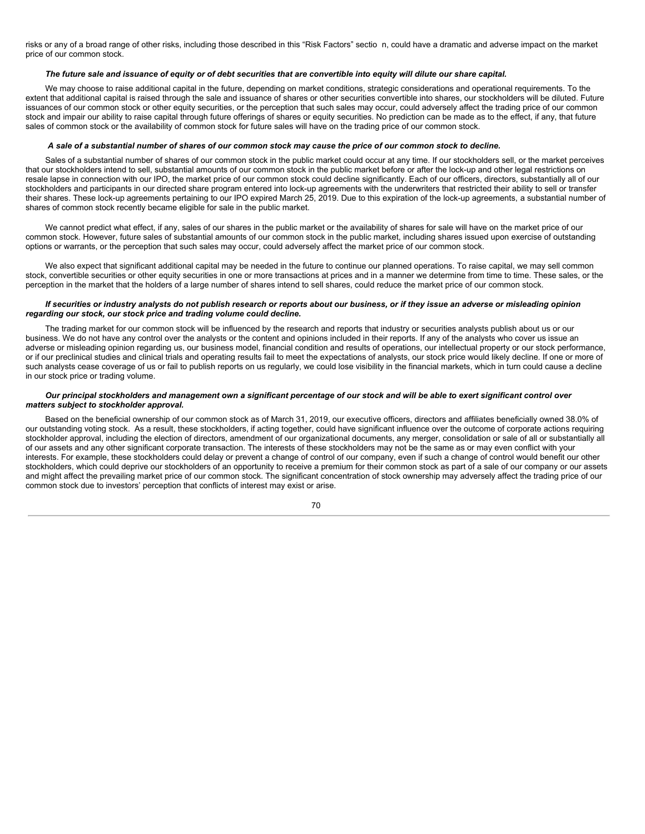risks or any of a broad range of other risks, including those described in this "Risk Factors" sectio n, could have a dramatic and adverse impact on the market price of our common stock.

#### The future sale and issuance of equity or of debt securities that are convertible into equity will dilute our share capital.

We may choose to raise additional capital in the future, depending on market conditions, strategic considerations and operational requirements. To the extent that additional capital is raised through the sale and issuance of shares or other securities convertible into shares, our stockholders will be diluted. Future issuances of our common stock or other equity securities, or the perception that such sales may occur, could adversely affect the trading price of our common stock and impair our ability to raise capital through future offerings of shares or equity securities. No prediction can be made as to the effect, if any, that future sales of common stock or the availability of common stock for future sales will have on the trading price of our common stock.

#### A sale of a substantial number of shares of our common stock may cause the price of our common stock to decline.

Sales of a substantial number of shares of our common stock in the public market could occur at any time. If our stockholders sell, or the market perceives that our stockholders intend to sell, substantial amounts of our common stock in the public market before or after the lock-up and other legal restrictions on resale lapse in connection with our IPO, the market price of our common stock could decline significantly. Each of our officers, directors, substantially all of our stockholders and participants in our directed share program entered into lock-up agreements with the underwriters that restricted their ability to sell or transfer their shares. These lock-up agreements pertaining to our IPO expired March 25, 2019. Due to this expiration of the lock-up agreements, a substantial number of shares of common stock recently became eligible for sale in the public market.

We cannot predict what effect, if any, sales of our shares in the public market or the availability of shares for sale will have on the market price of our common stock. However, future sales of substantial amounts of our common stock in the public market, including shares issued upon exercise of outstanding options or warrants, or the perception that such sales may occur, could adversely affect the market price of our common stock.

We also expect that significant additional capital may be needed in the future to continue our planned operations. To raise capital, we may sell common stock, convertible securities or other equity securities in one or more transactions at prices and in a manner we determine from time to time. These sales, or the perception in the market that the holders of a large number of shares intend to sell shares, could reduce the market price of our common stock.

#### If securities or industry analysts do not publish research or reports about our business, or if they issue an adverse or misleading opinion *regarding our stock, our stock price and trading volume could decline.*

The trading market for our common stock will be influenced by the research and reports that industry or securities analysts publish about us or our business. We do not have any control over the analysts or the content and opinions included in their reports. If any of the analysts who cover us issue an adverse or misleading opinion regarding us, our business model, financial condition and results of operations, our intellectual property or our stock performance, or if our preclinical studies and clinical trials and operating results fail to meet the expectations of analysts, our stock price would likely decline. If one or more of such analysts cease coverage of us or fail to publish reports on us regularly, we could lose visibility in the financial markets, which in turn could cause a decline in our stock price or trading volume.

#### Our principal stockholders and management own a significant percentage of our stock and will be able to exert significant control over *matters subject to stockholder approval.*

Based on the beneficial ownership of our common stock as of March 31, 2019, our executive officers, directors and affiliates beneficially owned 38.0% of our outstanding voting stock. As a result, these stockholders, if acting together, could have significant influence over the outcome of corporate actions requiring stockholder approval, including the election of directors, amendment of our organizational documents, any merger, consolidation or sale of all or substantially all of our assets and any other significant corporate transaction. The interests of these stockholders may not be the same as or may even conflict with your interests. For example, these stockholders could delay or prevent a change of control of our company, even if such a change of control would benefit our other stockholders, which could deprive our stockholders of an opportunity to receive a premium for their common stock as part of a sale of our company or our assets and might affect the prevailing market price of our common stock. The significant concentration of stock ownership may adversely affect the trading price of our common stock due to investors' perception that conflicts of interest may exist or arise.

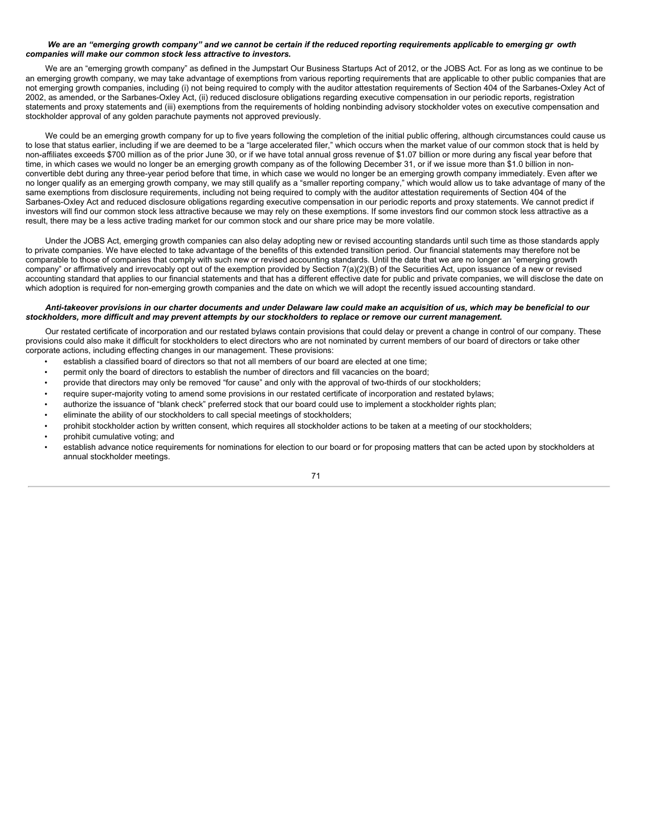### We are an "emerging growth company" and we cannot be certain if the reduced reporting reguirements applicable to emerging gr owth *companies will make our common stock less attractive to investors.*

We are an "emerging growth company" as defined in the Jumpstart Our Business Startups Act of 2012, or the JOBS Act. For as long as we continue to be an emerging growth company, we may take advantage of exemptions from various reporting requirements that are applicable to other public companies that are not emerging growth companies, including (i) not being required to comply with the auditor attestation requirements of Section 404 of the Sarbanes-Oxley Act of 2002, as amended, or the Sarbanes-Oxley Act, (ii) reduced disclosure obligations regarding executive compensation in our periodic reports, registration statements and proxy statements and (iii) exemptions from the requirements of holding nonbinding advisory stockholder votes on executive compensation and stockholder approval of any golden parachute payments not approved previously.

We could be an emerging growth company for up to five years following the completion of the initial public offering, although circumstances could cause us to lose that status earlier, including if we are deemed to be a "large accelerated filer," which occurs when the market value of our common stock that is held by non-affiliates exceeds \$700 million as of the prior June 30, or if we have total annual gross revenue of \$1.07 billion or more during any fiscal year before that time, in which cases we would no longer be an emerging growth company as of the following December 31, or if we issue more than \$1.0 billion in nonconvertible debt during any three-year period before that time, in which case we would no longer be an emerging growth company immediately. Even after we no longer qualify as an emerging growth company, we may still qualify as a "smaller reporting company," which would allow us to take advantage of many of the same exemptions from disclosure requirements, including not being required to comply with the auditor attestation requirements of Section 404 of the Sarbanes-Oxley Act and reduced disclosure obligations regarding executive compensation in our periodic reports and proxy statements. We cannot predict if investors will find our common stock less attractive because we may rely on these exemptions. If some investors find our common stock less attractive as a result, there may be a less active trading market for our common stock and our share price may be more volatile.

Under the JOBS Act, emerging growth companies can also delay adopting new or revised accounting standards until such time as those standards apply to private companies. We have elected to take advantage of the benefits of this extended transition period. Our financial statements may therefore not be comparable to those of companies that comply with such new or revised accounting standards. Until the date that we are no longer an "emerging growth company" or affirmatively and irrevocably opt out of the exemption provided by Section 7(a)(2)(B) of the Securities Act, upon issuance of a new or revised accounting standard that applies to our financial statements and that has a different effective date for public and private companies, we will disclose the date on which adoption is required for non-emerging growth companies and the date on which we will adopt the recently issued accounting standard.

### Anti-takeover provisions in our charter documents and under Delaware law could make an acquisition of us, which may be beneficial to our stockholders, more difficult and may prevent attempts by our stockholders to replace or remove our current management.

Our restated certificate of incorporation and our restated bylaws contain provisions that could delay or prevent a change in control of our company. These provisions could also make it difficult for stockholders to elect directors who are not nominated by current members of our board of directors or take other corporate actions, including effecting changes in our management. These provisions:

- establish a classified board of directors so that not all members of our board are elected at one time;
- permit only the board of directors to establish the number of directors and fill vacancies on the board;
- provide that directors may only be removed "for cause" and only with the approval of two-thirds of our stockholders;
- require super-majority voting to amend some provisions in our restated certificate of incorporation and restated bylaws;
- authorize the issuance of "blank check" preferred stock that our board could use to implement a stockholder rights plan;
- eliminate the ability of our stockholders to call special meetings of stockholders;
- prohibit stockholder action by written consent, which requires all stockholder actions to be taken at a meeting of our stockholders;
- prohibit cumulative voting; and
- establish advance notice requirements for nominations for election to our board or for proposing matters that can be acted upon by stockholders at annual stockholder meetings.

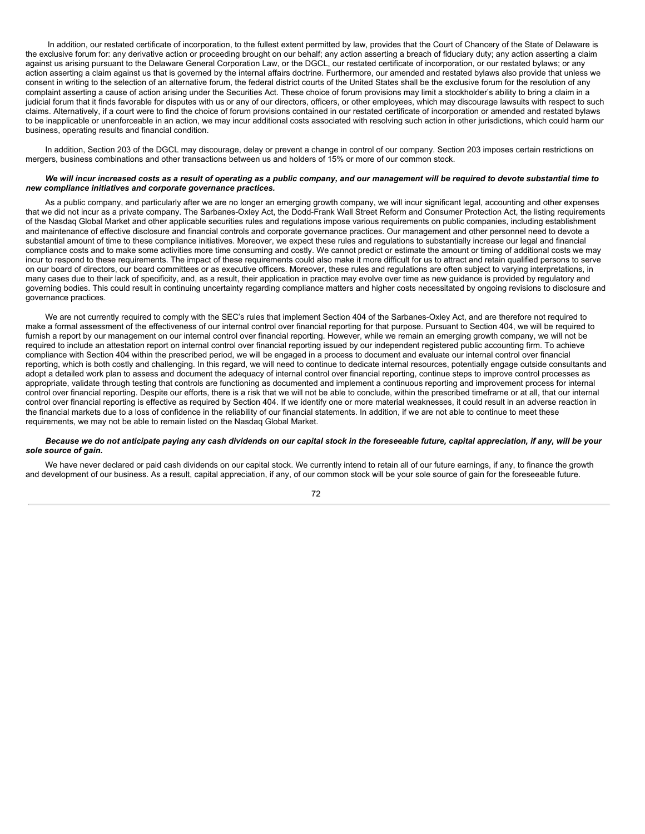In addition, our restated certificate of incorporation, to the fullest extent permitted by law, provides that the Court of Chancery of the State of Delaware is the exclusive forum for: any derivative action or proceeding brought on our behalf; any action asserting a breach of fiduciary duty; any action asserting a claim against us arising pursuant to the Delaware General Corporation Law, or the DGCL, our restated certificate of incorporation, or our restated bylaws; or any action asserting a claim against us that is governed by the internal affairs doctrine. Furthermore, our amended and restated bylaws also provide that unless we consent in writing to the selection of an alternative forum, the federal district courts of the United States shall be the exclusive forum for the resolution of any complaint asserting a cause of action arising under the Securities Act. These choice of forum provisions may limit a stockholder's ability to bring a claim in a judicial forum that it finds favorable for disputes with us or any of our directors, officers, or other employees, which may discourage lawsuits with respect to such claims. Alternatively, if a court were to find the choice of forum provisions contained in our restated certificate of incorporation or amended and restated bylaws to be inapplicable or unenforceable in an action, we may incur additional costs associated with resolving such action in other jurisdictions, which could harm our business, operating results and financial condition.

In addition, Section 203 of the DGCL may discourage, delay or prevent a change in control of our company. Section 203 imposes certain restrictions on mergers, business combinations and other transactions between us and holders of 15% or more of our common stock.

### We will incur increased costs as a result of operating as a public company, and our management will be required to devote substantial time to *new compliance initiatives and corporate governance practices.*

As a public company, and particularly after we are no longer an emerging growth company, we will incur significant legal, accounting and other expenses that we did not incur as a private company. The Sarbanes-Oxley Act, the Dodd-Frank Wall Street Reform and Consumer Protection Act, the listing requirements of the Nasdaq Global Market and other applicable securities rules and regulations impose various requirements on public companies, including establishment and maintenance of effective disclosure and financial controls and corporate governance practices. Our management and other personnel need to devote a substantial amount of time to these compliance initiatives. Moreover, we expect these rules and regulations to substantially increase our legal and financial compliance costs and to make some activities more time consuming and costly. We cannot predict or estimate the amount or timing of additional costs we may incur to respond to these requirements. The impact of these requirements could also make it more difficult for us to attract and retain qualified persons to serve on our board of directors, our board committees or as executive officers. Moreover, these rules and regulations are often subject to varying interpretations, in many cases due to their lack of specificity, and, as a result, their application in practice may evolve over time as new guidance is provided by regulatory and governing bodies. This could result in continuing uncertainty regarding compliance matters and higher costs necessitated by ongoing revisions to disclosure and governance practices.

We are not currently required to comply with the SEC's rules that implement Section 404 of the Sarbanes-Oxley Act, and are therefore not required to make a formal assessment of the effectiveness of our internal control over financial reporting for that purpose. Pursuant to Section 404, we will be required to furnish a report by our management on our internal control over financial reporting. However, while we remain an emerging growth company, we will not be required to include an attestation report on internal control over financial reporting issued by our independent registered public accounting firm. To achieve compliance with Section 404 within the prescribed period, we will be engaged in a process to document and evaluate our internal control over financial reporting, which is both costly and challenging. In this regard, we will need to continue to dedicate internal resources, potentially engage outside consultants and adopt a detailed work plan to assess and document the adequacy of internal control over financial reporting, continue steps to improve control processes as appropriate, validate through testing that controls are functioning as documented and implement a continuous reporting and improvement process for internal control over financial reporting. Despite our efforts, there is a risk that we will not be able to conclude, within the prescribed timeframe or at all, that our internal control over financial reporting is effective as required by Section 404. If we identify one or more material weaknesses, it could result in an adverse reaction in the financial markets due to a loss of confidence in the reliability of our financial statements. In addition, if we are not able to continue to meet these requirements, we may not be able to remain listed on the Nasdaq Global Market.

### Because we do not anticipate paying any cash dividends on our capital stock in the foreseeable future, capital appreciation, if any, will be your *sole source of gain.*

We have never declared or paid cash dividends on our capital stock. We currently intend to retain all of our future earnings, if any, to finance the growth and development of our business. As a result, capital appreciation, if any, of our common stock will be your sole source of gain for the foreseeable future.

72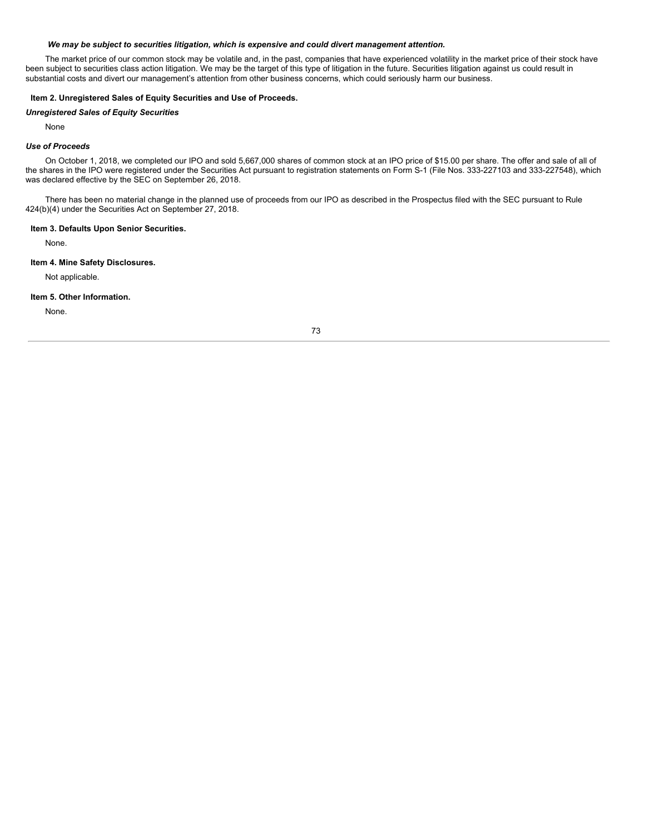### *We may be subject to securities litigation, which is expensive and could divert management attention.*

The market price of our common stock may be volatile and, in the past, companies that have experienced volatility in the market price of their stock have been subject to securities class action litigation. We may be the target of this type of litigation in the future. Securities litigation against us could result in substantial costs and divert our management's attention from other business concerns, which could seriously harm our business.

# **Item 2. Unregistered Sales of Equity Securities and Use of Proceeds.**

#### *Unregistered Sales of Equity Securities*

None

### *Use of Proceeds*

On October 1, 2018, we completed our IPO and sold 5,667,000 shares of common stock at an IPO price of \$15.00 per share. The offer and sale of all of the shares in the IPO were registered under the Securities Act pursuant to registration statements on Form S-1 (File Nos. 333-227103 and 333-227548), which was declared effective by the SEC on September 26, 2018.

There has been no material change in the planned use of proceeds from our IPO as described in the Prospectus filed with the SEC pursuant to Rule 424(b)(4) under the Securities Act on September 27, 2018.

### **Item 3. Defaults Upon Senior Securities.**

None.

### **Item 4. Mine Safety Disclosures.**

Not applicable.

### **Item 5. Other Information.**

None.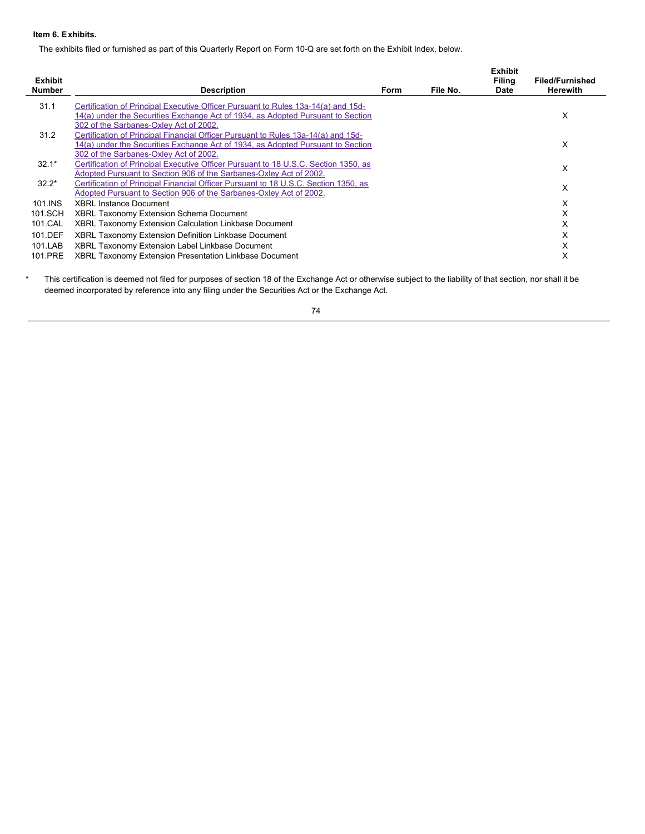# **Item 6. Exhibits.**

The exhibits filed or furnished as part of this Quarterly Report on Form 10-Q are set forth on the Exhibit Index, below.

| <b>Exhibit</b><br><b>Number</b> | <b>Description</b>                                                                                                                                        | Form | File No. | <b>Exhibit</b><br>Filing<br><b>Date</b> | <b>Filed/Furnished</b><br><b>Herewith</b> |
|---------------------------------|-----------------------------------------------------------------------------------------------------------------------------------------------------------|------|----------|-----------------------------------------|-------------------------------------------|
| 31.1                            | Certification of Principal Executive Officer Pursuant to Rules 13a-14(a) and 15d-                                                                         |      |          |                                         |                                           |
|                                 | 14(a) under the Securities Exchange Act of 1934, as Adopted Pursuant to Section<br>302 of the Sarbanes-Oxley Act of 2002.                                 |      |          |                                         | X                                         |
| 31.2                            | Certification of Principal Financial Officer Pursuant to Rules 13a-14(a) and 15d-                                                                         |      |          |                                         |                                           |
|                                 | 14(a) under the Securities Exchange Act of 1934, as Adopted Pursuant to Section<br>302 of the Sarbanes-Oxley Act of 2002.                                 |      |          |                                         | X                                         |
| $32.1*$                         | Certification of Principal Executive Officer Pursuant to 18 U.S.C. Section 1350, as                                                                       |      |          |                                         | X                                         |
|                                 | Adopted Pursuant to Section 906 of the Sarbanes-Oxley Act of 2002.                                                                                        |      |          |                                         |                                           |
| $32.2*$                         | Certification of Principal Financial Officer Pursuant to 18 U.S.C. Section 1350, as<br>Adopted Pursuant to Section 906 of the Sarbanes-Oxley Act of 2002. |      |          |                                         | X                                         |
| 101.INS                         | <b>XBRL Instance Document</b>                                                                                                                             |      |          |                                         | X                                         |
| 101.SCH                         | XBRL Taxonomy Extension Schema Document                                                                                                                   |      |          |                                         | X                                         |
| 101.CAL                         | XBRL Taxonomy Extension Calculation Linkbase Document                                                                                                     |      |          |                                         | X                                         |
| 101.DEF                         | XBRL Taxonomy Extension Definition Linkbase Document                                                                                                      |      |          |                                         | X                                         |
| 101.LAB                         | XBRL Taxonomy Extension Label Linkbase Document                                                                                                           |      |          |                                         | X                                         |
| 101.PRE                         | <b>XBRL Taxonomy Extension Presentation Linkbase Document</b>                                                                                             |      |          |                                         | х                                         |

\* This certification is deemed not filed for purposes of section 18 of the Exchange Act or otherwise subject to the liability of that section, nor shall it be deemed incorporated by reference into any filing under the Securities Act or the Exchange Act.

74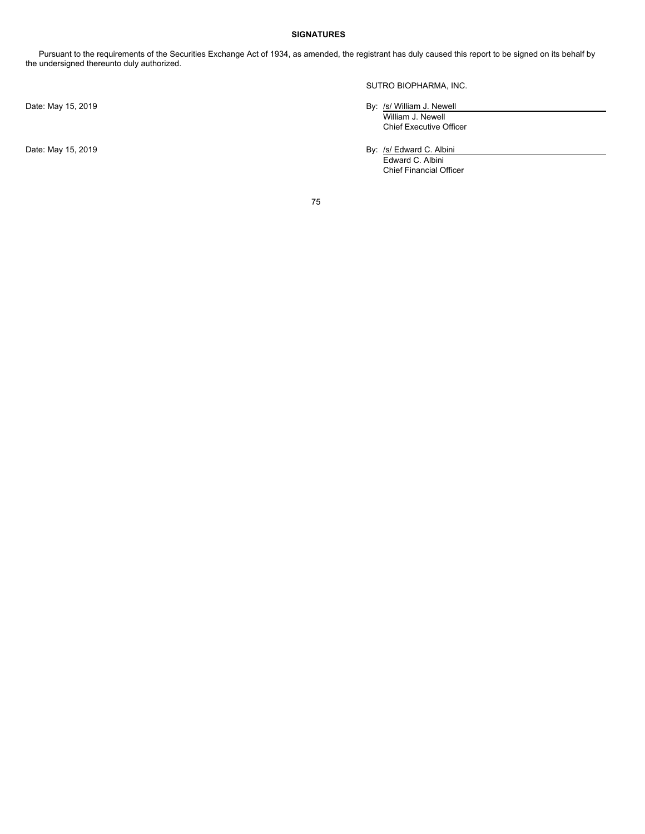# **SIGNATURES**

Pursuant to the requirements of the Securities Exchange Act of 1934, as amended, the registrant has duly caused this report to be signed on its behalf by the undersigned thereunto duly authorized.

SUTRO BIOPHARMA, INC.

Date: May 15, 2019 **By:** /s/ William J. Newell

William J. Newell Chief Executive Officer

Date: May 15, 2019 **By:** /s/ Edward C. Albini

Edward C. Albini Chief Financial Officer

75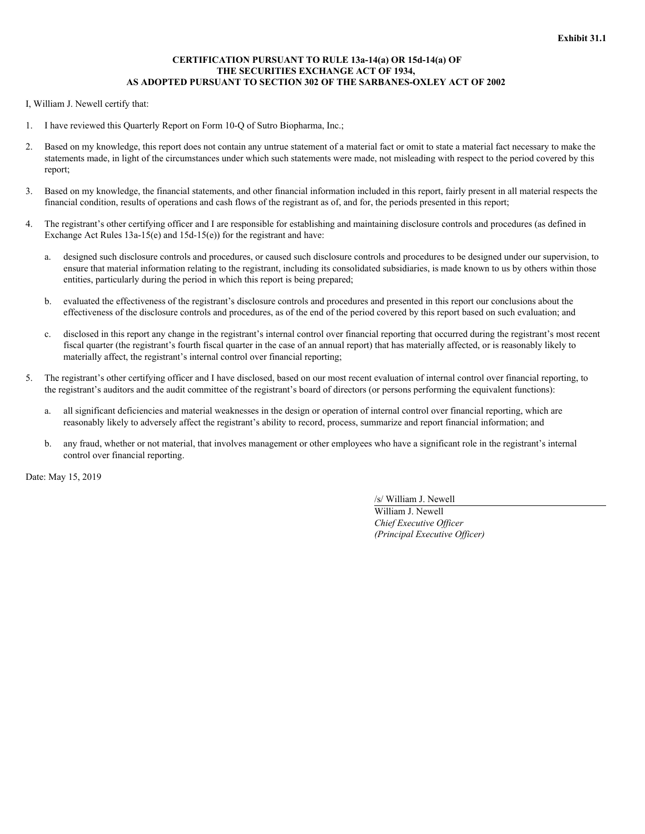# **CERTIFICATION PURSUANT TO RULE 13a-14(a) OR 15d-14(a) OF THE SECURITIES EXCHANGE ACT OF 1934, AS ADOPTED PURSUANT TO SECTION 302 OF THE SARBANES-OXLEY ACT OF 2002**

<span id="page-77-0"></span>I, William J. Newell certify that:

- 1. I have reviewed this Quarterly Report on Form 10-Q of Sutro Biopharma, Inc.;
- 2. Based on my knowledge, this report does not contain any untrue statement of a material fact or omit to state a material fact necessary to make the statements made, in light of the circumstances under which such statements were made, not misleading with respect to the period covered by this report;
- 3. Based on my knowledge, the financial statements, and other financial information included in this report, fairly present in all material respects the financial condition, results of operations and cash flows of the registrant as of, and for, the periods presented in this report;
- 4. The registrant's other certifying officer and I are responsible for establishing and maintaining disclosure controls and procedures (as defined in Exchange Act Rules 13a-15(e) and 15d-15(e)) for the registrant and have:
	- a. designed such disclosure controls and procedures, or caused such disclosure controls and procedures to be designed under our supervision, to ensure that material information relating to the registrant, including its consolidated subsidiaries, is made known to us by others within those entities, particularly during the period in which this report is being prepared;
	- b. evaluated the effectiveness of the registrant's disclosure controls and procedures and presented in this report our conclusions about the effectiveness of the disclosure controls and procedures, as of the end of the period covered by this report based on such evaluation; and
	- c. disclosed in this report any change in the registrant's internal control over financial reporting that occurred during the registrant's most recent fiscal quarter (the registrant's fourth fiscal quarter in the case of an annual report) that has materially affected, or is reasonably likely to materially affect, the registrant's internal control over financial reporting;
- 5. The registrant's other certifying officer and I have disclosed, based on our most recent evaluation of internal control over financial reporting, to the registrant's auditors and the audit committee of the registrant's board of directors (or persons performing the equivalent functions):
	- a. all significant deficiencies and material weaknesses in the design or operation of internal control over financial reporting, which are reasonably likely to adversely affect the registrant's ability to record, process, summarize and report financial information; and
	- b. any fraud, whether or not material, that involves management or other employees who have a significant role in the registrant's internal control over financial reporting.

Date: May 15, 2019

/s/ William J. Newell

William J. Newell *Chief Executive Of icer (Principal Executive Of icer)*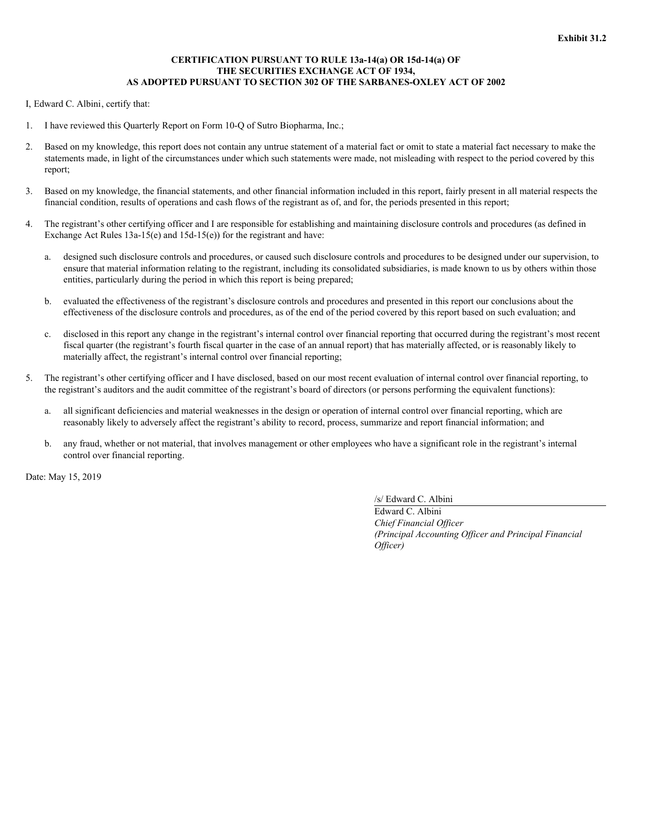# **CERTIFICATION PURSUANT TO RULE 13a-14(a) OR 15d-14(a) OF THE SECURITIES EXCHANGE ACT OF 1934, AS ADOPTED PURSUANT TO SECTION 302 OF THE SARBANES-OXLEY ACT OF 2002**

<span id="page-78-0"></span>I, Edward C. Albini, certify that:

- 1. I have reviewed this Quarterly Report on Form 10-Q of Sutro Biopharma, Inc.;
- 2. Based on my knowledge, this report does not contain any untrue statement of a material fact or omit to state a material fact necessary to make the statements made, in light of the circumstances under which such statements were made, not misleading with respect to the period covered by this report;
- 3. Based on my knowledge, the financial statements, and other financial information included in this report, fairly present in all material respects the financial condition, results of operations and cash flows of the registrant as of, and for, the periods presented in this report;
- 4. The registrant's other certifying officer and I are responsible for establishing and maintaining disclosure controls and procedures (as defined in Exchange Act Rules 13a-15(e) and 15d-15(e)) for the registrant and have:
	- a. designed such disclosure controls and procedures, or caused such disclosure controls and procedures to be designed under our supervision, to ensure that material information relating to the registrant, including its consolidated subsidiaries, is made known to us by others within those entities, particularly during the period in which this report is being prepared;
	- b. evaluated the effectiveness of the registrant's disclosure controls and procedures and presented in this report our conclusions about the effectiveness of the disclosure controls and procedures, as of the end of the period covered by this report based on such evaluation; and
	- c. disclosed in this report any change in the registrant's internal control over financial reporting that occurred during the registrant's most recent fiscal quarter (the registrant's fourth fiscal quarter in the case of an annual report) that has materially affected, or is reasonably likely to materially affect, the registrant's internal control over financial reporting;
- 5. The registrant's other certifying officer and I have disclosed, based on our most recent evaluation of internal control over financial reporting, to the registrant's auditors and the audit committee of the registrant's board of directors (or persons performing the equivalent functions):
	- a. all significant deficiencies and material weaknesses in the design or operation of internal control over financial reporting, which are reasonably likely to adversely affect the registrant's ability to record, process, summarize and report financial information; and
	- b. any fraud, whether or not material, that involves management or other employees who have a significant role in the registrant's internal control over financial reporting.

Date: May 15, 2019

/s/ Edward C. Albini

Edward C. Albini *Chief Financial Of icer (Principal Accounting Of icer and Principal Financial Of icer)*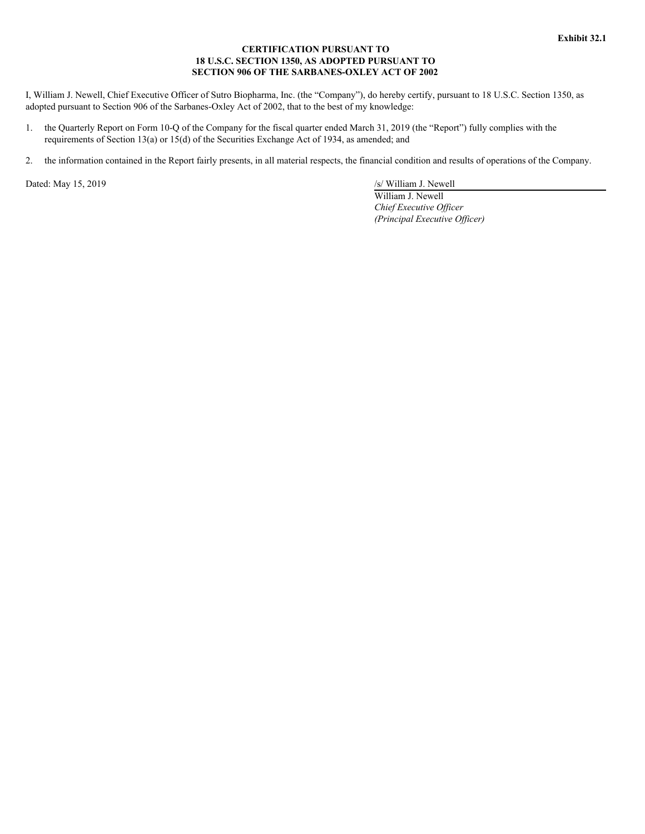# **CERTIFICATION PURSUANT TO 18 U.S.C. SECTION 1350, AS ADOPTED PURSUANT TO SECTION 906 OF THE SARBANES-OXLEY ACT OF 2002**

<span id="page-79-0"></span>I, William J. Newell, Chief Executive Officer of Sutro Biopharma, Inc. (the "Company"), do hereby certify, pursuant to 18 U.S.C. Section 1350, as adopted pursuant to Section 906 of the Sarbanes-Oxley Act of 2002, that to the best of my knowledge:

- 1. the Quarterly Report on Form 10-Q of the Company for the fiscal quarter ended March 31, 2019 (the "Report") fully complies with the requirements of Section 13(a) or 15(d) of the Securities Exchange Act of 1934, as amended; and
- 2. the information contained in the Report fairly presents, in all material respects, the financial condition and results of operations of the Company.

Dated: May 15, 2019 /s/ William J. Newell

William J. Newell *Chief Executive Of icer (Principal Executive Of icer)*